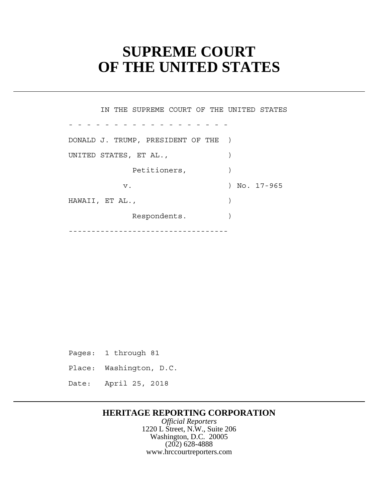# **SUPREME COURT OF THE UNITED STATES**

Petitioners,  $)$ - - - - - - - - - - - - - - - - - - ----------------------------------- IN THE SUPREME COURT OF THE UNITED STATES DONALD J. TRUMP, PRESIDENT OF THE ) UNITED STATES, ET AL.,  $\qquad \qquad$ v. 17-965 HAWAII, ET AL., (1998) Respondents.

Pages: 1 through 81

Place: Washington, D.C.

Date: April 25, 2018

# **HERITAGE REPORTING CORPORATION**

*Official Reporters* 1220 L Street, N.W., Suite 206 Washington, D.C. 20005 (202) 628-4888 www.hrccourtreporters.com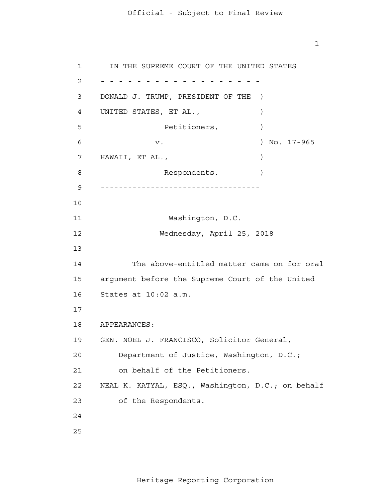$\mathbf{1}$ 

 argument before the Supreme Court of the United 18 APPEARANCES: 19 GEN. NOEL J. FRANCISCO, Solicitor General, 1 2 - - - - - - - - - - - - - - - - - - 3 4 **5**  6 7 8 9 ----------------------------------- 10 11 12 13 14 15 16 17 20 21 22 23 24 25 IN THE SUPREME COURT OF THE UNITED STATES DONALD J. TRUMP, PRESIDENT OF THE ) UNITED STATES, ET AL., Petitioners,  $)$ v. ) No. 17-965 HAWAII, ET AL., (1998) Respondents. ) Washington, D.C. Wednesday, April 25, 2018 The above-entitled matter came on for oral States at 10:02 a.m. Department of Justice, Washington, D.C.; on behalf of the Petitioners. NEAL K. KATYAL, ESQ., Washington, D.C.; on behalf of the Respondents.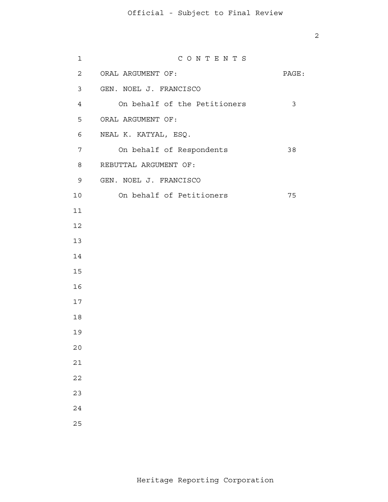| $\mathbf 1$    | CONTENTS                     |              |
|----------------|------------------------------|--------------|
| $\overline{a}$ | ORAL ARGUMENT OF:            | PAGE:        |
| 3              | GEN. NOEL J. FRANCISCO       |              |
| $\overline{4}$ | On behalf of the Petitioners | $\mathbf{3}$ |
| 5              | ORAL ARGUMENT OF:            |              |
| 6              | NEAL K. KATYAL, ESQ.         |              |
| 7              | On behalf of Respondents     | 38           |
| 8              | REBUTTAL ARGUMENT OF:        |              |
| 9              | GEN. NOEL J. FRANCISCO       |              |
| 10             | On behalf of Petitioners     | 75           |
| 11             |                              |              |
| 12             |                              |              |
| 13             |                              |              |
| 14             |                              |              |
| 15             |                              |              |
| 16             |                              |              |
| 17             |                              |              |
| $18\,$         |                              |              |
| 19             |                              |              |
| $20$           |                              |              |
| $2\,1$         |                              |              |
| $2\sqrt{2}$    |                              |              |
| 23             |                              |              |
| $2\sqrt{4}$    |                              |              |
| 25             |                              |              |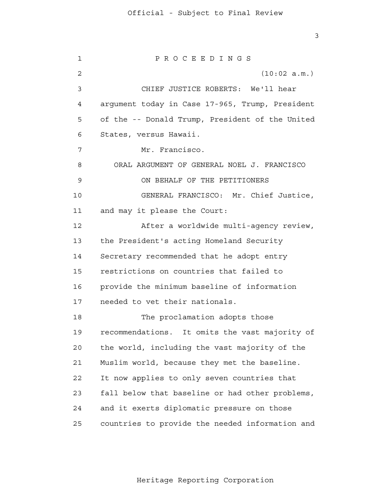3

 1 2 3 4 **5**  6 7 8 9 10 11 12 13 14 15 16 17 18 19 20 21 **22**  23 24 25 P R O C E E D I N G S (10:02 a.m.) CHIEF JUSTICE ROBERTS: We'll hear argument today in Case 17-965, Trump, President of the -- Donald Trump, President of the United States, versus Hawaii. Mr. Francisco. ORAL ARGUMENT OF GENERAL NOEL J. FRANCISCO ON BEHALF OF THE PETITIONERS GENERAL FRANCISCO: Mr. Chief Justice, and may it please the Court: After a worldwide multi-agency review, the President's acting Homeland Security Secretary recommended that he adopt entry restrictions on countries that failed to provide the minimum baseline of information needed to vet their nationals. The proclamation adopts those recommendations. It omits the vast majority of the world, including the vast majority of the Muslim world, because they met the baseline. It now applies to only seven countries that fall below that baseline or had other problems, and it exerts diplomatic pressure on those countries to provide the needed information and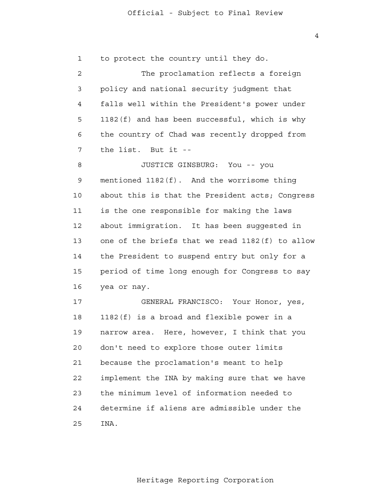4

| $\mathbf{1}$ | to protect the country until they do.           |
|--------------|-------------------------------------------------|
| 2            | The proclamation reflects a foreign             |
| 3            | policy and national security judgment that      |
| 4            | falls well within the President's power under   |
| 5            | 1182(f) and has been successful, which is why   |
| 6            | the country of Chad was recently dropped from   |
| 7            | the list. But it --                             |
| 8            | JUSTICE GINSBURG: You -- you                    |
| 9            | mentioned 1182(f). And the worrisome thing      |
| 10           | about this is that the President acts; Congress |
| 11           | is the one responsible for making the laws      |
| 12           | about immigration. It has been suggested in     |
| 13           | one of the briefs that we read 1182(f) to allow |
| 14           | the President to suspend entry but only for a   |
| 15           | period of time long enough for Congress to say  |
| 16           | yea or nay.                                     |
| 17           | GENERAL FRANCISCO: Your Honor, yes,             |
| 18           | 1182(f) is a broad and flexible power in a      |
| 19           | Here, however, I think that you<br>narrow area. |
| 20           | don't need to explore those outer limits        |
| 21           | because the proclamation's meant to help        |
| 22           | implement the INA by making sure that we have   |
| 23           | the minimum level of information needed to      |
| 24           | determine if aliens are admissible under the    |
| 25           | INA.                                            |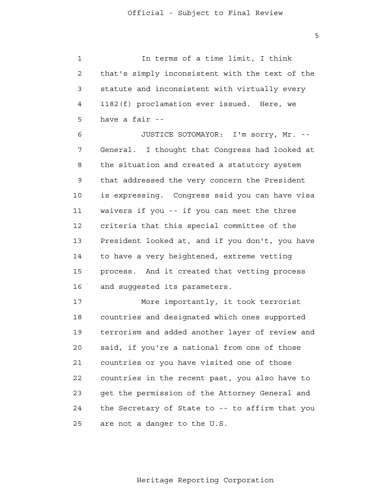$\overline{5}$ 

 1 2 3 4 **5** In terms of a time limit, I think that's simply inconsistent with the text of the statute and inconsistent with virtually every 1182(f) proclamation ever issued. Here, we have a fair -

 6 7 8 9 10 11 12 13 14 15 16 JUSTICE SOTOMAYOR: I'm sorry, Mr. --General. I thought that Congress had looked at the situation and created a statutory system that addressed the very concern the President is expressing. Congress said you can have visa waivers if you -- if you can meet the three criteria that this special committee of the President looked at, and if you don't, you have to have a very heightened, extreme vetting process. And it created that vetting process and suggested its parameters.

 17 18 19 20 21 **22**  23 24 25 More importantly, it took terrorist countries and designated which ones supported terrorism and added another layer of review and said, if you're a national from one of those countries or you have visited one of those countries in the recent past, you also have to get the permission of the Attorney General and the Secretary of State to -- to affirm that you are not a danger to the U.S.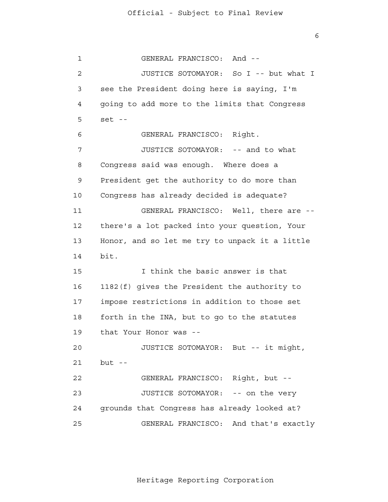$\overline{6}$ 

 1 2 3 4 **5**  6 7 8 9 10 11 12 13 14 15 16 17 18 19 20 21 22 23 24 25 GENERAL FRANCISCO: And - JUSTICE SOTOMAYOR: So I -- but what I see the President doing here is saying, I'm going to add more to the limits that Congress  $set$  --GENERAL FRANCISCO: Right. JUSTICE SOTOMAYOR: -- and to what Congress said was enough. Where does a President get the authority to do more than Congress has already decided is adequate? GENERAL FRANCISCO: Well, there are there's a lot packed into your question, Your Honor, and so let me try to unpack it a little bit. I think the basic answer is that 1182(f) gives the President the authority to impose restrictions in addition to those set forth in the INA, but to go to the statutes that Your Honor was - JUSTICE SOTOMAYOR: But -- it might,  $but --$ GENERAL FRANCISCO: Right, but - JUSTICE SOTOMAYOR: -- on the very grounds that Congress has already looked at? GENERAL FRANCISCO: And that's exactly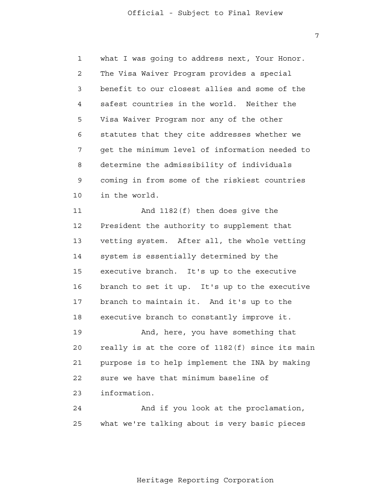1 2 3 4 **5**  6 7 8 9 10 what I was going to address next, Your Honor. The Visa Waiver Program provides a special benefit to our closest allies and some of the safest countries in the world. Neither the Visa Waiver Program nor any of the other statutes that they cite addresses whether we get the minimum level of information needed to determine the admissibility of individuals coming in from some of the riskiest countries in the world.

 11 12 13 14 15 16 17 18 19 And 1182(f) then does give the President the authority to supplement that vetting system. After all, the whole vetting system is essentially determined by the executive branch. It's up to the executive branch to set it up. It's up to the executive branch to maintain it. And it's up to the executive branch to constantly improve it. And, here, you have something that

 20 21 22 23 really is at the core of 1182(f) since its main purpose is to help implement the INA by making sure we have that minimum baseline of information.

 24 <u>25</u> And if you look at the proclamation, what we're talking about is very basic pieces

Heritage Reporting Corporation

7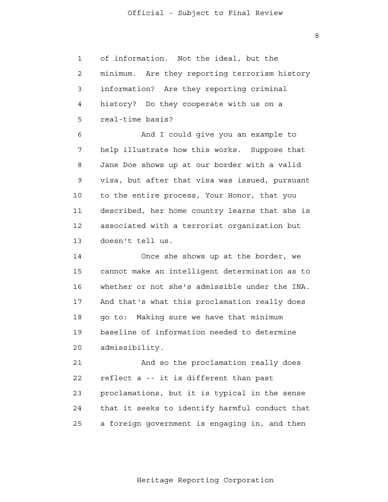1 2 3 4 **5** of information. Not the ideal, but the minimum. Are they reporting terrorism history information? Are they reporting criminal history? Do they cooperate with us on a real-time basis?

 6 7 8 9 10 11 12 13 And I could give you an example to help illustrate how this works. Suppose that Jane Doe shows up at our border with a valid visa, but after that visa was issued, pursuant to the entire process, Your Honor, that you described, her home country learns that she is associated with a terrorist organization but doesn't tell us.

> 14 15 16 17 18 19 20 Once she shows up at the border, we cannot make an intelligent determination as to whether or not she's admissible under the INA. And that's what this proclamation really does go to: Making sure we have that minimum baseline of information needed to determine admissibility.

 21 **22**  23 24 25 And so the proclamation really does reflect a -- it is different than past proclamations, but it is typical in the sense that it seeks to identify harmful conduct that a foreign government is engaging in, and then

8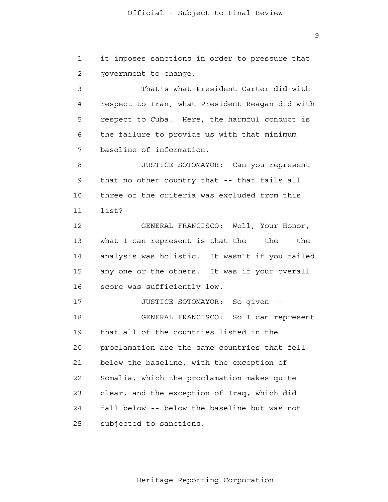1 2 it imposes sanctions in order to pressure that government to change.

 3 4 **5**  6 7 That's what President Carter did with respect to Iran, what President Reagan did with respect to Cuba. Here, the harmful conduct is the failure to provide us with that minimum baseline of information.

 8 9 10 11 JUSTICE SOTOMAYOR: Can you represent that no other country that -- that fails all three of the criteria was excluded from this list?

 12 13 14 15 16 GENERAL FRANCISCO: Well, Your Honor, what I can represent is that the -- the -- the analysis was holistic. It wasn't if you failed any one or the others. It was if your overall score was sufficiently low.

> 17 18 19 20 21 22 23 24 25 JUSTICE SOTOMAYOR: So given - GENERAL FRANCISCO: So I can represent that all of the countries listed in the proclamation are the same countries that fell below the baseline, with the exception of Somalia, which the proclamation makes quite clear, and the exception of Iraq, which did fall below -- below the baseline but was not subjected to sanctions.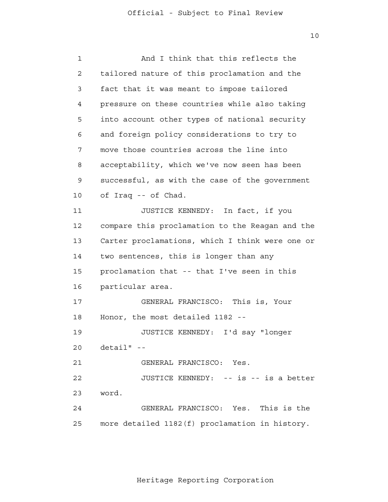10

| $\mathbf{1}$ | And I think that this reflects the              |
|--------------|-------------------------------------------------|
| 2            | tailored nature of this proclamation and the    |
| 3            | fact that it was meant to impose tailored       |
| 4            | pressure on these countries while also taking   |
| 5            | into account other types of national security   |
| 6            | and foreign policy considerations to try to     |
| 7            | move those countries across the line into       |
| 8            | acceptability, which we've now seen has been    |
| 9            | successful, as with the case of the government  |
| 10           | of Iraq -- of Chad.                             |
| 11           | JUSTICE KENNEDY: In fact, if you                |
| 12           | compare this proclamation to the Reagan and the |
| 13           | Carter proclamations, which I think were one or |
| 14           | two sentences, this is longer than any          |
| 15           | proclamation that -- that I've seen in this     |
| 16           | particular area.                                |
| 17           | GENERAL FRANCISCO: This is, Your                |
| 18           | Honor, the most detailed 1182 --                |
| 19           | JUSTICE KENNEDY: I'd say "longer                |
| 20           | $detail" - -$                                   |
| 21           | GENERAL FRANCISCO: Yes.                         |
| 22           | JUSTICE KENNEDY: -- is -- is a better           |
| 23           | word.                                           |
| 24           | GENERAL FRANCISCO: Yes. This is the             |
| 25           | more detailed 1182(f) proclamation in history.  |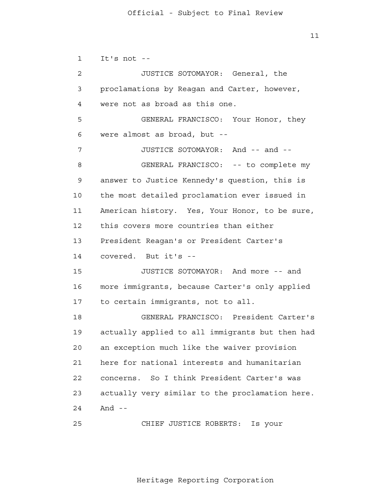1

2

3

4

**5** 

6

7

8

9

10

11

12

13

14

15

16

17

18

19

20

21

 $11$ It's not - JUSTICE SOTOMAYOR: General, the proclamations by Reagan and Carter, however, were not as broad as this one. GENERAL FRANCISCO: Your Honor, they were almost as broad, but - JUSTICE SOTOMAYOR: And -- and - GENERAL FRANCISCO: -- to complete my answer to Justice Kennedy's question, this is the most detailed proclamation ever issued in American history. Yes, Your Honor, to be sure, this covers more countries than either President Reagan's or President Carter's covered. But it's - JUSTICE SOTOMAYOR: And more -- and more immigrants, because Carter's only applied to certain immigrants, not to all. GENERAL FRANCISCO: President Carter's actually applied to all immigrants but then had an exception much like the waiver provision here for national interests and humanitarian

> 22 23 24 concerns. So I think President Carter's was actually very similar to the proclamation here. And  $-$

 25 CHIEF JUSTICE ROBERTS: Is your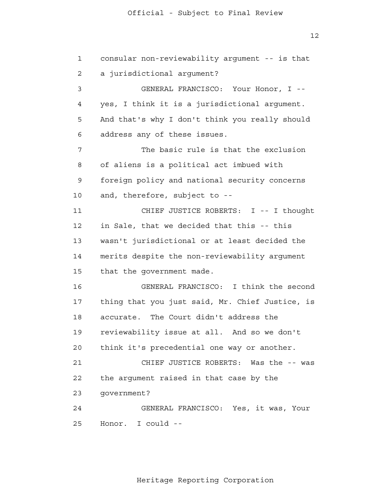1 2 3 4 **5**  6 7 8 9 10 11 12 13 14 15 16 17 18 19 20 21 **22**  23 24 25 consular non-reviewability argument -- is that a jurisdictional argument? GENERAL FRANCISCO: Your Honor, I yes, I think it is a jurisdictional argument. And that's why I don't think you really should address any of these issues. The basic rule is that the exclusion of aliens is a political act imbued with foreign policy and national security concerns and, therefore, subject to - CHIEF JUSTICE ROBERTS: I -- I thought in Sale, that we decided that this -- this wasn't jurisdictional or at least decided the merits despite the non-reviewability argument that the government made. GENERAL FRANCISCO: I think the second thing that you just said, Mr. Chief Justice, is accurate. The Court didn't address the reviewability issue at all. And so we don't think it's precedential one way or another. CHIEF JUSTICE ROBERTS: Was the -- was the argument raised in that case by the government? GENERAL FRANCISCO: Yes, it was, Your Honor. I could -

 $12$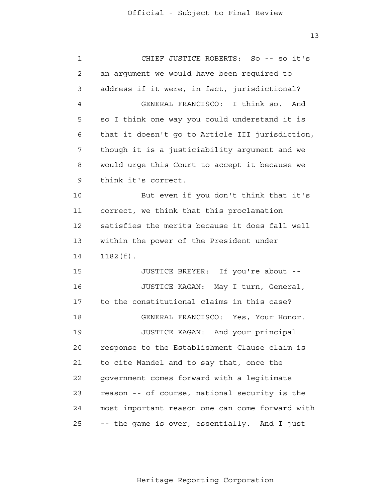13

| $\mathbf 1$    | CHIEF JUSTICE ROBERTS: So -- so it's            |
|----------------|-------------------------------------------------|
| $\mathbf{2}$   | an argument we would have been required to      |
| 3              | address if it were, in fact, jurisdictional?    |
| $\overline{4}$ | GENERAL FRANCISCO: I think so.<br>And           |
| 5              | so I think one way you could understand it is   |
| 6              | that it doesn't go to Article III jurisdiction, |
| 7              | though it is a justiciability argument and we   |
| 8              | would urge this Court to accept it because we   |
| 9              | think it's correct.                             |
| 10             | But even if you don't think that it's           |
| 11             | correct, we think that this proclamation        |
| 12             | satisfies the merits because it does fall well  |
| 13             | within the power of the President under         |
| 14             | $1182(f)$ .                                     |
| 15             | JUSTICE BREYER: If you're about --              |
| 16             | JUSTICE KAGAN:<br>May I turn, General,          |
| 17             | to the constitutional claims in this case?      |
| 18             | GENERAL FRANCISCO: Yes, Your Honor.             |
| 19             | JUSTICE KAGAN: And your principal               |
| 20             | response to the Establishment Clause claim is   |
| 21             | to cite Mandel and to say that, once the        |
| 22             | government comes forward with a legitimate      |
| 23             | reason -- of course, national security is the   |
| 24             | most important reason one can come forward with |
| 25             | -- the game is over, essentially. And I just    |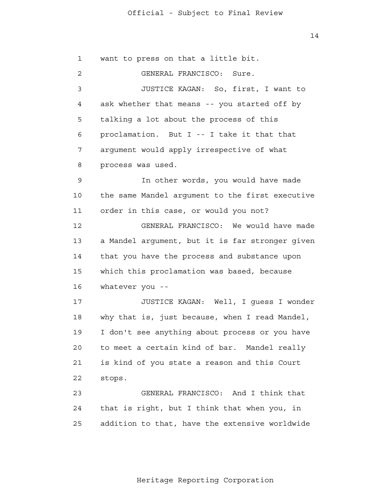14

 1 2 3 4 **5**  6 7 8 9 10 11 12 13 14 15 16 17 18 19 20 21 22 23 24 25 want to press on that a little bit. GENERAL FRANCISCO: Sure. JUSTICE KAGAN: So, first, I want to ask whether that means -- you started off by talking a lot about the process of this proclamation. But I -- I take it that that argument would apply irrespective of what process was used. In other words, you would have made the same Mandel argument to the first executive order in this case, or would you not? GENERAL FRANCISCO: We would have made a Mandel argument, but it is far stronger given that you have the process and substance upon which this proclamation was based, because whatever you - JUSTICE KAGAN: Well, I guess I wonder why that is, just because, when I read Mandel, I don't see anything about process or you have to meet a certain kind of bar. Mandel really is kind of you state a reason and this Court stops. GENERAL FRANCISCO: And I think that that is right, but I think that when you, in addition to that, have the extensive worldwide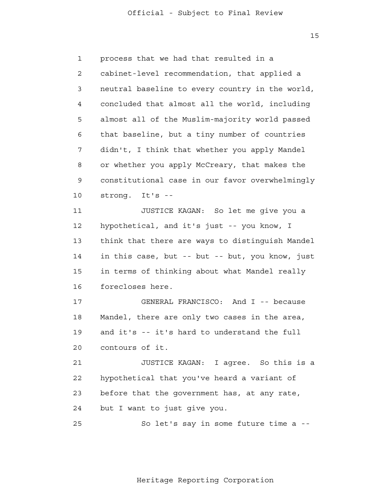15

 1 2 3 4 **5**  6 7 8 9 10 11 12 13 14 15 16 17 18 19 20 21 **22**  23 24 <u>25</u> process that we had that resulted in a cabinet-level recommendation, that applied a neutral baseline to every country in the world, concluded that almost all the world, including almost all of the Muslim-majority world passed that baseline, but a tiny number of countries didn't, I think that whether you apply Mandel or whether you apply McCreary, that makes the constitutional case in our favor overwhelmingly strong. It's - JUSTICE KAGAN: So let me give you a hypothetical, and it's just -- you know, I think that there are ways to distinguish Mandel in this case, but -- but -- but, you know, just in terms of thinking about what Mandel really forecloses here. GENERAL FRANCISCO: And I -- because Mandel, there are only two cases in the area, and it's -- it's hard to understand the full contours of it. JUSTICE KAGAN: I agree. So this is a hypothetical that you've heard a variant of before that the government has, at any rate, but I want to just give you. So let's say in some future time a -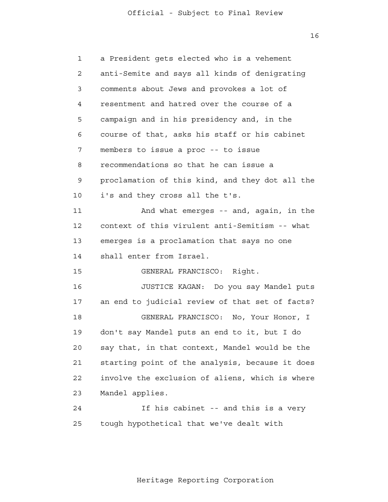16

| a President gets elected who is a vehement      |
|-------------------------------------------------|
| anti-Semite and says all kinds of denigrating   |
| comments about Jews and provokes a lot of       |
| resentment and hatred over the course of a      |
| campaign and in his presidency and, in the      |
| course of that, asks his staff or his cabinet   |
| members to issue a proc -- to issue             |
| recommendations so that he can issue a          |
| proclamation of this kind, and they dot all the |
| i's and they cross all the t's.                 |
| And what emerges -- and, again, in the          |
| context of this virulent anti-Semitism -- what  |
| emerges is a proclamation that says no one      |
| shall enter from Israel.                        |
| GENERAL FRANCISCO: Right.                       |
| JUSTICE KAGAN: Do you say Mandel puts           |
| an end to judicial review of that set of facts? |
| GENERAL FRANCISCO: No, Your Honor, I            |
| don't say Mandel puts an end to it, but I do    |
| say that, in that context, Mandel would be the  |
| starting point of the analysis, because it does |
| involve the exclusion of aliens, which is where |
| Mandel applies.                                 |
| If his cabinet -- and this is a very            |
| tough hypothetical that we've dealt with        |
|                                                 |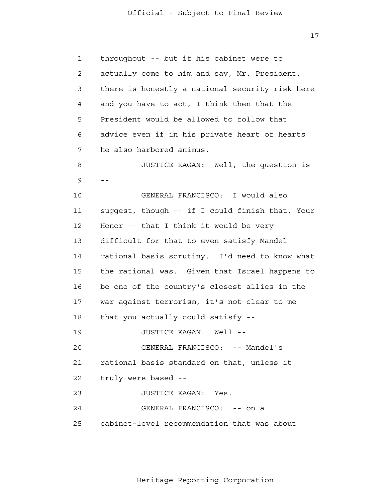17

| $\mathbf{1}$ | throughout -- but if his cabinet were to        |
|--------------|-------------------------------------------------|
| 2            | actually come to him and say, Mr. President,    |
| 3            | there is honestly a national security risk here |
| 4            | and you have to act, I think then that the      |
| 5            | President would be allowed to follow that       |
| 6            | advice even if in his private heart of hearts   |
| 7            | he also harbored animus.                        |
| 8            | JUSTICE KAGAN: Well, the question is            |
| 9            | $- -$                                           |
| 10           | GENERAL FRANCISCO: I would also                 |
| 11           | suggest, though -- if I could finish that, Your |
| 12           | Honor -- that I think it would be very          |
| 13           | difficult for that to even satisfy Mandel       |
| 14           | rational basis scrutiny. I'd need to know what  |
| 15           | the rational was. Given that Israel happens to  |
| 16           | be one of the country's closest allies in the   |
| 17           | war against terrorism, it's not clear to me     |
| 18           | that you actually could satisfy --              |
| 19           | JUSTICE KAGAN:<br>Well --                       |
| 20           | GENERAL FRANCISCO: -- Mandel's                  |
| 21           | rational basis standard on that, unless it      |
| 22           | truly were based --                             |
| 23           | JUSTICE KAGAN: Yes.                             |
| 24           | GENERAL FRANCISCO: -- on a                      |
| 25           | cabinet-level recommendation that was about     |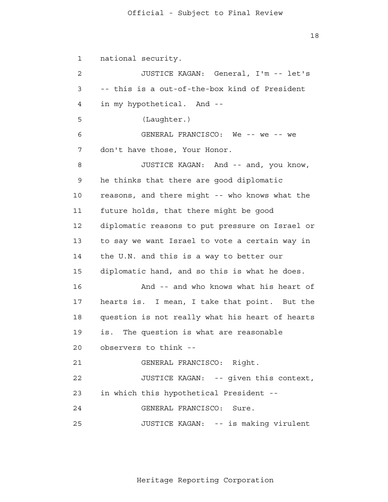18

 1 2 3 4 **5**  6 7 8 9 10 11 12 13 14 15 16 17 18 19 20 21 22 23 24 25 national security. JUSTICE KAGAN: General, I'm -- let's -- this is a out-of-the-box kind of President in my hypothetical. And - (Laughter.) GENERAL FRANCISCO: We -- we -- we don't have those, Your Honor. JUSTICE KAGAN: And -- and, you know, he thinks that there are good diplomatic reasons, and there might -- who knows what the future holds, that there might be good diplomatic reasons to put pressure on Israel or to say we want Israel to vote a certain way in the U.N. and this is a way to better our diplomatic hand, and so this is what he does. And -- and who knows what his heart of hearts is. I mean, I take that point. But the question is not really what his heart of hearts is. The question is what are reasonable observers to think - GENERAL FRANCISCO: Right. JUSTICE KAGAN: -- given this context, in which this hypothetical President - GENERAL FRANCISCO: Sure. JUSTICE KAGAN: -- is making virulent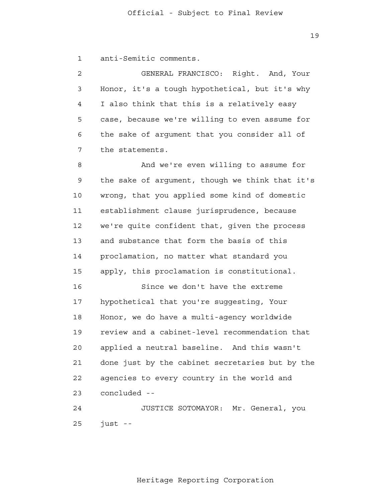19

 1 anti-Semitic comments.

 2 3 4 **5**  6 7 GENERAL FRANCISCO: Right. And, Your Honor, it's a tough hypothetical, but it's why I also think that this is a relatively easy case, because we're willing to even assume for the sake of argument that you consider all of the statements.

 8 9 10 11 12 13 14 15 And we're even willing to assume for the sake of argument, though we think that it's wrong, that you applied some kind of domestic establishment clause jurisprudence, because we're quite confident that, given the process and substance that form the basis of this proclamation, no matter what standard you apply, this proclamation is constitutional.

> 16 17 18 19 20 21 22 23 Since we don't have the extreme hypothetical that you're suggesting, Your Honor, we do have a multi-agency worldwide review and a cabinet-level recommendation that applied a neutral baseline. And this wasn't done just by the cabinet secretaries but by the agencies to every country in the world and concluded -

 24 25 JUSTICE SOTOMAYOR: Mr. General, you just -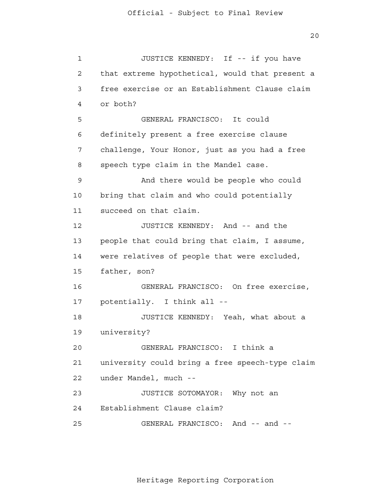20

```
 1 
 2 
 3 
 4 
5
 6 
 7 
 8 
 9 
            10 
            11 
            12 
            13 
            14 
            15 
            16 
            17 
            18 
            19 
            20 
            21 
            22 
            23 
            24 
            25 
                         JUSTICE KENNEDY: If -- if you have
                that extreme hypothetical, would that present a
                free exercise or an Establishment Clause claim
                or both?
                         GENERAL FRANCISCO: It could
                definitely present a free exercise clause
                challenge, Your Honor, just as you had a free
                speech type claim in the Mandel case.
                         And there would be people who could
                bring that claim and who could potentially
                succeed on that claim.
                         JUSTICE KENNEDY: And -- and the
                people that could bring that claim, I assume,
                were relatives of people that were excluded,
                father, son?
                         GENERAL FRANCISCO: On free exercise,
                potentially. I think all -
                         JUSTICE KENNEDY: Yeah, what about a
                university?
                         GENERAL FRANCISCO: I think a
                university could bring a free speech-type claim
                under Mandel, much -
                         JUSTICE SOTOMAYOR: Why not an 
                Establishment Clause claim? 
                         GENERAL FRANCISCO: And -- and -
```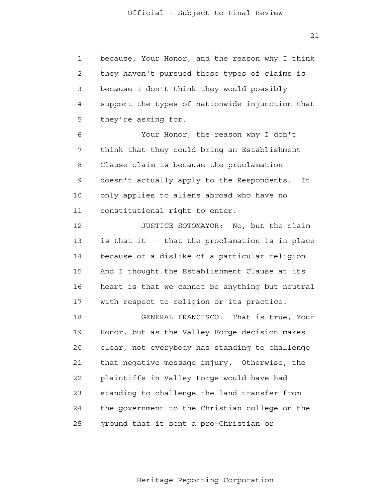1 2 3 4 **5** because, Your Honor, and the reason why I think they haven't pursued those types of claims is because I don't think they would possibly support the types of nationwide injunction that they're asking for.

 6 7 8 9 10 11 Your Honor, the reason why I don't think that they could bring an Establishment Clause claim is because the proclamation doesn't actually apply to the Respondents. It only applies to aliens abroad who have no constitutional right to enter.

 12 13 14 15 16 17 JUSTICE SOTOMAYOR: No, but the claim is that it -- that the proclamation is in place because of a dislike of a particular religion. And I thought the Establishment Clause at its heart is that we cannot be anything but neutral with respect to religion or its practice.

 18 19 20 21 **22**  23 24 25 GENERAL FRANCISCO: That is true, Your Honor, but as the Valley Forge decision makes clear, not everybody has standing to challenge that negative message injury. Otherwise, the plaintiffs in Valley Forge would have had standing to challenge the land transfer from the government to the Christian college on the ground that it sent a pro-Christian or

21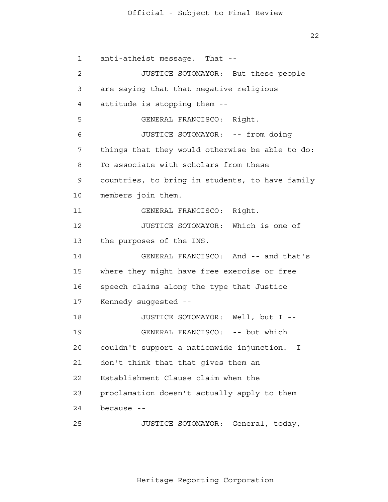22

 1 2 3 4 **5**  6 7 8 9 10 11 12 13 14 15 16 17 18 19 20 21 22 23 24 anti-atheist message. That - JUSTICE SOTOMAYOR: But these people are saying that that negative religious attitude is stopping them - GENERAL FRANCISCO: Right. JUSTICE SOTOMAYOR: -- from doing things that they would otherwise be able to do: To associate with scholars from these countries, to bring in students, to have family members join them. GENERAL FRANCISCO: Right. JUSTICE SOTOMAYOR: Which is one of the purposes of the INS. GENERAL FRANCISCO: And -- and that's where they might have free exercise or free speech claims along the type that Justice Kennedy suggested - JUSTICE SOTOMAYOR: Well, but I - GENERAL FRANCISCO: -- but which couldn't support a nationwide injunction. I don't think that that gives them an Establishment Clause claim when the proclamation doesn't actually apply to them because -

 25 JUSTICE SOTOMAYOR: General, today,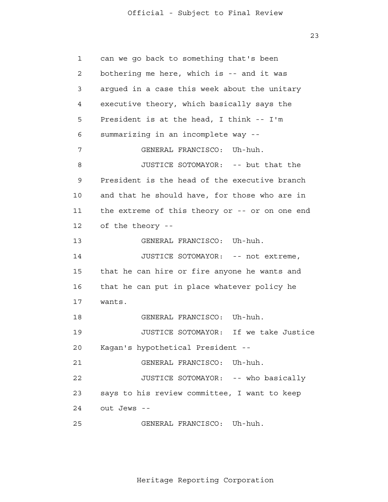23

 1 2 3 4 **5**  6 7 8 9 10 11 12 13 14 15 16 17 18 19 20 21 22 23 24 25 can we go back to something that's been bothering me here, which is -- and it was argued in a case this week about the unitary executive theory, which basically says the President is at the head, I think -- I'm summarizing in an incomplete way - GENERAL FRANCISCO: Uh-huh. JUSTICE SOTOMAYOR: -- but that the President is the head of the executive branch and that he should have, for those who are in the extreme of this theory or -- or on one end of the theory - GENERAL FRANCISCO: Uh-huh. JUSTICE SOTOMAYOR: -- not extreme, that he can hire or fire anyone he wants and that he can put in place whatever policy he wants. GENERAL FRANCISCO: Uh-huh. JUSTICE SOTOMAYOR: If we take Justice Kagan's hypothetical President - GENERAL FRANCISCO: Uh-huh. JUSTICE SOTOMAYOR: -- who basically says to his review committee, I want to keep out Jews - GENERAL FRANCISCO: Uh-huh.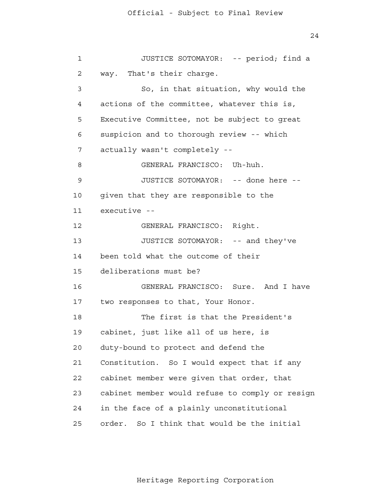24

```
 1 
 2 
 3 
 4 
5
 6 
 7 
 8 
 9 
            10 
           11 
           12 
            13 
 14 
           15 
           16 
           17 
           18 
           19 
           20 
           21 
           22 
           23 
            24 
            25 
                        JUSTICE SOTOMAYOR: -- period; find a
                way. That's their charge.
                        So, in that situation, why would the
                actions of the committee, whatever this is,
                Executive Committee, not be subject to great
                suspicion and to thorough review -- which
                actually wasn't completely -
                        GENERAL FRANCISCO: Uh-huh.
                        JUSTICE SOTOMAYOR: -- done here -
                given that they are responsible to the
                executive -
                        GENERAL FRANCISCO: Right.
                        JUSTICE SOTOMAYOR: -- and they've
                been told what the outcome of their
                deliberations must be?
                        GENERAL FRANCISCO: Sure. And I have
                two responses to that, Your Honor.
                        The first is that the President's
                cabinet, just like all of us here, is
                duty-bound to protect and defend the
                Constitution. So I would expect that if any
                cabinet member were given that order, that
                cabinet member would refuse to comply or resign
                in the face of a plainly unconstitutional
                order. So I think that would be the initial
```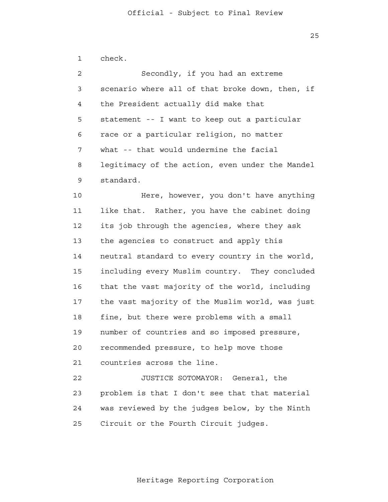25

 1 2 3 4 **5**  6 7 8 9 10 11 12 13 14 15 16 17 18 19 20 21 22 23 24 25 check. Secondly, if you had an extreme scenario where all of that broke down, then, if the President actually did make that statement -- I want to keep out a particular race or a particular religion, no matter what -- that would undermine the facial legitimacy of the action, even under the Mandel standard. Here, however, you don't have anything like that. Rather, you have the cabinet doing its job through the agencies, where they ask the agencies to construct and apply this neutral standard to every country in the world, including every Muslim country. They concluded that the vast majority of the world, including the vast majority of the Muslim world, was just fine, but there were problems with a small number of countries and so imposed pressure, recommended pressure, to help move those countries across the line. JUSTICE SOTOMAYOR: General, the problem is that I don't see that that material was reviewed by the judges below, by the Ninth Circuit or the Fourth Circuit judges.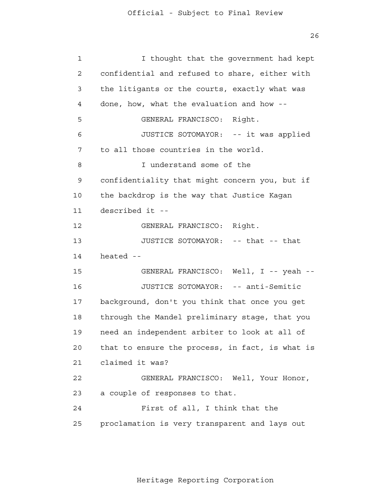26

| $\mathbf 1$ | I thought that the government had kept          |
|-------------|-------------------------------------------------|
| 2           | confidential and refused to share, either with  |
| 3           | the litigants or the courts, exactly what was   |
| 4           | done, how, what the evaluation and how --       |
| 5           | GENERAL FRANCISCO: Right.                       |
| 6           | JUSTICE SOTOMAYOR: -- it was applied            |
| 7           | to all those countries in the world.            |
| 8           | I understand some of the                        |
| 9           | confidentiality that might concern you, but if  |
| 10          | the backdrop is the way that Justice Kagan      |
| 11          | described it --                                 |
| 12          | GENERAL FRANCISCO: Right.                       |
| 13          | JUSTICE SOTOMAYOR: -- that -- that              |
| 14          | heated --                                       |
| 15          | GENERAL FRANCISCO: Well, I -- yeah --           |
| 16          | JUSTICE SOTOMAYOR: -- anti-Semitic              |
| 17          | background, don't you think that once you get   |
| 18          | through the Mandel preliminary stage, that you  |
| 19          | need an independent arbiter to look at all of   |
| 20          | that to ensure the process, in fact, is what is |
| 21          | claimed it was?                                 |
| 22          | GENERAL FRANCISCO: Well, Your Honor,            |
| 23          | a couple of responses to that.                  |
| 24          | First of all, I think that the                  |
| 25          | proclamation is very transparent and lays out   |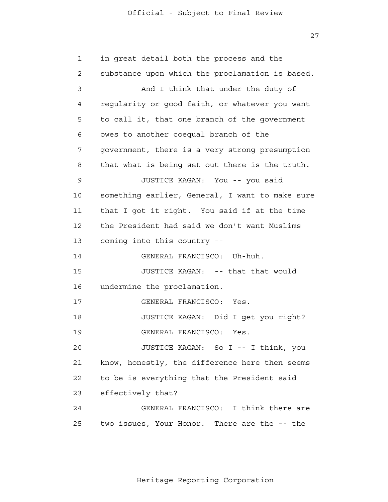27

| $\mathbf{1}$ | in great detail both the process and the        |
|--------------|-------------------------------------------------|
| 2            | substance upon which the proclamation is based. |
| 3            | And I think that under the duty of              |
| 4            | regularity or good faith, or whatever you want  |
| 5            | to call it, that one branch of the government   |
| 6            | owes to another coequal branch of the           |
| 7            | government, there is a very strong presumption  |
| 8            | that what is being set out there is the truth.  |
| 9            | JUSTICE KAGAN: You -- you said                  |
| 10           | something earlier, General, I want to make sure |
| 11           | that I got it right. You said if at the time    |
| 12           | the President had said we don't want Muslims    |
| 13           | coming into this country --                     |
| 14           | GENERAL FRANCISCO: Uh-huh.                      |
| 15           | JUSTICE KAGAN: -- that that would               |
| 16           | undermine the proclamation.                     |
| 17           | GENERAL FRANCISCO: Yes.                         |
| 18           | JUSTICE KAGAN: Did I get you right?             |
| 19           | GENERAL FRANCISCO:<br>Yes.                      |
| 20           | JUSTICE KAGAN: So I -- I think, you             |
| 21           | know, honestly, the difference here then seems  |
| 22           | to be is everything that the President said     |
| 23           | effectively that?                               |
| 24           | GENERAL FRANCISCO: I think there are            |
| 25           | two issues, Your Honor. There are the -- the    |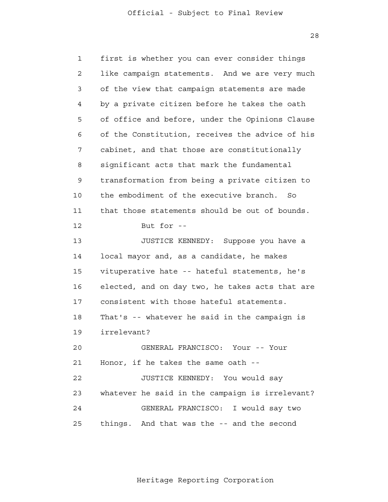28

 1 2 3 4 **5**  6 7 8 9 10 11 12 13 14 15 16 17 18 19 20 21 22 23 24 25 first is whether you can ever consider things like campaign statements. And we are very much of the view that campaign statements are made by a private citizen before he takes the oath of office and before, under the Opinions Clause of the Constitution, receives the advice of his cabinet, and that those are constitutionally significant acts that mark the fundamental transformation from being a private citizen to the embodiment of the executive branch. So that those statements should be out of bounds. But for  $-$ JUSTICE KENNEDY: Suppose you have a local mayor and, as a candidate, he makes vituperative hate -- hateful statements, he's elected, and on day two, he takes acts that are consistent with those hateful statements. That's -- whatever he said in the campaign is irrelevant? GENERAL FRANCISCO: Your -- Your Honor, if he takes the same oath - JUSTICE KENNEDY: You would say whatever he said in the campaign is irrelevant? GENERAL FRANCISCO: I would say two things. And that was the -- and the second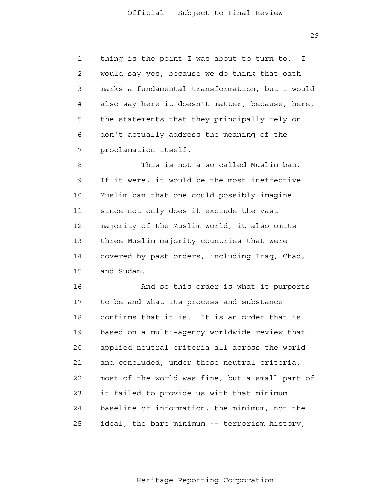29

 1 2 3 4 **5**  6 7 thing is the point I was about to turn to. I would say yes, because we do think that oath marks a fundamental transformation, but I would also say here it doesn't matter, because, here, the statements that they principally rely on don't actually address the meaning of the proclamation itself.

 8 9 10 11 12 13 14 15 This is not a so-called Muslim ban. If it were, it would be the most ineffective Muslim ban that one could possibly imagine since not only does it exclude the vast majority of the Muslim world, it also omits three Muslim-majority countries that were covered by past orders, including Iraq, Chad, and Sudan.

 16 17 18 19 20 21 22 23 24 <u>25</u> And so this order is what it purports to be and what its process and substance confirms that it is. It is an order that is based on a multi-agency worldwide review that applied neutral criteria all across the world and concluded, under those neutral criteria, most of the world was fine, but a small part of it failed to provide us with that minimum baseline of information, the minimum, not the ideal, the bare minimum -- terrorism history,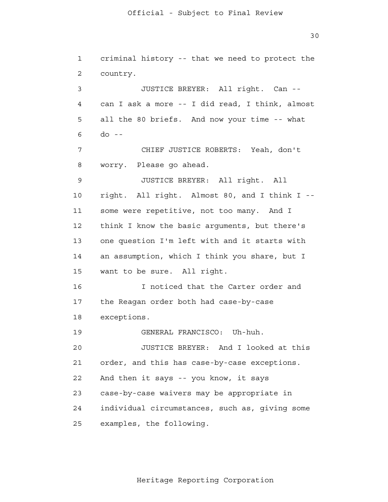1 2 3 4 **5**  6 7 8 9 10 11 12 13 14 15 16 17 18 19 20 21 22 23 24 25 criminal history -- that we need to protect the country. JUSTICE BREYER: All right. Can can I ask a more -- I did read, I think, almost all the 80 briefs. And now your time -- what  $do --$ CHIEF JUSTICE ROBERTS: Yeah, don't worry. Please go ahead. JUSTICE BREYER: All right. All right. All right. Almost 80, and I think I some were repetitive, not too many. And I think I know the basic arguments, but there's one question I'm left with and it starts with an assumption, which I think you share, but I want to be sure. All right. I noticed that the Carter order and the Reagan order both had case-by-case exceptions. GENERAL FRANCISCO: Uh-huh. JUSTICE BREYER: And I looked at this order, and this has case-by-case exceptions. And then it says -- you know, it says case-by-case waivers may be appropriate in individual circumstances, such as, giving some examples, the following.

Heritage Reporting Corporation

30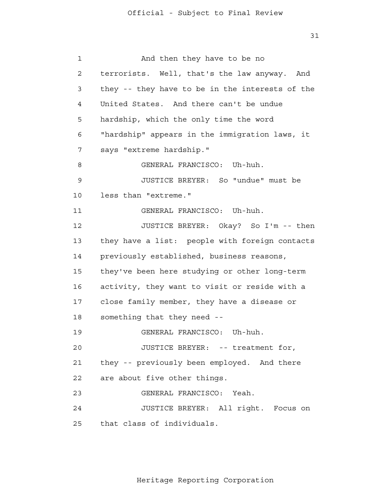31

| $\mathbf 1$ | And then they have to be no                     |
|-------------|-------------------------------------------------|
| 2           | terrorists. Well, that's the law anyway. And    |
| 3           | they -- they have to be in the interests of the |
| 4           | United States. And there can't be undue         |
| 5           | hardship, which the only time the word          |
| 6           | "hardship" appears in the immigration laws, it  |
| 7           | says "extreme hardship."                        |
| 8           | GENERAL FRANCISCO: Uh-huh.                      |
| 9           | JUSTICE BREYER: So "undue" must be              |
| 10          | less than "extreme."                            |
| 11          | GENERAL FRANCISCO: Uh-huh.                      |
| 12          | JUSTICE BREYER: Okay? So I'm -- then            |
| 13          | they have a list: people with foreign contacts  |
| 14          | previously established, business reasons,       |
| 15          | they've been here studying or other long-term   |
| 16          | activity, they want to visit or reside with a   |
| 17          | close family member, they have a disease or     |
| 18          | something that they need --                     |
| 19          | GENERAL FRANCISCO: Uh-huh.                      |
| 20          | JUSTICE BREYER: -- treatment for,               |
| 21          | they -- previously been employed. And there     |
| 22          | are about five other things.                    |
| 23          | GENERAL FRANCISCO: Yeah.                        |
| 24          | JUSTICE BREYER: All right. Focus on             |
| 25          | that class of individuals.                      |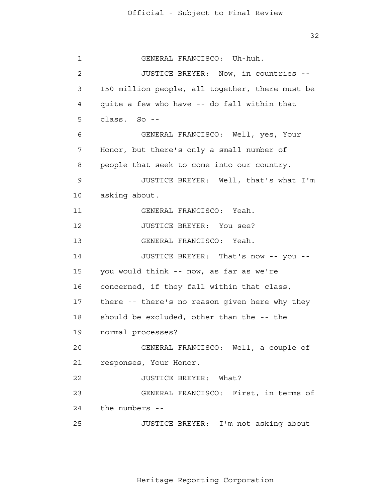32

 1 2 3 4 **5**  6 7 8 9 10 11 12 13 14 15 16 17 18 19 20 21 22 23 24 25 GENERAL FRANCISCO: Uh-huh. JUSTICE BREYER: Now, in countries - 150 million people, all together, there must be quite a few who have -- do fall within that class. So - GENERAL FRANCISCO: Well, yes, Your Honor, but there's only a small number of people that seek to come into our country. JUSTICE BREYER: Well, that's what I'm asking about. GENERAL FRANCISCO: Yeah. JUSTICE BREYER: You see? GENERAL FRANCISCO: Yeah. JUSTICE BREYER: That's now -- you you would think -- now, as far as we're concerned, if they fall within that class, there -- there's no reason given here why they should be excluded, other than the -- the normal processes? GENERAL FRANCISCO: Well, a couple of responses, Your Honor. JUSTICE BREYER: What? GENERAL FRANCISCO: First, in terms of the numbers - JUSTICE BREYER: I'm not asking about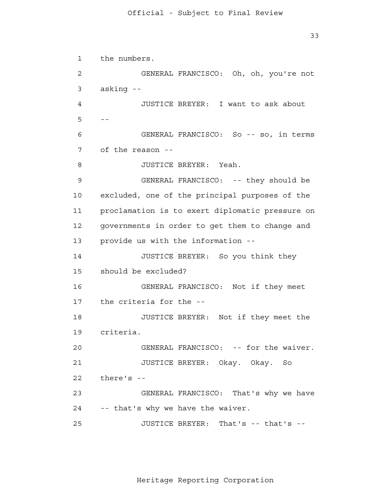1 2 3 4  $5 - -$  6 7 8 9 10 11 12 13 14 15 16 17 18 19 20 21 22 23 24 25 the numbers. GENERAL FRANCISCO: Oh, oh, you're not asking - JUSTICE BREYER: I want to ask about GENERAL FRANCISCO: So -- so, in terms of the reason - JUSTICE BREYER: Yeah. GENERAL FRANCISCO: -- they should be excluded, one of the principal purposes of the proclamation is to exert diplomatic pressure on governments in order to get them to change and provide us with the information - JUSTICE BREYER: So you think they should be excluded? GENERAL FRANCISCO: Not if they meet the criteria for the - JUSTICE BREYER: Not if they meet the criteria. GENERAL FRANCISCO: -- for the waiver. JUSTICE BREYER: Okay. Okay. So there's - GENERAL FRANCISCO: That's why we have -- that's why we have the waiver. JUSTICE BREYER: That's -- that's -

Heritage Reporting Corporation

33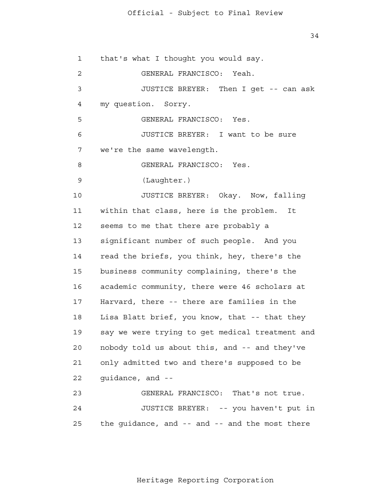34

 1 2 3 4 **5**  6 7 8 9 10 11 12 13 14 15 16 17 18 19 20 21 22 23 24 25 that's what I thought you would say. GENERAL FRANCISCO: Yeah. JUSTICE BREYER: Then I get -- can ask my question. Sorry. GENERAL FRANCISCO: Yes. JUSTICE BREYER: I want to be sure we're the same wavelength. GENERAL FRANCISCO: Yes. (Laughter.) JUSTICE BREYER: Okay. Now, falling within that class, here is the problem. It seems to me that there are probably a significant number of such people. And you read the briefs, you think, hey, there's the business community complaining, there's the academic community, there were 46 scholars at Harvard, there -- there are families in the Lisa Blatt brief, you know, that -- that they say we were trying to get medical treatment and nobody told us about this, and -- and they've only admitted two and there's supposed to be guidance, and - GENERAL FRANCISCO: That's not true. JUSTICE BREYER: -- you haven't put in the guidance, and -- and -- and the most there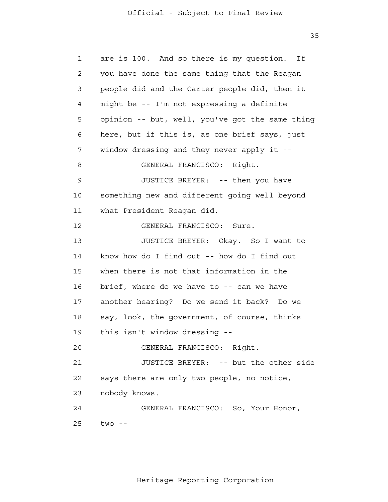35

 1 2 3 4 **5**  6 7 8 9 10 11 12 13 14 15 16 17 18 19 20 21 22 23 24 25 are is 100. And so there is my question. If you have done the same thing that the Reagan people did and the Carter people did, then it might be -- I'm not expressing a definite opinion -- but, well, you've got the same thing here, but if this is, as one brief says, just window dressing and they never apply it - GENERAL FRANCISCO: Right. JUSTICE BREYER: -- then you have something new and different going well beyond what President Reagan did. GENERAL FRANCISCO: Sure. JUSTICE BREYER: Okay. So I want to know how do I find out -- how do I find out when there is not that information in the brief, where do we have to -- can we have another hearing? Do we send it back? Do we say, look, the government, of course, thinks this isn't window dressing - GENERAL FRANCISCO: Right. JUSTICE BREYER: -- but the other side says there are only two people, no notice, nobody knows. GENERAL FRANCISCO: So, Your Honor,  $two - -$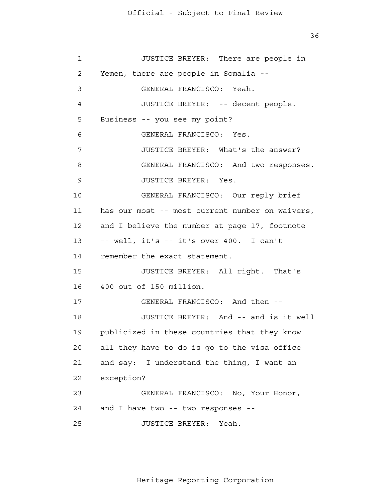36

| $\mathbf 1$ | JUSTICE BREYER: There are people in             |
|-------------|-------------------------------------------------|
| 2           | Yemen, there are people in Somalia --           |
| 3           | GENERAL FRANCISCO: Yeah.                        |
| 4           | JUSTICE BREYER: -- decent people.               |
| 5           | Business -- you see my point?                   |
| 6           | GENERAL FRANCISCO: Yes.                         |
| 7           | JUSTICE BREYER: What's the answer?              |
| 8           | GENERAL FRANCISCO: And two responses.           |
| 9           | JUSTICE BREYER: Yes.                            |
| 10          | GENERAL FRANCISCO: Our reply brief              |
| 11          | has our most -- most current number on waivers, |
| 12          | and I believe the number at page 17, footnote   |
| 13          | -- well, it's -- it's over 400. I can't         |
| 14          | remember the exact statement.                   |
| 15          | JUSTICE BREYER: All right. That's               |
| 16          | 400 out of 150 million.                         |
| 17          | GENERAL FRANCISCO: And then --                  |
| 18          | JUSTICE BREYER: And -- and is it well           |
| 19          | publicized in these countries that they know    |
| 20          | all they have to do is go to the visa office    |
| 21          | and say: I understand the thing, I want an      |
| 22          | exception?                                      |
| 23          | GENERAL FRANCISCO: No, Your Honor,              |
| 24          | and I have two -- two responses --              |
| 25          | JUSTICE BREYER:<br>Yeah.                        |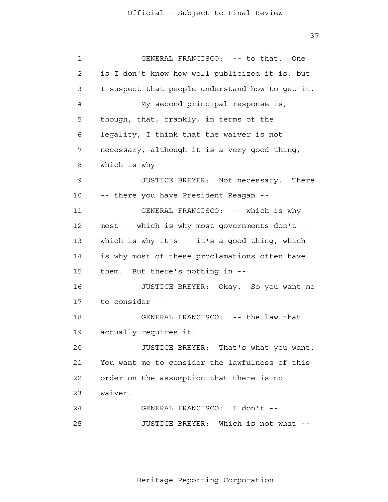37

 1 2 3 4 **5**  6 7 8 9 10 11 12 13 14 15 16 17 18 19 20 21 22 23 24 25 GENERAL FRANCISCO: -- to that. One is I don't know how well publicized it is, but I suspect that people understand how to get it. My second principal response is, though, that, frankly, in terms of the legality, I think that the waiver is not necessary, although it is a very good thing, which is why - JUSTICE BREYER: Not necessary. There -- there you have President Reagan - GENERAL FRANCISCO: -- which is why most -- which is why most governments don't which is why it's -- it's a good thing, which is why most of these proclamations often have them. But there's nothing in - JUSTICE BREYER: Okay. So you want me to consider - GENERAL FRANCISCO: -- the law that actually requires it. JUSTICE BREYER: That's what you want. You want me to consider the lawfulness of this order on the assumption that there is no waiver. GENERAL FRANCISCO: I don't - JUSTICE BREYER: Which is not what -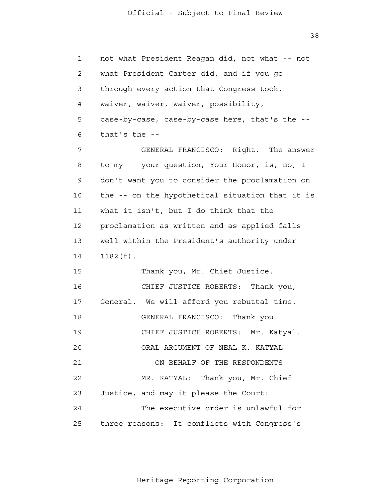38

 1 2 3 4 **5**  6 7 8 9 10 11 12 13 14 15 16 17 18 19 20 21 **22**  23 24 25 not what President Reagan did, not what -- not what President Carter did, and if you go through every action that Congress took, waiver, waiver, waiver, possibility, case-by-case, case-by-case here, that's the that's the - GENERAL FRANCISCO: Right. The answer to my -- your question, Your Honor, is, no, I don't want you to consider the proclamation on the -- on the hypothetical situation that it is what it isn't, but I do think that the proclamation as written and as applied falls well within the President's authority under 1182(f). Thank you, Mr. Chief Justice. CHIEF JUSTICE ROBERTS: Thank you, General. We will afford you rebuttal time. GENERAL FRANCISCO: Thank you. CHIEF JUSTICE ROBERTS: Mr. Katyal. ORAL ARGUMENT OF NEAL K. KATYAL ON BEHALF OF THE RESPONDENTS MR. KATYAL: Thank you, Mr. Chief Justice, and may it please the Court: The executive order is unlawful for three reasons: It conflicts with Congress's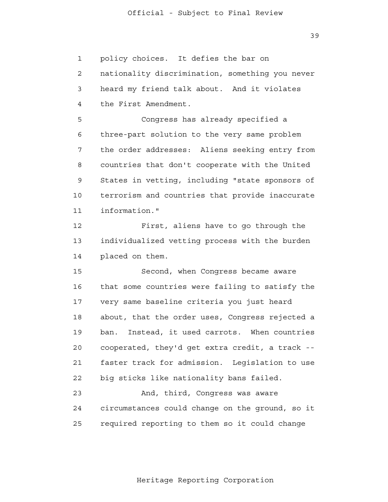39

 1 2 3 4 **5**  6 7 8 9 10 11 12 13 14 15 16 17 18 19 20 21 **22**  23 24 25 policy choices. It defies the bar on nationality discrimination, something you never heard my friend talk about. And it violates the First Amendment. Congress has already specified a three-part solution to the very same problem the order addresses: Aliens seeking entry from countries that don't cooperate with the United States in vetting, including "state sponsors of terrorism and countries that provide inaccurate information." First, aliens have to go through the individualized vetting process with the burden placed on them. Second, when Congress became aware that some countries were failing to satisfy the very same baseline criteria you just heard about, that the order uses, Congress rejected a ban. Instead, it used carrots. When countries cooperated, they'd get extra credit, a track faster track for admission. Legislation to use big sticks like nationality bans failed. And, third, Congress was aware circumstances could change on the ground, so it required reporting to them so it could change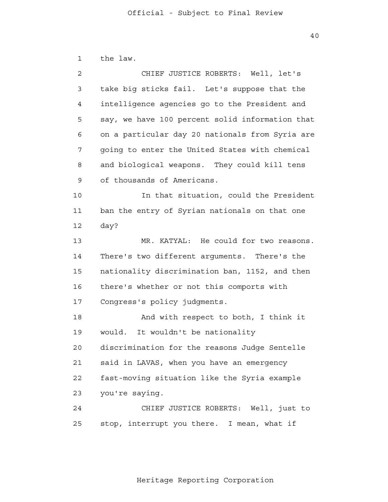| $\mathbf{1}$   | the law.                                        |
|----------------|-------------------------------------------------|
| $\overline{2}$ | CHIEF JUSTICE ROBERTS: Well, let's              |
| 3              | take big sticks fail. Let's suppose that the    |
| 4              | intelligence agencies go to the President and   |
| 5              | say, we have 100 percent solid information that |
| 6              | on a particular day 20 nationals from Syria are |
| 7              | going to enter the United States with chemical  |
| 8              | and biological weapons. They could kill tens    |
| 9              | of thousands of Americans.                      |
| 10             | In that situation, could the President          |
| 11             | ban the entry of Syrian nationals on that one   |
| 12             | day?                                            |
| 13             | MR. KATYAL: He could for two reasons.           |
| 14             | There's two different arguments. There's the    |
| 15             | nationality discrimination ban, 1152, and then  |
| 16             | there's whether or not this comports with       |
| 17             | Congress's policy judgments.                    |
| 18             | And with respect to both, I think it            |
| 19             | would.<br>It wouldn't be nationality            |
| 20             | discrimination for the reasons Judge Sentelle   |
| 21             | said in LAVAS, when you have an emergency       |
| 22             | fast-moving situation like the Syria example    |
| 23             | you're saying.                                  |
| 24             | CHIEF JUSTICE ROBERTS: Well, just to            |
| 25             | stop, interrupt you there. I mean, what if      |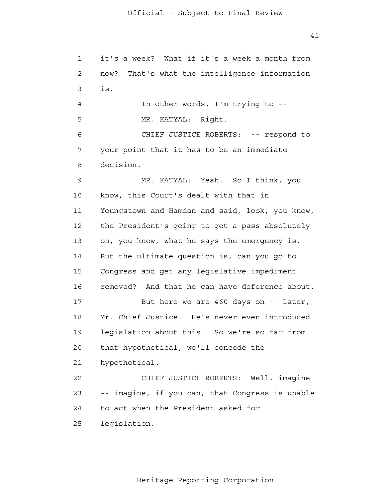```
 1 
 2 
 3 
 4 
5
 6 
 7 
 8 
 9 
            10 
           11 
           12 
            13 
 14 
           15 
           16 
           17 
            18 
            19 
           20 
           21 
            22 
            23 
            24 
            25 
                it's a week? What if it's a week a month from
                now? That's what the intelligence information
                is.
                         In other words, I'm trying to -
                        MR. KATYAL: Right.
                         CHIEF JUSTICE ROBERTS: -- respond to
                your point that it has to be an immediate
                decision.
                         MR. KATYAL: Yeah. So I think, you
                know, this Court's dealt with that in
                Youngstown and Hamdan and said, look, you know,
                the President's going to get a pass absolutely
                on, you know, what he says the emergency is.
                But the ultimate question is, can you go to
                Congress and get any legislative impediment
                removed? And that he can have deference about.
                         But here we are 460 days on -- later,
                Mr. Chief Justice. He's never even introduced
                legislation about this. So we're so far from
                that hypothetical, we'll concede the
                hypothetical.
                         CHIEF JUSTICE ROBERTS: Well, imagine
                -- imagine, if you can, that Congress is unable
                to act when the President asked for
                legislation.
```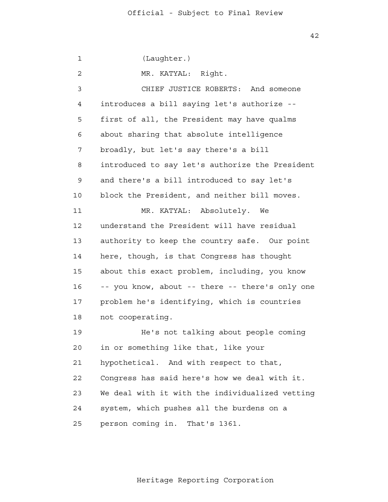1 2 3 4 **5**  6 7 8 9 10 11 12 13 14 15 16 17 18 19 20 21 22 23 24 25 (Laughter.) MR. KATYAL: Right. CHIEF JUSTICE ROBERTS: And someone introduces a bill saying let's authorize first of all, the President may have qualms about sharing that absolute intelligence broadly, but let's say there's a bill introduced to say let's authorize the President and there's a bill introduced to say let's block the President, and neither bill moves. MR. KATYAL: Absolutely. We understand the President will have residual authority to keep the country safe. Our point here, though, is that Congress has thought about this exact problem, including, you know -- you know, about -- there -- there's only one problem he's identifying, which is countries not cooperating. He's not talking about people coming in or something like that, like your hypothetical. And with respect to that, Congress has said here's how we deal with it. We deal with it with the individualized vetting system, which pushes all the burdens on a person coming in. That's 1361.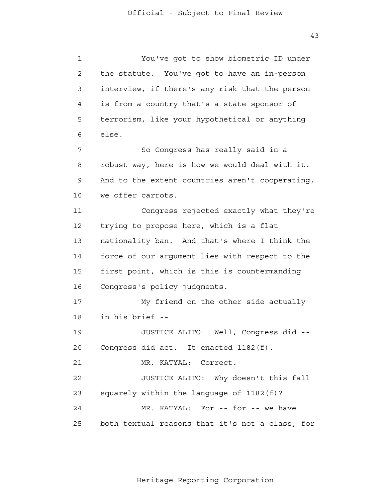43

 1 2 3 4 **5**  6 7 8 9 10 11 12 13 14 15 16 17 18 19 20 21 22 23 24 25 You've got to show biometric ID under the statute. You've got to have an in-person interview, if there's any risk that the person is from a country that's a state sponsor of terrorism, like your hypothetical or anything else. So Congress has really said in a robust way, here is how we would deal with it. And to the extent countries aren't cooperating, we offer carrots. Congress rejected exactly what they're trying to propose here, which is a flat nationality ban. And that's where I think the force of our argument lies with respect to the first point, which is this is countermanding Congress's policy judgments. My friend on the other side actually in his brief - JUSTICE ALITO: Well, Congress did - Congress did act. It enacted 1182(f). MR. KATYAL: Correct. JUSTICE ALITO: Why doesn't this fall squarely within the language of 1182(f)? MR. KATYAL: For -- for -- we have both textual reasons that it's not a class, for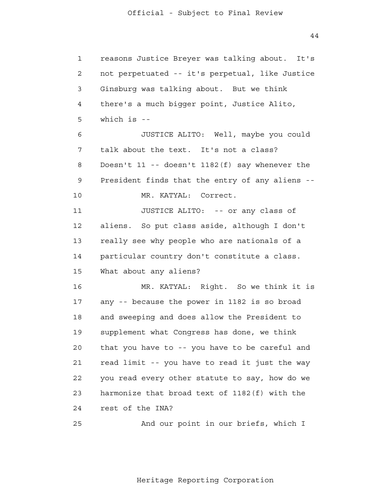44

| $\mathbf{1}$ | reasons Justice Breyer was talking about. It's     |
|--------------|----------------------------------------------------|
| 2            | not perpetuated -- it's perpetual, like Justice    |
| 3            | Ginsburg was talking about. But we think           |
| 4            | there's a much bigger point, Justice Alito,        |
| 5            | which is $-$                                       |
| 6            | JUSTICE ALITO: Well, maybe you could               |
| 7            | talk about the text. It's not a class?             |
| 8            | Doesn't $11$ -- doesn't $1182(f)$ say whenever the |
| 9            | President finds that the entry of any aliens --    |
| 10           | MR. KATYAL: Correct.                               |
| 11           | JUSTICE ALITO: -- or any class of                  |
| 12           | aliens. So put class aside, although I don't       |
| 13           | really see why people who are nationals of a       |
| 14           | particular country don't constitute a class.       |
| 15           | What about any aliens?                             |
| 16           | MR. KATYAL: Right. So we think it is               |
| 17           | any -- because the power in 1182 is so broad       |
| 18           | and sweeping and does allow the President to       |
| 19           | supplement what Congress has done, we think        |
| 20           | that you have to -- you have to be careful and     |
| 21           | read limit -- you have to read it just the way     |
| 22           | you read every other statute to say, how do we     |
| 23           | harmonize that broad text of 1182(f) with the      |
| 24           | rest of the INA?                                   |
| 25           | And our point in our briefs, which I               |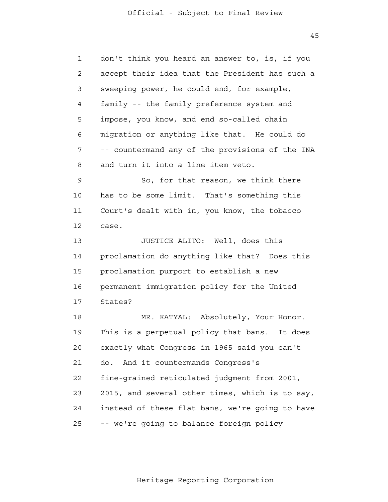45

| $\mathbf 1$    | don't think you heard an answer to, is, if you  |
|----------------|-------------------------------------------------|
| $\overline{a}$ | accept their idea that the President has such a |
| 3              | sweeping power, he could end, for example,      |
| 4              | family -- the family preference system and      |
| 5              | impose, you know, and end so-called chain       |
| 6              | migration or anything like that. He could do    |
| 7              | -- countermand any of the provisions of the INA |
| 8              | and turn it into a line item veto.              |
| 9              | So, for that reason, we think there             |
| 10             | has to be some limit. That's something this     |
| 11             | Court's dealt with in, you know, the tobacco    |
| 12             | case.                                           |
| 13             | JUSTICE ALITO: Well, does this                  |
| 14             | proclamation do anything like that? Does this   |
| 15             | proclamation purport to establish a new         |
| 16             | permanent immigration policy for the United     |
| 17             | States?                                         |
| 18             | MR. KATYAL: Absolutely, Your Honor.             |
| 19             | This is a perpetual policy that bans. It does   |
| 20             | exactly what Congress in 1965 said you can't    |
| 21             | And it countermands Congress's<br>do.           |
| 22             | fine-grained reticulated judgment from 2001,    |
| 23             | 2015, and several other times, which is to say, |
| 24             | instead of these flat bans, we're going to have |
| 25             | -- we're going to balance foreign policy        |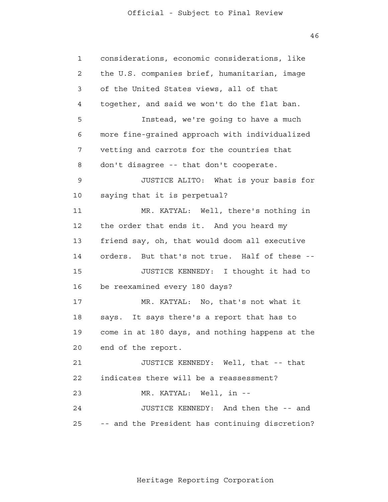46

| $\mathbf{1}$   | considerations, economic considerations, like    |
|----------------|--------------------------------------------------|
| $\overline{2}$ | the U.S. companies brief, humanitarian, image    |
| 3              | of the United States views, all of that          |
| 4              | together, and said we won't do the flat ban.     |
| 5              | Instead, we're going to have a much              |
| 6              | more fine-grained approach with individualized   |
| 7              | vetting and carrots for the countries that       |
| 8              | don't disagree -- that don't cooperate.          |
| 9              | JUSTICE ALITO: What is your basis for            |
| 10             | saying that it is perpetual?                     |
| 11             | MR. KATYAL: Well, there's nothing in             |
| 12             | the order that ends it. And you heard my         |
| 13             | friend say, oh, that would doom all executive    |
| 14             | But that's not true. Half of these --<br>orders. |
| 15             | JUSTICE KENNEDY: I thought it had to             |
| 16             | be reexamined every 180 days?                    |
| 17             | MR. KATYAL: No, that's not what it               |
| 18             | says. It says there's a report that has to       |
| 19             | come in at 180 days, and nothing happens at the  |
| 20             | end of the report.                               |
| 21             | JUSTICE KENNEDY: Well, that -- that              |
| 22             | indicates there will be a reassessment?          |
| 23             | MR. KATYAL: Well, in --                          |
| 24             | JUSTICE KENNEDY: And then the -- and             |
| 25             | and the President has continuing discretion?     |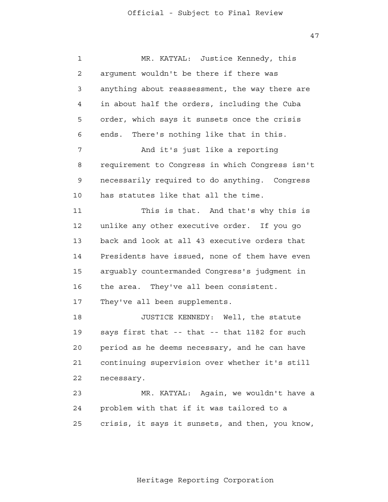47

 1 2 3 4 **5**  6 7 8 9 10 11 12 13 14 15 16 17 18 19 20 21 22 23 24 25 MR. KATYAL: Justice Kennedy, this argument wouldn't be there if there was anything about reassessment, the way there are in about half the orders, including the Cuba order, which says it sunsets once the crisis ends. There's nothing like that in this. And it's just like a reporting requirement to Congress in which Congress isn't necessarily required to do anything. Congress has statutes like that all the time. This is that. And that's why this is unlike any other executive order. If you go back and look at all 43 executive orders that Presidents have issued, none of them have even arguably countermanded Congress's judgment in the area. They've all been consistent. They've all been supplements. JUSTICE KENNEDY: Well, the statute says first that -- that -- that 1182 for such period as he deems necessary, and he can have continuing supervision over whether it's still necessary. MR. KATYAL: Again, we wouldn't have a problem with that if it was tailored to a crisis, it says it sunsets, and then, you know,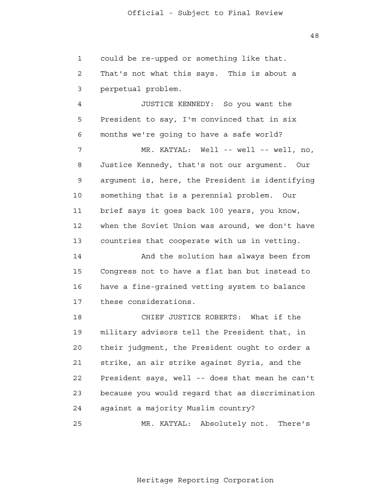1 2 3 could be re-upped or something like that. That's not what this says. This is about a

perpetual problem.

 4 **5**  6 JUSTICE KENNEDY: So you want the President to say, I'm convinced that in six months we're going to have a safe world?

 7 8 9 10 11 12 13 MR. KATYAL: Well -- well -- well, no, Justice Kennedy, that's not our argument. Our argument is, here, the President is identifying something that is a perennial problem. Our brief says it goes back 100 years, you know, when the Soviet Union was around, we don't have countries that cooperate with us in vetting.

 14 15 16 17 And the solution has always been from Congress not to have a flat ban but instead to have a fine-grained vetting system to balance these considerations.

 18 19 20 21 **22**  23 24 CHIEF JUSTICE ROBERTS: What if the military advisors tell the President that, in their judgment, the President ought to order a strike, an air strike against Syria, and the President says, well -- does that mean he can't because you would regard that as discrimination against a majority Muslim country?

> 25 MR. KATYAL: Absolutely not. There's

> > Heritage Reporting Corporation

48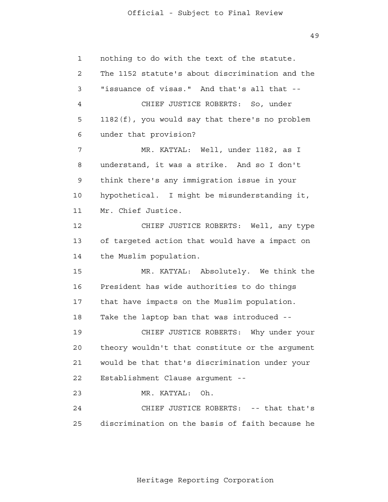49

| $\mathbf{1}$ | nothing to do with the text of the statute.     |
|--------------|-------------------------------------------------|
| $\mathbf{2}$ | The 1152 statute's about discrimination and the |
| 3            | "issuance of visas." And that's all that --     |
| 4            | CHIEF JUSTICE ROBERTS: So, under                |
| 5            | 1182(f), you would say that there's no problem  |
| 6            | under that provision?                           |
| 7            | MR. KATYAL: Well, under 1182, as I              |
| 8            | understand, it was a strike. And so I don't     |
| 9            | think there's any immigration issue in your     |
| 10           | hypothetical. I might be misunderstanding it,   |
| 11           | Mr. Chief Justice.                              |
| 12           | CHIEF JUSTICE ROBERTS: Well, any type           |
| 13           | of targeted action that would have a impact on  |
| 14           | the Muslim population.                          |
| 15           | MR. KATYAL: Absolutely. We think the            |
| 16           | President has wide authorities to do things     |
| 17           | that have impacts on the Muslim population.     |
| 18           | Take the laptop ban that was introduced --      |
| 19           | CHIEF JUSTICE ROBERTS: Why under your           |
| 20           | theory wouldn't that constitute or the argument |
| 21           | would be that that's discrimination under your  |
| 22           | Establishment Clause argument --                |
| 23           | MR. KATYAL:<br>Oh.                              |
| 24           | CHIEF JUSTICE ROBERTS: -- that that's           |
| 25           | discrimination on the basis of faith because he |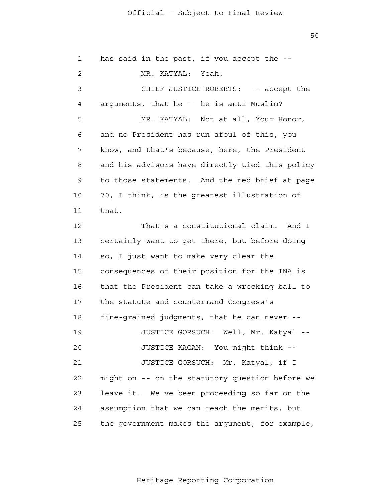50

 1 2 3 4 **5**  6 7 8 9 10 11 12 13 14 15 16 17 18 19 20 21 22 23 24 25 has said in the past, if you accept the - MR. KATYAL: Yeah. CHIEF JUSTICE ROBERTS: -- accept the arguments, that he -- he is anti-Muslim? MR. KATYAL: Not at all, Your Honor, and no President has run afoul of this, you know, and that's because, here, the President and his advisors have directly tied this policy to those statements. And the red brief at page 70, I think, is the greatest illustration of that. That's a constitutional claim. And I certainly want to get there, but before doing so, I just want to make very clear the consequences of their position for the INA is that the President can take a wrecking ball to the statute and countermand Congress's fine-grained judgments, that he can never - JUSTICE GORSUCH: Well, Mr. Katyal - JUSTICE KAGAN: You might think - JUSTICE GORSUCH: Mr. Katyal, if I might on -- on the statutory question before we leave it. We've been proceeding so far on the assumption that we can reach the merits, but the government makes the argument, for example,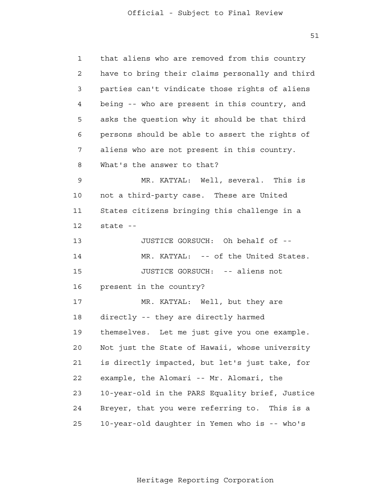51

| $\mathbf{1}$ | that aliens who are removed from this country   |
|--------------|-------------------------------------------------|
| 2            | have to bring their claims personally and third |
| 3            | parties can't vindicate those rights of aliens  |
| 4            | being -- who are present in this country, and   |
| 5            | asks the question why it should be that third   |
| 6            | persons should be able to assert the rights of  |
| 7            | aliens who are not present in this country.     |
| 8            | What's the answer to that?                      |
| 9            | MR. KATYAL: Well, several. This is              |
| 10           | not a third-party case. These are United        |
| 11           | States citizens bringing this challenge in a    |
| 12           | state --                                        |
| 13           | JUSTICE GORSUCH: Oh behalf of --                |
| 14           | MR. KATYAL: -- of the United States.            |
| 15           | JUSTICE GORSUCH: -- aliens not                  |
| 16           | present in the country?                         |
| 17           | MR. KATYAL: Well, but they are                  |
| 18           | directly -- they are directly harmed            |
| 19           | themselves. Let me just give you one example.   |
| 20           | Not just the State of Hawaii, whose university  |
| 21           | is directly impacted, but let's just take, for  |
| 22           | example, the Alomari -- Mr. Alomari, the        |
| 23           | 10-year-old in the PARS Equality brief, Justice |
| 24           | Breyer, that you were referring to. This is a   |
| 25           | 10-year-old daughter in Yemen who is -- who's   |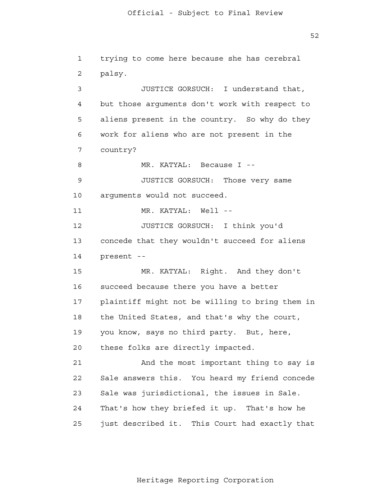1

2

 3 4 **5**  6 7 8 9 10 11 12 13 14 15 16 17 18 19 20 21 22 23 24 25 JUSTICE GORSUCH: I understand that, but those arguments don't work with respect to aliens present in the country. So why do they work for aliens who are not present in the country? MR. KATYAL: Because I - JUSTICE GORSUCH: Those very same arguments would not succeed. MR. KATYAL: Well --JUSTICE GORSUCH: I think you'd concede that they wouldn't succeed for aliens present - MR. KATYAL: Right. And they don't succeed because there you have a better plaintiff might not be willing to bring them in the United States, and that's why the court, you know, says no third party. But, here, these folks are directly impacted. And the most important thing to say is Sale answers this. You heard my friend concede Sale was jurisdictional, the issues in Sale. That's how they briefed it up. That's how he just described it. This Court had exactly that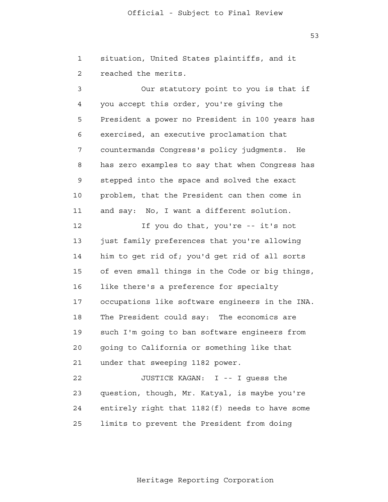1 2 situation, United States plaintiffs, and it reached the merits.

 3 4 **5**  6 7 8 9 10 11 12 13 14 15 16 17 18 19 20 21 Our statutory point to you is that if you accept this order, you're giving the President a power no President in 100 years has exercised, an executive proclamation that countermands Congress's policy judgments. He has zero examples to say that when Congress has stepped into the space and solved the exact problem, that the President can then come in and say: No, I want a different solution. If you do that, you're -- it's not just family preferences that you're allowing him to get rid of; you'd get rid of all sorts of even small things in the Code or big things, like there's a preference for specialty occupations like software engineers in the INA. The President could say: The economics are such I'm going to ban software engineers from going to California or something like that under that sweeping 1182 power.

 22 23 24 <u>25</u> JUSTICE KAGAN: I -- I guess the question, though, Mr. Katyal, is maybe you're entirely right that 1182(f) needs to have some limits to prevent the President from doing

53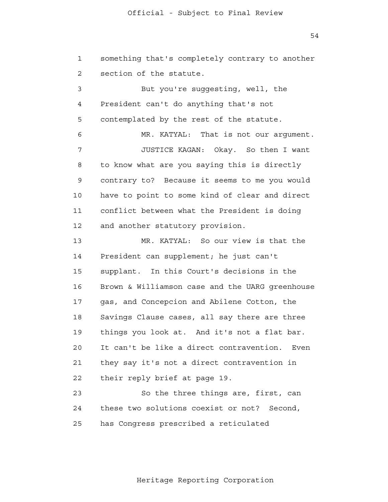1 2 something that's completely contrary to another section of the statute.

 3 4 **5**  6 7 8 9 10 11 12 13 14 15 16 17 18 19 20 21 But you're suggesting, well, the President can't do anything that's not contemplated by the rest of the statute. MR. KATYAL: That is not our argument. JUSTICE KAGAN: Okay. So then I want to know what are you saying this is directly contrary to? Because it seems to me you would have to point to some kind of clear and direct conflict between what the President is doing and another statutory provision. MR. KATYAL: So our view is that the President can supplement; he just can't supplant. In this Court's decisions in the Brown & Williamson case and the UARG greenhouse gas, and Concepcion and Abilene Cotton, the Savings Clause cases, all say there are three things you look at. And it's not a flat bar. It can't be like a direct contravention. Even they say it's not a direct contravention in

> 22 their reply brief at page 19.

 23 24 25 So the three things are, first, can these two solutions coexist or not? Second, has Congress prescribed a reticulated

Heritage Reporting Corporation

54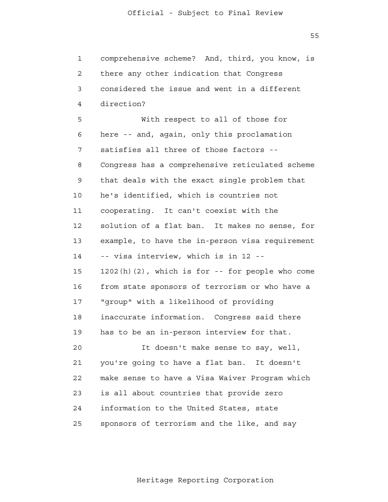$55$ 

| $\mathbf{1}$   | comprehensive scheme? And, third, you know, is     |
|----------------|----------------------------------------------------|
| $\overline{2}$ | there any other indication that Congress           |
| 3              | considered the issue and went in a different       |
| 4              | direction?                                         |
| 5              | With respect to all of those for                   |
| 6              | here -- and, again, only this proclamation         |
| 7              | satisfies all three of those factors --            |
| 8              | Congress has a comprehensive reticulated scheme    |
| 9              | that deals with the exact single problem that      |
| 10             | he's identified, which is countries not            |
| 11             | cooperating. It can't coexist with the             |
| 12             | solution of a flat ban. It makes no sense, for     |
| 13             | example, to have the in-person visa requirement    |
| 14             | -- visa interview, which is in 12 --               |
| 15             | $1202(h)(2)$ , which is for -- for people who come |
| 16             | from state sponsors of terrorism or who have a     |
| 17             | "group" with a likelihood of providing             |
| 18             | inaccurate information. Congress said there        |
| 19             | has to be an in-person interview for that.         |
| 20             | It doesn't make sense to say, well,                |
| 21             | you're going to have a flat ban. It doesn't        |
| 22             | make sense to have a Visa Waiver Program which     |
| 23             | is all about countries that provide zero           |
| 24             | information to the United States, state            |
| 25             | sponsors of terrorism and the like, and say        |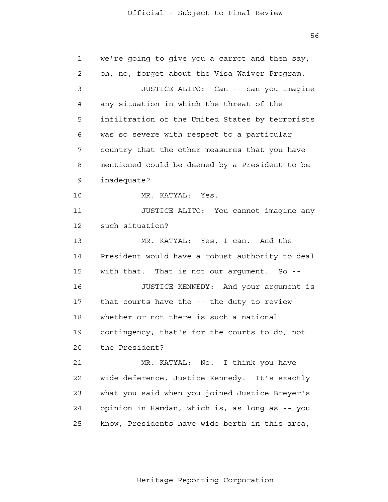56

 1 2 3 4 **5**  6 7 8 9 10 11 12 13 14 15 16 17 18 19 20 21 **22**  23 24 25 we're going to give you a carrot and then say, oh, no, forget about the Visa Waiver Program. JUSTICE ALITO: Can -- can you imagine any situation in which the threat of the infiltration of the United States by terrorists was so severe with respect to a particular country that the other measures that you have mentioned could be deemed by a President to be inadequate? MR. KATYAL: Yes. JUSTICE ALITO: You cannot imagine any such situation? MR. KATYAL: Yes, I can. And the President would have a robust authority to deal with that. That is not our argument. So --JUSTICE KENNEDY: And your argument is that courts have the -- the duty to review whether or not there is such a national contingency; that's for the courts to do, not the President? MR. KATYAL: No. I think you have wide deference, Justice Kennedy. It's exactly what you said when you joined Justice Breyer's opinion in Hamdan, which is, as long as -- you know, Presidents have wide berth in this area,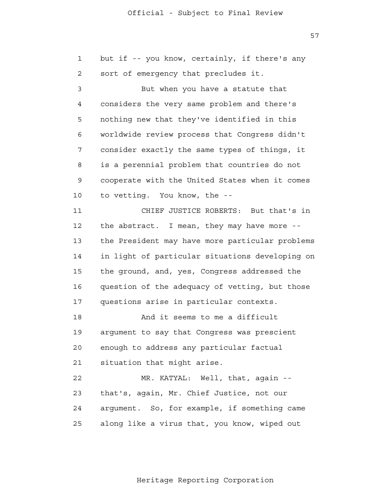57

 1 2 3 4 **5**  6 7 8 9 10 11 12 13 14 15 16 17 18 19 20 21 22 23 24 25 but if -- you know, certainly, if there's any sort of emergency that precludes it. But when you have a statute that considers the very same problem and there's nothing new that they've identified in this worldwide review process that Congress didn't consider exactly the same types of things, it is a perennial problem that countries do not cooperate with the United States when it comes to vetting. You know, the - CHIEF JUSTICE ROBERTS: But that's in the abstract. I mean, they may have more the President may have more particular problems in light of particular situations developing on the ground, and, yes, Congress addressed the question of the adequacy of vetting, but those questions arise in particular contexts. And it seems to me a difficult argument to say that Congress was prescient enough to address any particular factual situation that might arise. MR. KATYAL: Well, that, again -that's, again, Mr. Chief Justice, not our argument. So, for example, if something came along like a virus that, you know, wiped out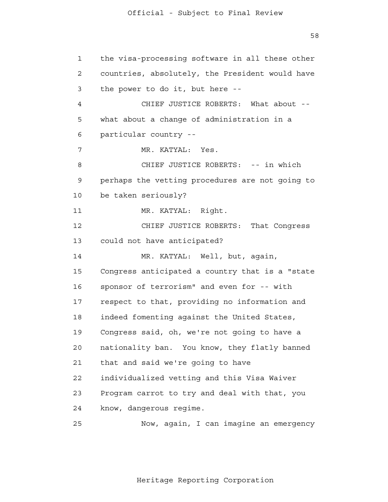58

 1 2 3 4 **5**  6 7 8 9 10 11 12 13 14 15 16 17 18 19 20 21 22 23 24 25 the visa-processing software in all these other countries, absolutely, the President would have the power to do it, but here - CHIEF JUSTICE ROBERTS: What about what about a change of administration in a particular country - MR. KATYAL: Yes. CHIEF JUSTICE ROBERTS: -- in which perhaps the vetting procedures are not going to be taken seriously? MR. KATYAL: Right. CHIEF JUSTICE ROBERTS: That Congress could not have anticipated? MR. KATYAL: Well, but, again, Congress anticipated a country that is a "state sponsor of terrorism" and even for -- with respect to that, providing no information and indeed fomenting against the United States, Congress said, oh, we're not going to have a nationality ban. You know, they flatly banned that and said we're going to have individualized vetting and this Visa Waiver Program carrot to try and deal with that, you know, dangerous regime. Now, again, I can imagine an emergency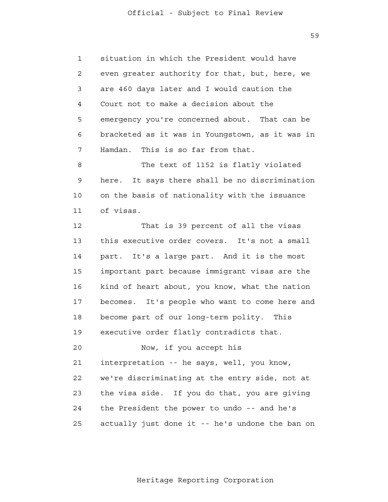59

 1 2 3 4 **5**  6 7 situation in which the President would have even greater authority for that, but, here, we are 460 days later and I would caution the Court not to make a decision about the emergency you're concerned about. That can be bracketed as it was in Youngstown, as it was in Hamdan. This is so far from that.

 8 9 10 11 The text of 1152 is flatly violated here. It says there shall be no discrimination on the basis of nationality with the issuance of visas.

 12 13 14 15 16 17 18 19 20 21 22 23 24 25 That is 39 percent of all the visas this executive order covers. It's not a small part. It's a large part. And it is the most important part because immigrant visas are the kind of heart about, you know, what the nation becomes. It's people who want to come here and become part of our long-term polity. This executive order flatly contradicts that. Now, if you accept his interpretation -- he says, well, you know, we're discriminating at the entry side, not at the visa side. If you do that, you are giving the President the power to undo -- and he's actually just done it -- he's undone the ban on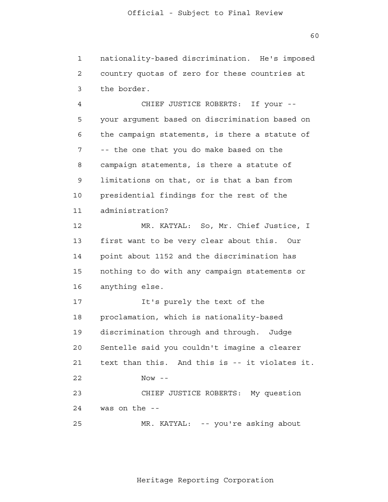1 2 3 nationality-based discrimination. He's imposed country quotas of zero for these countries at the border.

 4 **5**  6 7 8 9 10 11 12 13 14 CHIEF JUSTICE ROBERTS: If your your argument based on discrimination based on the campaign statements, is there a statute of -- the one that you do make based on the campaign statements, is there a statute of limitations on that, or is that a ban from presidential findings for the rest of the administration? MR. KATYAL: So, Mr. Chief Justice, I first want to be very clear about this. Our point about 1152 and the discrimination has

 15 16 nothing to do with any campaign statements or anything else.

 17 18 19 20 21 22 23 24 25 It's purely the text of the proclamation, which is nationality-based discrimination through and through. Judge Sentelle said you couldn't imagine a clearer text than this. And this is -- it violates it.  $Now - -$ CHIEF JUSTICE ROBERTS: My question was on the - MR. KATYAL: -- you're asking about

60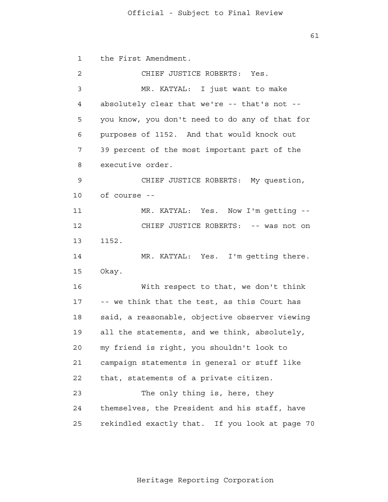61

 1 2 3 4 **5**  6 7 8 9 10 11 12 13 14 15 16 17 18 19 20 21 22 23 24 25 the First Amendment. CHIEF JUSTICE ROBERTS: Yes. MR. KATYAL: I just want to make absolutely clear that we're -- that's not you know, you don't need to do any of that for purposes of 1152. And that would knock out 39 percent of the most important part of the executive order. CHIEF JUSTICE ROBERTS: My question, of course - MR. KATYAL: Yes. Now I'm getting - CHIEF JUSTICE ROBERTS: -- was not on 1152. MR. KATYAL: Yes. I'm getting there. Okay. With respect to that, we don't think -- we think that the test, as this Court has said, a reasonable, objective observer viewing all the statements, and we think, absolutely, my friend is right, you shouldn't look to campaign statements in general or stuff like that, statements of a private citizen. The only thing is, here, they themselves, the President and his staff, have rekindled exactly that. If you look at page 70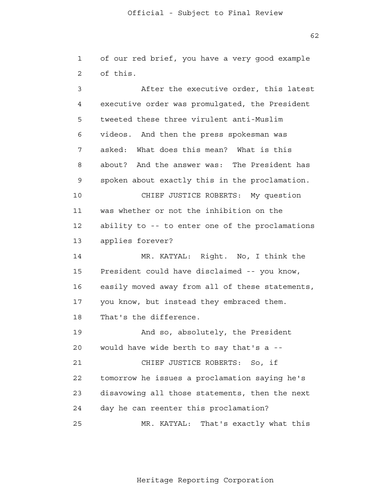1 2 of our red brief, you have a very good example of this.

 3 4 **5**  6 7 8 9 10 11 12 13 14 15 16 17 18 19 20 21 **22**  23 24 25 After the executive order, this latest executive order was promulgated, the President tweeted these three virulent anti-Muslim videos. And then the press spokesman was asked: What does this mean? What is this about? And the answer was: The President has spoken about exactly this in the proclamation. CHIEF JUSTICE ROBERTS: My question was whether or not the inhibition on the ability to -- to enter one of the proclamations applies forever? MR. KATYAL: Right. No, I think the President could have disclaimed -- you know, easily moved away from all of these statements, you know, but instead they embraced them. That's the difference. And so, absolutely, the President would have wide berth to say that's a - CHIEF JUSTICE ROBERTS: So, if tomorrow he issues a proclamation saying he's disavowing all those statements, then the next day he can reenter this proclamation? MR. KATYAL: That's exactly what this

Heritage Reporting Corporation

 $62$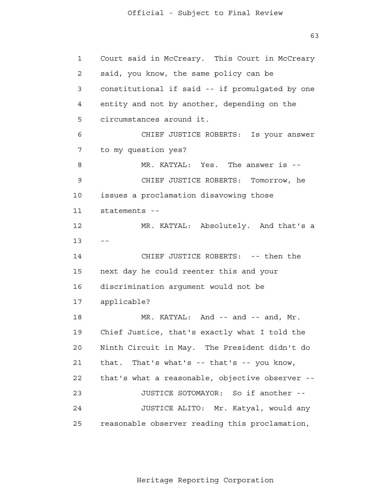63

 1 2 3 4 **5**  6 7 8 9 10 11 12  $13$  -- 14 15 16 17 18 19 20 21 22 23 24 25 Court said in McCreary. This Court in McCreary said, you know, the same policy can be constitutional if said -- if promulgated by one entity and not by another, depending on the circumstances around it. CHIEF JUSTICE ROBERTS: Is your answer to my question yes? MR. KATYAL: Yes. The answer is --CHIEF JUSTICE ROBERTS: Tomorrow, he issues a proclamation disavowing those statements - MR. KATYAL: Absolutely. And that's a CHIEF JUSTICE ROBERTS: -- then the next day he could reenter this and your discrimination argument would not be applicable? MR. KATYAL: And -- and -- and, Mr. Chief Justice, that's exactly what I told the Ninth Circuit in May. The President didn't do that. That's what's -- that's -- you know, that's what a reasonable, objective observer - JUSTICE SOTOMAYOR: So if another - JUSTICE ALITO: Mr. Katyal, would any reasonable observer reading this proclamation,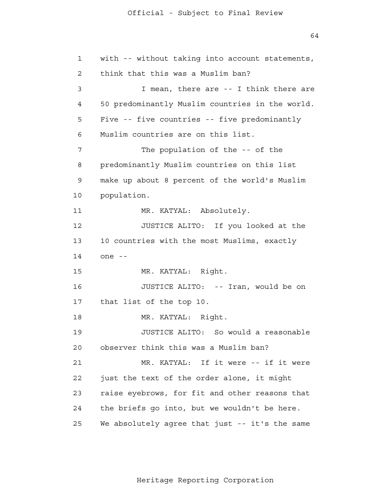64

```
 1 
 2 
 3 
 4 
5
 6 
 7 
 8 
 9 
            10 
           11 
           12 
            13 
            14 
           15 
           16 
           17 
           18 
           19 
           20 
           21 
22
            23 
            24 
            25 
                with -- without taking into account statements,
                think that this was a Muslim ban?
                         I mean, there are -- I think there are
                50 predominantly Muslim countries in the world.
                Five -- five countries -- five predominantly
                Muslim countries are on this list.
                         The population of the -- of the
                predominantly Muslim countries on this list
                make up about 8 percent of the world's Muslim
                population.
                         MR. KATYAL: Absolutely.
                         JUSTICE ALITO: If you looked at the
                10 countries with the most Muslims, exactly
                one -
                         MR. KATYAL: Right.
                         JUSTICE ALITO: -- Iran, would be on
                that list of the top 10.
                         MR. KATYAL: Right.
                         JUSTICE ALITO: So would a reasonable
                observer think this was a Muslim ban?
                         MR. KATYAL: If it were -- if it were
                just the text of the order alone, it might
                raise eyebrows, for fit and other reasons that
                the briefs go into, but we wouldn't be here.
                We absolutely agree that just -- it's the same
```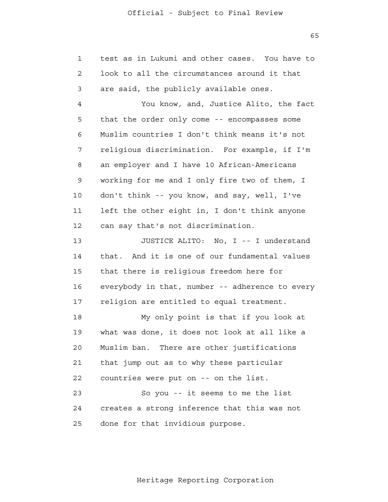1 2 3 4 **5**  6 7 8 9 10 11 12 13 14 15 16 17 18 19 20 21 **22**  23 24 25 test as in Lukumi and other cases. You have to look to all the circumstances around it that are said, the publicly available ones. You know, and, Justice Alito, the fact that the order only come -- encompasses some Muslim countries I don't think means it's not religious discrimination. For example, if I'm an employer and I have 10 African-Americans working for me and I only fire two of them, I don't think -- you know, and say, well, I've left the other eight in, I don't think anyone can say that's not discrimination. JUSTICE ALITO: No, I -- I understand that. And it is one of our fundamental values that there is religious freedom here for everybody in that, number -- adherence to every religion are entitled to equal treatment. My only point is that if you look at what was done, it does not look at all like a Muslim ban. There are other justifications that jump out as to why these particular countries were put on -- on the list. So you -- it seems to me the list creates a strong inference that this was not done for that invidious purpose.

 $65$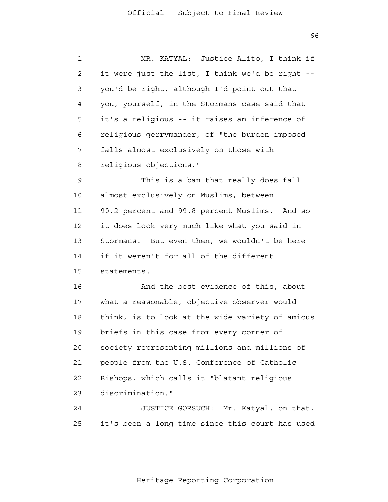$66$ 

| $\mathbf 1$ | MR. KATYAL: Justice Alito, I think if           |
|-------------|-------------------------------------------------|
| 2           | it were just the list, I think we'd be right -- |
| 3           | you'd be right, although I'd point out that     |
| 4           | you, yourself, in the Stormans case said that   |
| 5           | it's a religious -- it raises an inference of   |
| 6           | religious gerrymander, of "the burden imposed   |
| 7           | falls almost exclusively on those with          |
| 8           | religious objections."                          |
| 9           | This is a ban that really does fall             |
| 10          | almost exclusively on Muslims, between          |
| 11          | 90.2 percent and 99.8 percent Muslims. And so   |
| 12          | it does look very much like what you said in    |
| 13          | Stormans. But even then, we wouldn't be here    |
| 14          | if it weren't for all of the different          |
| 15          | statements.                                     |
| 16          | And the best evidence of this, about            |
| 17          | what a reasonable, objective observer would     |
| 18          | think, is to look at the wide variety of amicus |
| 19          | briefs in this case from every corner of        |
| 20          | society representing millions and millions of   |
| 21          | people from the U.S. Conference of Catholic     |
| 22          | Bishops, which calls it "blatant religious      |
| 23          | discrimination."                                |
| 24          | JUSTICE GORSUCH: Mr. Katyal, on that,           |
| 25          | it's been a long time since this court has used |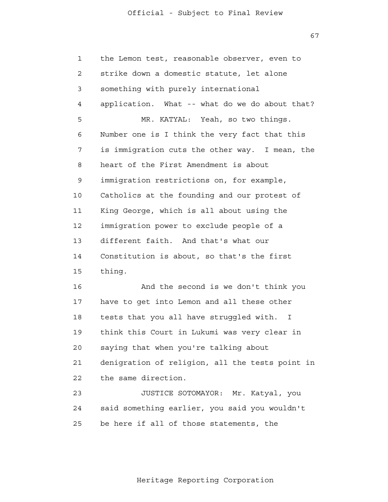67

| 1              | the Lemon test, reasonable observer, even to    |
|----------------|-------------------------------------------------|
| $\overline{2}$ | strike down a domestic statute, let alone       |
| 3              | something with purely international             |
| 4              | application. What -- what do we do about that?  |
| 5              | MR. KATYAL: Yeah, so two things.                |
| 6              | Number one is I think the very fact that this   |
| 7              | is immigration cuts the other way. I mean, the  |
| 8              | heart of the First Amendment is about           |
| 9              | immigration restrictions on, for example,       |
| 10             | Catholics at the founding and our protest of    |
| 11             | King George, which is all about using the       |
| 12             | immigration power to exclude people of a        |
| 13             | different faith. And that's what our            |
| 14             | Constitution is about, so that's the first      |
| 15             | thing.                                          |
| 16             | And the second is we don't think you            |
| 17             | have to get into Lemon and all these other      |
| 18             | tests that you all have struggled with. I       |
| 19             | think this Court in Lukumi was very clear in    |
| 20             | saying that when you're talking about           |
| 21             | denigration of religion, all the tests point in |
| 22             | the same direction.                             |
| 23             | JUSTICE SOTOMAYOR: Mr. Katyal, you              |
| 24             | said something earlier, you said you wouldn't   |
| 25             | be here if all of those statements, the         |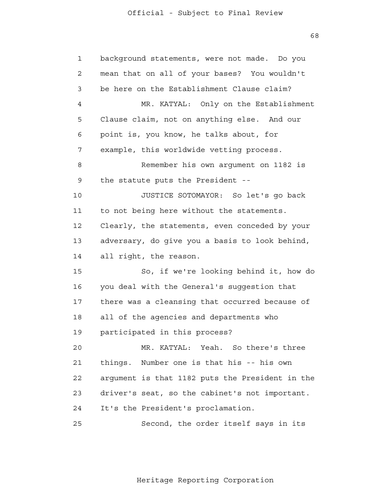1 2 3 4 **5**  6 7 8 9 10 11 12 13 14 15 16 17 18 19 20 21 **22**  23 24 25 background statements, were not made. Do you mean that on all of your bases? You wouldn't be here on the Establishment Clause claim? MR. KATYAL: Only on the Establishment Clause claim, not on anything else. And our point is, you know, he talks about, for example, this worldwide vetting process. Remember his own argument on 1182 is the statute puts the President - JUSTICE SOTOMAYOR: So let's go back to not being here without the statements. Clearly, the statements, even conceded by your adversary, do give you a basis to look behind, all right, the reason. So, if we're looking behind it, how do you deal with the General's suggestion that there was a cleansing that occurred because of all of the agencies and departments who participated in this process? MR. KATYAL: Yeah. So there's three things. Number one is that his -- his own argument is that 1182 puts the President in the driver's seat, so the cabinet's not important. It's the President's proclamation. Second, the order itself says in its

Heritage Reporting Corporation

 $68$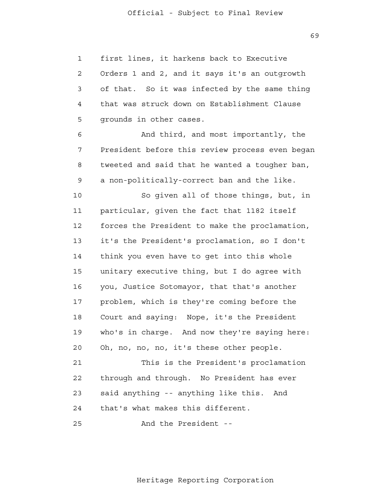1 2 3 4 **5**  6 7 8 9 10 11 12 13 14 15 16 17 18 19 20 21 **22**  23 first lines, it harkens back to Executive Orders 1 and 2, and it says it's an outgrowth of that. So it was infected by the same thing that was struck down on Establishment Clause grounds in other cases. And third, and most importantly, the President before this review process even began tweeted and said that he wanted a tougher ban, a non-politically-correct ban and the like. So given all of those things, but, in particular, given the fact that 1182 itself forces the President to make the proclamation, it's the President's proclamation, so I don't think you even have to get into this whole unitary executive thing, but I do agree with you, Justice Sotomayor, that that's another problem, which is they're coming before the Court and saying: Nope, it's the President who's in charge. And now they're saying here: Oh, no, no, no, it's these other people. This is the President's proclamation through and through. No President has ever said anything -- anything like this. And

> 25 And the President -

that's what makes this different.

24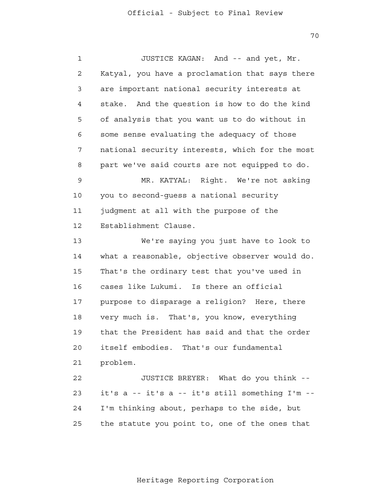70

 1 2 3 4 **5**  6 7 8 9 10 11 12 13 14 15 16 17 18 19 20 21 22 23 24 25 JUSTICE KAGAN: And -- and yet, Mr. Katyal, you have a proclamation that says there are important national security interests at stake. And the question is how to do the kind of analysis that you want us to do without in some sense evaluating the adequacy of those national security interests, which for the most part we've said courts are not equipped to do. MR. KATYAL: Right. We're not asking you to second-guess a national security judgment at all with the purpose of the Establishment Clause. We're saying you just have to look to what a reasonable, objective observer would do. That's the ordinary test that you've used in cases like Lukumi. Is there an official purpose to disparage a religion? Here, there very much is. That's, you know, everything that the President has said and that the order itself embodies. That's our fundamental problem. JUSTICE BREYER: What do you think it's a -- it's a -- it's still something I'm - I'm thinking about, perhaps to the side, but the statute you point to, one of the ones that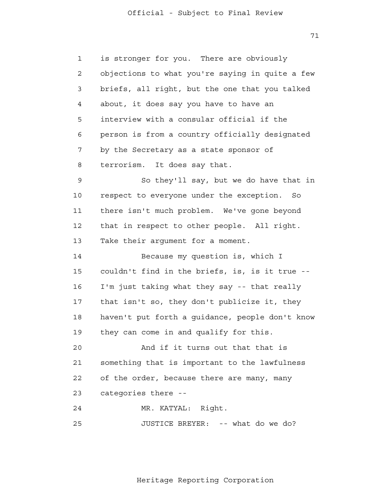71

| $\mathbf{1}$ | is stronger for you. There are obviously        |
|--------------|-------------------------------------------------|
| 2            | objections to what you're saying in quite a few |
| 3            | briefs, all right, but the one that you talked  |
| 4            | about, it does say you have to have an          |
| 5            | interview with a consular official if the       |
| 6            | person is from a country officially designated  |
| 7            | by the Secretary as a state sponsor of          |
| 8            | It does say that.<br>terrorism.                 |
| 9            | So they'll say, but we do have that in          |
| 10           | respect to everyone under the exception.<br>So  |
| 11           | there isn't much problem. We've gone beyond     |
| 12           | that in respect to other people. All right.     |
| 13           | Take their argument for a moment.               |
| 14           | Because my question is, which I                 |
| 15           | couldn't find in the briefs, is, is it true --  |
| 16           | I'm just taking what they say -- that really    |
| 17           | that isn't so, they don't publicize it, they    |
| 18           | haven't put forth a guidance, people don't know |
| 19           | they can come in and qualify for this.          |
| 20           | And if it turns out that that is                |
| 21           | something that is important to the lawfulness   |
| 22           | of the order, because there are many, many      |
| 23           | categories there --                             |
| 24           | MR. KATYAL: Right.                              |
| 25           | JUSTICE BREYER: -- what do we do?               |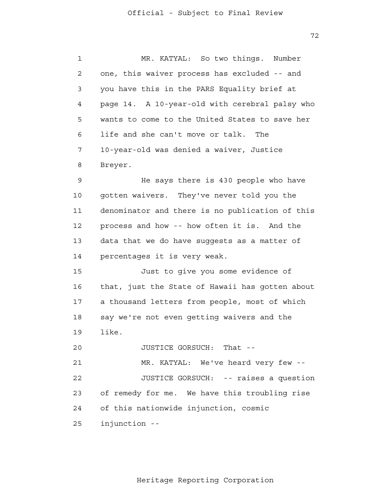72

 1 2 3 4 **5**  6 7 8 9 10 11 12 13 14 15 16 17 18 19 20 21 22 23 MR. KATYAL: So two things. Number one, this waiver process has excluded -- and you have this in the PARS Equality brief at page 14. A 10-year-old with cerebral palsy who wants to come to the United States to save her life and she can't move or talk. The 10-year-old was denied a waiver, Justice Breyer. He says there is 430 people who have gotten waivers. They've never told you the denominator and there is no publication of this process and how -- how often it is. And the data that we do have suggests as a matter of percentages it is very weak. Just to give you some evidence of that, just the State of Hawaii has gotten about a thousand letters from people, most of which say we're not even getting waivers and the like. JUSTICE GORSUCH: That - MR. KATYAL: We've heard very few - JUSTICE GORSUCH: -- raises a question of remedy for me. We have this troubling rise of this nationwide injunction, cosmic

24

 25 injunction -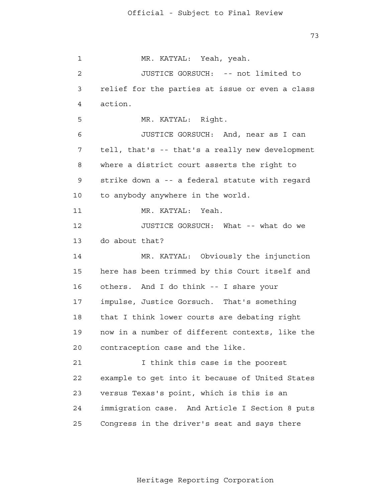73

 1 2 3 4 **5**  6 7 8 9 10 11 12 13 14 15 16 17 18 19 20 21 **22**  23 24 25 MR. KATYAL: Yeah, yeah. JUSTICE GORSUCH: -- not limited to relief for the parties at issue or even a class action. MR. KATYAL: Right. JUSTICE GORSUCH: And, near as I can tell, that's -- that's a really new development where a district court asserts the right to strike down a -- a federal statute with regard to anybody anywhere in the world. MR. KATYAL: Yeah. JUSTICE GORSUCH: What -- what do we do about that? MR. KATYAL: Obviously the injunction here has been trimmed by this Court itself and others. And I do think -- I share your impulse, Justice Gorsuch. That's something that I think lower courts are debating right now in a number of different contexts, like the contraception case and the like. I think this case is the poorest example to get into it because of United States versus Texas's point, which is this is an immigration case. And Article I Section 8 puts Congress in the driver's seat and says there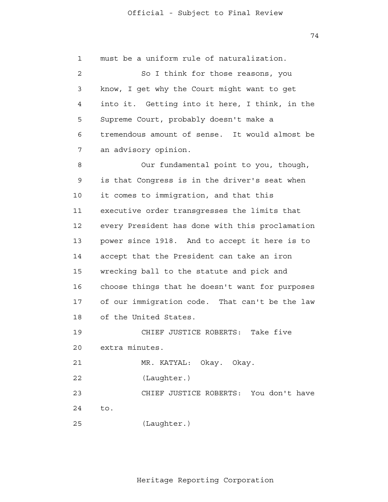74

 1 2 3 4 **5**  6 7 8 9 10 11 12 13 14 15 16 17 18 19 20 21 22 23 24 25 must be a uniform rule of naturalization. So I think for those reasons, you know, I get why the Court might want to get into it. Getting into it here, I think, in the Supreme Court, probably doesn't make a tremendous amount of sense. It would almost be an advisory opinion. Our fundamental point to you, though, is that Congress is in the driver's seat when it comes to immigration, and that this executive order transgresses the limits that every President has done with this proclamation power since 1918. And to accept it here is to accept that the President can take an iron wrecking ball to the statute and pick and choose things that he doesn't want for purposes of our immigration code. That can't be the law of the United States. CHIEF JUSTICE ROBERTS: Take five extra minutes. MR. KATYAL: Okay. Okay. (Laughter.) CHIEF JUSTICE ROBERTS: You don't have to. (Laughter.)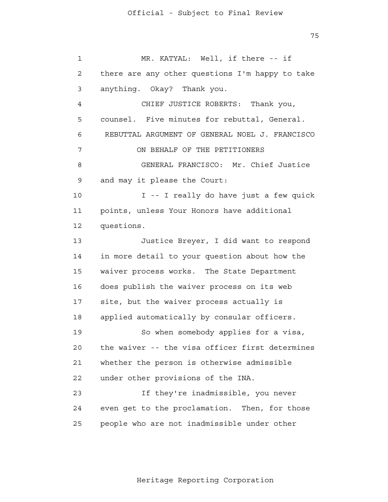1 2 3 4 **5**  6 7 8 9 10 11 12 13 14 15 16 17 18 19 20 MR. KATYAL: Well, if there -- if there are any other questions I'm happy to take anything. Okay? Thank you. CHIEF JUSTICE ROBERTS: Thank you, counsel. Five minutes for rebuttal, General. REBUTTAL ARGUMENT OF GENERAL NOEL J. FRANCISCO ON BEHALF OF THE PETITIONERS GENERAL FRANCISCO: Mr. Chief Justice and may it please the Court: I -- I really do have just a few quick points, unless Your Honors have additional questions. Justice Breyer, I did want to respond in more detail to your question about how the waiver process works. The State Department does publish the waiver process on its web site, but the waiver process actually is applied automatically by consular officers. So when somebody applies for a visa, the waiver -- the visa officer first determines

> 21 22 23 whether the person is otherwise admissible under other provisions of the INA. If they're inadmissible, you never

 24 25 even get to the proclamation. Then, for those people who are not inadmissible under other

75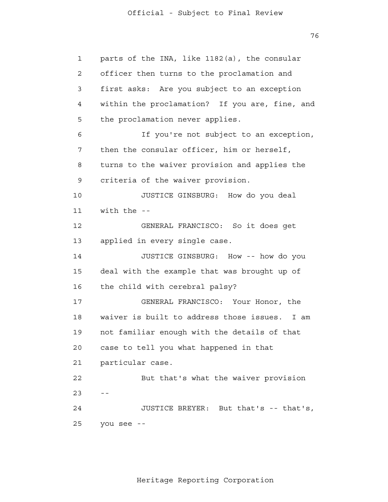76

 1 2 3 4 **5**  6 7 8 9 10 11 12 13 14 15 16 17 18 19 20 21 22  $23$  -- 24 25 parts of the INA, like 1182(a), the consular officer then turns to the proclamation and first asks: Are you subject to an exception within the proclamation? If you are, fine, and the proclamation never applies. If you're not subject to an exception, then the consular officer, him or herself, turns to the waiver provision and applies the criteria of the waiver provision. JUSTICE GINSBURG: How do you deal with the  $-$ GENERAL FRANCISCO: So it does get applied in every single case. JUSTICE GINSBURG: How -- how do you deal with the example that was brought up of the child with cerebral palsy? GENERAL FRANCISCO: Your Honor, the waiver is built to address those issues. I am not familiar enough with the details of that case to tell you what happened in that particular case. But that's what the waiver provision JUSTICE BREYER: But that's -- that's, you see -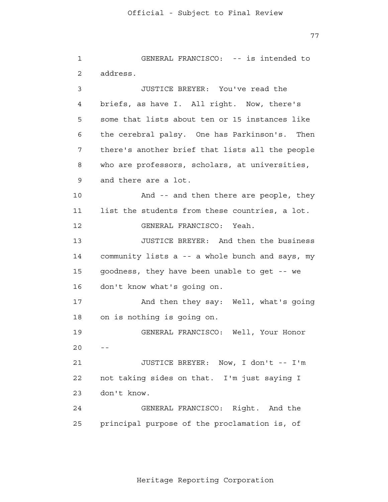77

 1 2 3 4 **5**  6 7 8 9 10 11 12 13 14 15 16 17 18 19 20 21 22 23 24 25 GENERAL FRANCISCO: -- is intended to address. JUSTICE BREYER: You've read the briefs, as have I. All right. Now, there's some that lists about ten or 15 instances like the cerebral palsy. One has Parkinson's. Then there's another brief that lists all the people who are professors, scholars, at universities, and there are a lot. And -- and then there are people, they list the students from these countries, a lot. GENERAL FRANCISCO: Yeah. JUSTICE BREYER: And then the business community lists a -- a whole bunch and says, my goodness, they have been unable to get -- we don't know what's going on. And then they say: Well, what's going on is nothing is going on. GENERAL FRANCISCO: Well, Your Honor  $- -$ JUSTICE BREYER: Now, I don't -- I'm not taking sides on that. I'm just saying I don't know. GENERAL FRANCISCO: Right. And the principal purpose of the proclamation is, of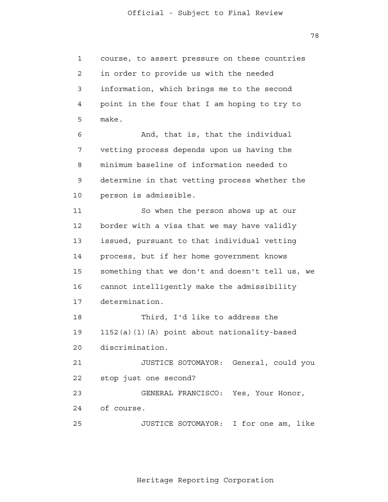1 2 3 4 **5** course, to assert pressure on these countries in order to provide us with the needed information, which brings me to the second point in the four that I am hoping to try to make.

 6 7 8 9 10 And, that is, that the individual vetting process depends upon us having the minimum baseline of information needed to determine in that vetting process whether the person is admissible.

 11 12 13 14 15 16 17 18 So when the person shows up at our border with a visa that we may have validly issued, pursuant to that individual vetting process, but if her home government knows something that we don't and doesn't tell us, we cannot intelligently make the admissibility determination. Third, I'd like to address the

> 19 20 1152(a)(1)(A) point about nationality-based discrimination.

 21 **22** JUSTICE SOTOMAYOR: General, could you stop just one second?

> 23 24 GENERAL FRANCISCO: Yes, Your Honor, of course.

 25 JUSTICE SOTOMAYOR: I for one am, like

Heritage Reporting Corporation

78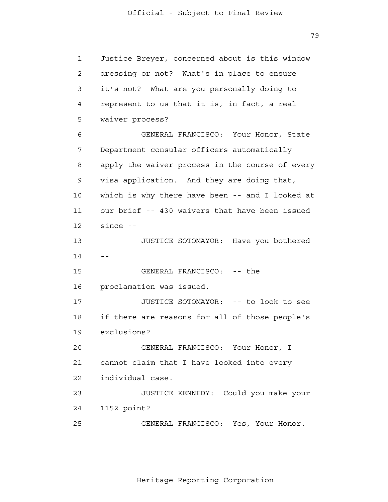79

 1 2 3 4 **5**  6 7 8 9 10 11 12 13 14 15 16 17 18 19 20 21 22 23 24 25 Justice Breyer, concerned about is this window dressing or not? What's in place to ensure it's not? What are you personally doing to represent to us that it is, in fact, a real waiver process? GENERAL FRANCISCO: Your Honor, State Department consular officers automatically apply the waiver process in the course of every visa application. And they are doing that, which is why there have been -- and I looked at our brief -- 430 waivers that have been issued since - JUSTICE SOTOMAYOR: Have you bothered  $-$ GENERAL FRANCISCO: -- the proclamation was issued. JUSTICE SOTOMAYOR: -- to look to see if there are reasons for all of those people's exclusions? GENERAL FRANCISCO: Your Honor, I cannot claim that I have looked into every individual case. JUSTICE KENNEDY: Could you make your 1152 point? GENERAL FRANCISCO: Yes, Your Honor.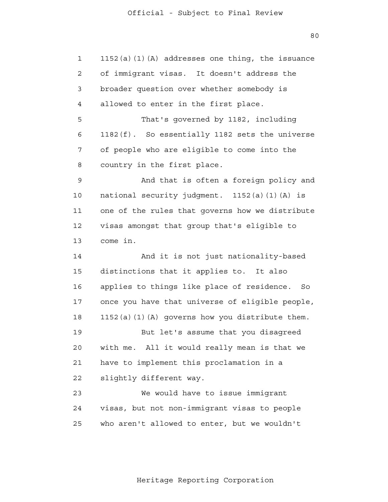1

2

3

4

**5** 

6

7

8

 80 1152(a)(1)(A) addresses one thing, the issuance of immigrant visas. It doesn't address the broader question over whether somebody is allowed to enter in the first place. That's governed by 1182, including 1182(f). So essentially 1182 sets the universe of people who are eligible to come into the

 9 10 11 12 13 And that is often a foreign policy and national security judgment. 1152(a)(1)(A) is one of the rules that governs how we distribute visas amongst that group that's eligible to come in.

country in the first place.

 14 15 16 17 18 19 20 21 **22**  23 And it is not just nationality-based distinctions that it applies to. It also applies to things like place of residence. So once you have that universe of eligible people, 1152(a)(1)(A) governs how you distribute them. But let's assume that you disagreed with me. All it would really mean is that we have to implement this proclamation in a slightly different way. We would have to issue immigrant

 24 <u>25</u> visas, but not non-immigrant visas to people who aren't allowed to enter, but we wouldn't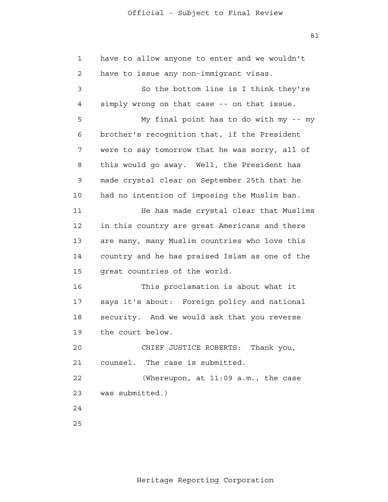1 2 3 4 **5**  6 7 8 9 10 11 12 13 14 15 16 17 18 19 20 21 22 23 24 25 have to allow anyone to enter and we wouldn't have to issue any non-immigrant visas. So the bottom line is I think they're simply wrong on that case -- on that issue. My final point has to do with my -- my brother's recognition that, if the President were to say tomorrow that he was sorry, all of this would go away. Well, the President has made crystal clear on September 25th that he had no intention of imposing the Muslim ban. He has made crystal clear that Muslims in this country are great Americans and there are many, many Muslim countries who love this country and he has praised Islam as one of the great countries of the world. This proclamation is about what it says it's about: Foreign policy and national security. And we would ask that you reverse the court below. CHIEF JUSTICE ROBERTS: Thank you, counsel. The case is submitted. (Whereupon, at 11:09 a.m., the case was submitted.)

81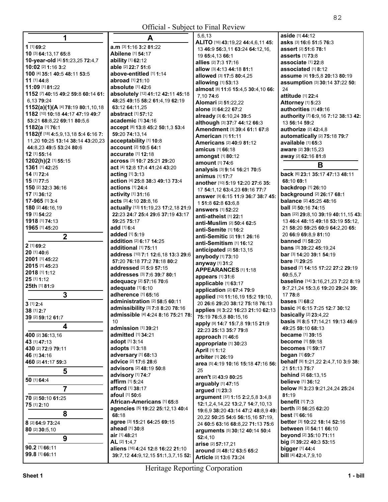| 1                                                     | A                                                      | 5,6,13                                           | aside [1] 44:12                                           |
|-------------------------------------------------------|--------------------------------------------------------|--------------------------------------------------|-----------------------------------------------------------|
| 1 [1] 69:2                                            |                                                        | ALITO [16] 43:19,22 44:4,6,11 45:                | asks [3] 16:6 51:5 76:3                                   |
|                                                       | a.m [3] 1:16 3:2 81:22                                 | 13 46:9 56:3,11 63:24 64:12,16,                  | <b>assert</b> [2] 51:6 78:1                               |
| 10 [3] 64:13,17 65:8                                  | Abilene [1] 54:17                                      | 19 65:4,13 66:1                                  | <b>asserts</b> [1] 73:8                                   |
| 10-year-old [4] 51:23,25 72:4,7                       | <b>ability</b> [1] <b>62:12</b>                        | allies [2] 7:3 17:16                             | associate [1] 22:8                                        |
| 10:02 [2] 1:16 3:2                                    | able [2] 22:7 51:6<br>above-entitled [1] 1:14          | allow [3] 4:13 44:18 81:1                        | associated [1] 8:12                                       |
| 100 [4] 35:1 40:5 48:11 53:5<br>11 [1] 44:8           |                                                        | allowed [3] 17:5 80:4,25                         | assume [4] 19:5,8 20:13 80:19                             |
|                                                       | abroad [1] 21:10                                       | allowing [1] 53:13                               | assumption [3] 30:14 37:22 50:                            |
| 11:09 [1] 81:22<br>1152 [7] 40:15 49:2 59:8 60:14 61: | absolute [1] 42:6<br>absolutely [12] 41:12 42:11 45:18 | almost [8] 11:6 15:4,5 30:4,10 66:               | 24                                                        |
| 6,1379:24                                             | 48:25 49:15 58:2 61:4,19 62:19                         | 7,10 74:6                                        | <b>attitude</b> [1] 22:4                                  |
| 1152(a)(1)(A [4] 78:19 80:1,10,18                     | 63:12 64:11,25                                         | <b>Alomari [2] 51:22,22</b>                      | <b>Attorney</b> [1] 5:23                                  |
| 1182 [10] 10:18 44:17 47:19 49:7                      | <b>abstract</b> [1] <b>57:12</b>                       | alone [2] 64:22 67:2                             | authorities [1] 49:16                                     |
| 53:21 68:8,22 69:11 80:5,6                            | academic [1] 34:16                                     | already [3] 6:10,24 39:5                         | authority [7] 6:9,16 7:12 38:13 42:                       |
| 1182(a [1] 76:1                                       | accept [8] 13:8 45:2 50:1,3 53:4                       | although [3] 37:7 44:12 66:3                     | 13 56:14 59:2                                             |
| 1182(f [18] 4:5,9,13,18 5:4 6:16 7:                   | 59:20 74:13,14                                         | Amendment [3] 39:4 61:1 67:8                     | authorize [2] 42:4,8                                      |
| 11,20 10:25 13:14 38:14 43:20,23                      | acceptability [1] 10:8                                 | <b>American [1] 11:11</b>                        | automatically [2] 75:18 79:7                              |
| 44:8,23 49:5 53:24 80:6                               | <b>account</b> [2] 10:5 64:1                           | <b>Americans</b> [2] 40:9 81:12                  | available [1] 65:3                                        |
| 12 [1] 55:14                                          | accurate [1] 12:18                                     | <b>amicus</b> [1] 66:18                          | <b>aware</b> [2] <b>39:</b> 15,23                         |
| 1202(h)(2 [1] 55:15                                   | across [3] 10:7 25:21 29:20                            | <b>amongst</b> [1] 80:12                         | away [2] 62:16 81:8                                       |
| 1361 [1] 42:25                                        | act [4] 12:8 17:4 41:24 43:20                          | <b>amount</b> [1] <b>74:</b> 6                   | В                                                         |
| 14 [1] 72:4                                           | acting $[1]$ 3:13                                      | analysis [3] 9:14 16:21 70:5                     | back [6] 23:1 35:17 47:13 48:11                           |
| 15 [1] 77:5                                           | action [4] 25:8 38:3 49:13 73:4                        | <b>animus</b> [1] 17:7                           | 68:10 69:1                                                |
| 150 [2] 32:3 36:16                                    | actions [1] 24:4                                       | another [10] 5:19 12:20 27:6 35:                 | <b>backdrop</b> [1] 26:10                                 |
| 17 [1] 36:12                                          | activity [1] 31:16                                     | 17 54:1,12 63:4,23 69:16 77:7                    | background [2] 26:17 68:1                                 |
| 17-965 [1] 3:4                                        | acts [3] 4:10 28:8,16                                  | answer [9] 6:15 11:9 36:7 38:7 45:               | <b>balance</b> [2] 45:25 48:16                            |
| 180 [2] 46:16,19                                      | actually [13] 11:19,23 17:2,18 21:9                    | 151:862:863:6,8                                  | <b>ball</b> [2] <b>50:16 74:15</b>                        |
| 19 [1] 54:22                                          | 22:23 24:7 25:4 29:6 37:19 43:17                       | answers [1] 52:22<br>anti-atheist [1] 22:1       | <b>ban</b> [22] <b>29:</b> 8,10 <b>39:19 40:11,15 43:</b> |
| 1918 [1] 74:13                                        | 59:25 75:17                                            | anti-Muslim [2] 50:4 62:5                        | 13 46:4 48:15 49:18 53:19 55:12,                          |
| 1965 [1] 45:20                                        | add [1] 6:4                                            | anti-Semite [1] 16:2                             | 21 58:20 59:25 60:9 64:2,20 65:                           |
| $\overline{2}$                                        | added [1] 5:19                                         | anti-Semitic [2] 19:1 26:16                      | 20 66:9 69:8,9 81:10                                      |
|                                                       | addition [2] 6:17 14:25                                | anti-Semitism [1] 16:12                          | <b>banned</b> [1] 58:20                                   |
| 2 [1] 69:2                                            | additional [1] 75:11                                   | anticipated [2] 58:13,15                         | <b>bans</b> [3] <b>39:22 45:19,24</b>                     |
| 20 [1] 40:6                                           | address [10] 7:1 12:6,18 13:3 29:6                     | anybody [1] 73:10                                | <b>bar</b> [3] <b>14:20 39:1 54:19</b>                    |
| 2001 [1] 45:22                                        | 57:20 76:18 77:2 78:18 80:2                            | anyway [1] 31:2                                  | <b>bare</b> [1] 29:25                                     |
| 2015 [1] 45:23                                        | <b>addressed</b> [2] <b>5:9 57:15</b>                  | <b>APPEARANCES [1] 1:18</b>                      | based [7] 14:15 17:22 27:2 29:19                          |
| 2018 [1] 1:12                                         | <b>addresses</b> [3] 7:6 39:7 80:1                     | appears [1] 31:6                                 | 60:5,5,7                                                  |
| 25 [1] 1:12                                           | adequacy [2] 57:16 70:6                                | applicable [1] 63:17                             | baseline [14] 3:16,21,23 7:22 8:19                        |
| 25th [1] 81:9                                         | adequate [1] 6:10                                      | application [2] 67:4 79:9                        | 9:7,21,24 15:3,6 19:20 29:24 39:                          |
| 3                                                     | adherence [1] 65:16                                    | applied [10] 11:16,19 15:2 19:10,                | 1778:8                                                    |
| $3$ [1] $2:4$                                         | administration [2] 58:5 60:11                          | 20 26:6 29:20 38:12 75:18 76:13                  | <b>bases</b> [1] 68:2                                     |
| 38 [1] 2:7                                            | <b>admissibility</b> [3] 7:8 8:20 78:16                | applies [9] 3:22 16:23 21:10 62:13               | basic [4] 6:15 7:25 12:7 30:12                            |
| 39 [2] 59:12 61:7                                     | admissible [4] 4:24 8:16 75:21 78:                     | 75:19 76:5,8 80:15,16                            | <b>basically</b> [2] 23:4,22                              |
| 4                                                     | 10                                                     | apply [9] 14:7 15:7,8 19:15 21:9                 | basis [8] 8:5 17:14,21 19:13 46:9                         |
|                                                       | admission [1] 39:21                                    | 22:23 25:13 35:7 79:8                            | 49:25 59:10 68:13                                         |
| 400 [2] 36:13,16                                      | admitted [1] 34:21                                     | approach [1] 46:6                                | <b>became</b> [1] 39:15                                   |
| 43 [1] 47:13                                          | adopt $[1]$ 3:14                                       | appropriate [1] 30:23                            | <b>become</b> [1] 59:18                                   |
| 430 [2] 72:9 79:11                                    | adopts [1] 3:18                                        | April [1] 1:12                                   | becomes [1] 59:17                                         |
| 46 [1] 34:16                                          | adversary [1] 68:13<br>advice [2] 17:6 28:6            | arbiter [1] 26:19                                | <b>began</b> [1] 69:7                                     |
| 460 [2] 41:17 59:3                                    | advisors [2] 48:19 50:8                                | area [5] 4:19 10:16 15:18 47:16 56:              | behalf [9] 1:21,22 2:4,7,10 3:9 38:<br>21 51:13 75:7      |
| 5                                                     | advisory [1] 74:7                                      | 25                                               | <b>behind</b> [2] 68:13,15                                |
| 50 [1] 64:4                                           | affirm [1] 5:24                                        | aren't [2] 43:9 80:25                            | <b>believe</b> [1] 36:12                                  |
| $\overline{7}$                                        | afford [1] 38:17                                       | arguably [1] 47:15                               | below [6] 3:23 9:21,24,24 25:24                           |
|                                                       | afoul [1] 50:6                                         | argued [1] 23:3                                  | 81:19                                                     |
| 70 [2] 50:10 61:25                                    | African-Americans [1] 65:8                             | argument [37] 1:15 2:2,5,8 3:4,8                 | benefit [1] 7:3                                           |
| 75 [1] 2:10                                           | agencies [5] 19:22 25:12,13 40:4                       | 12:1,2,4,14,22 13:2,7 14:7,10,13                 | berth [2] 56:25 62:20                                     |
| 8                                                     | 68:18                                                  | 19:6,9 38:20 43:14 47:2 48:8,9 49:               | best [1] 66:16                                            |
| 8 [2] 64:9 73:24                                      | agree [3] 15:21 64:25 69:15                            | 20,22 50:25 54:6 56:15,16 57:19,                 | better [3] 10:22 18:14 52:16                              |
| 80 [2] 30:5,10                                        | ahead [1] 30:8                                         | 24 60:5 63:16 68:8,22 71:13 75:6                 | between [2] 54:11 66:10                                   |
|                                                       | air [1] 48:21                                          | arguments [5] 30:12 40:14 50:4                   | beyond [2] 35:10 71:11                                    |
| 9                                                     | AL [2] 1:4,7                                           | 52:4,10                                          | big [3] 39:22 40:3 53:15                                  |
| 90.2 [1] 66:11                                        | aliens [16] 4:24 12:8 16:22 21:10                      | arise [2] 57:17,21<br>around [3] 48:12 63:5 65:2 | bigger [1] 44:4                                           |
| 99.8 [1] 66:11                                        | 39:7,12 44:9,12,15 51:1,3,7,15 52:                     | Article [2] 13:6 73:24                           | <b>bill</b> $[4]$ <b>42:4,7,9,10</b>                      |
|                                                       |                                                        |                                                  |                                                           |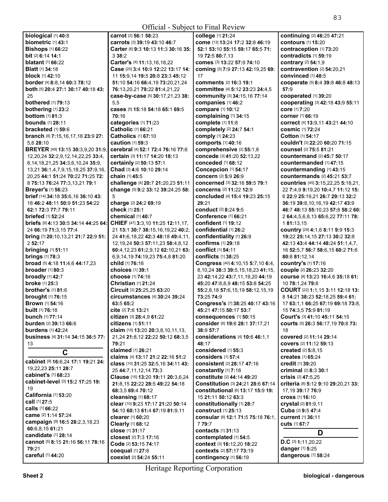| <b>Official - Subject to Final Review</b>                         |                                                                        |                                                                        |                                                                         |
|-------------------------------------------------------------------|------------------------------------------------------------------------|------------------------------------------------------------------------|-------------------------------------------------------------------------|
| biological [1] 40:8                                               | carrot [2] 56:1 58:23                                                  | college [1] 21:24                                                      | continuing [2] 46:25 47:21                                              |
| biometric [1] 43:1                                                | carrots [3] 39:19 43:10 46:7                                           | come [13] 13:24 17:2 32:8 46:19                                        | contours [1] 15:20                                                      |
| <b>Bishops [1] 66:22</b>                                          | Carter [6] 9:3 10:13 11:3 30:16 35:                                    | 52:1 53:10 55:15 59:17 65:5 71:                                        | contraception [1] 73:20                                                 |
| bit [2] 6:14 14:1                                                 | 338:2                                                                  | 19 72:5 80:7,13                                                        | contradicts [1] 59:19                                                   |
| <b>blatant</b> [1] <b>66:22</b>                                   | Carter's [4] 11:13,16,18,22                                            | comes [3] 13:22 57:9 74:10                                             | contrary [2] 54:1,9                                                     |
| <b>Blatt</b> [1] <b>34:18</b>                                     | Case [25] 3:4 10:9 12:22 13:17 14:                                     | coming [5] 7:9 27:13 42:19,25 69:                                      | contravention [2] 54:20,21                                              |
| <b>block</b> [1] <b>42:10</b>                                     | 11 15:9,14 19:5 20:8 23:3 45:12                                        | 17                                                                     | convinced [1] 48:5                                                      |
| border [4] 8:8,14 60:3 78:12                                      | 51:10 54:16 66:4,19 73:20,21,24                                        | <b>comments</b> [2] 16:3 19:1                                          | cooperate [5] 8:4 39:8 46:8 48:13                                       |
| both [5] 20:4 27:1 30:17 40:18 43:                                | 76:13,20,21 79:22 81:4,21,22                                           | committee [4] 5:12 23:23 24:4,5                                        | 57:9                                                                    |
| 25                                                                | case-by-case [5] 30:17,21,23 38:                                       | community [3] 34:15,16 77:14                                           | cooperated [1] 39:20                                                    |
| bothered [1] 79:13                                                | 5,5                                                                    | companies [1] 46:2                                                     | cooperating [3] 42:18 43:9 55:11                                        |
| bothering [1] 23:2                                                | cases [5] 15:18 54:18 65:1 69:5                                        | compare [1] 10:12                                                      | <b>core</b> [1] 7:20                                                    |
| <b>bottom</b> [1] 81:3                                            | 70:16                                                                  | complaining [1] 34:15                                                  | <b>corner</b> [1] 66:19                                                 |
| <b>bounds</b> [1] 28:11                                           | categories [1] 71:23                                                   | complete [1] 11:8                                                      | <b>correct</b> [4] 13:9,11 43:21 44:10                                  |
| bracketed $[1]$ 59:6                                              | Catholic [1] 66:21                                                     | completely [2] 24:7 54:1                                               | <b>cosmic</b> [1] 72:24                                                 |
| branch [8] 7:15,16,17,18 23:9 27:                                 | <b>Catholics</b> [1] 67:10                                             | comply [1] 24:23                                                       | <b>Cotton</b> [1] 54:17                                                 |
| 5.6 28:10                                                         | caution $[1]$ 59:3                                                     | comports [1] 40:16                                                     | couldn't [3] 22:20 60:20 71:15                                          |
| BREYER [49] 13:15 30:3,9,20 31:9,                                 | cerebral [4] 52:1 72:4 76:16 77:6                                      | comprehensive [2] 55:1,8                                               | counsel [2] 75:5 81:21                                                  |
| 12,20,24 32:2,9,12,14,22,25 33:4,                                 | <b>certain</b> [3] 11:17 14:20 18:13                                   | concede [3] 41:20 52:13,22                                             | <b>countermand</b> [2] 45:7 50:17                                       |
| 8, 14, 18, 21, 25 34: 3, 6, 10, 24 35: 9,                         | certainly [2] 50:13 57:1                                               | conceded [1] 68:12                                                     | <b>countermanded</b> [1] 47:15                                          |
| 13,21 36:1,4,7,9,15,18,25 37:9,16,                                | Chad [3] 4:6 10:10 29:14                                               | Concepcion [1] 54:17                                                   | countermanding [1] 43:15                                                |
| 20,25 44:1 51:24 70:22 71:25 72:<br>8 75:13 76:24 77:3,13,21 79:1 | chain [1] 45:5                                                         | concern [2] 5:9 26:9                                                   | countermands [2] 45:21 53:7                                             |
| <b>Breyer's [1] 56:23</b>                                         | challenge [4] 20:7 21:20,23 51:11<br>change [5] 9:2 33:12 39:24,25 58: | <b>concerned</b> [3] 32:16 59:5 79:1<br><b>concerns</b> [2] 11:22 12:9 | countries [45] 3:15,22,25 5:18,21,<br>22 7:4.9 9:19.20 10:4.7 11:12 15: |
| brief [14] 34:18 35:6,16 36:10 43:                                | 5                                                                      | <b>concluded</b> [4] 15:4 19:23 25:15                                  | 6 22:9 25:19.21 26:7 29:13 32:2                                         |
| 18 46:2 48:11 50:9 51:23 54:22                                    | charge [2] 24:2 69:19                                                  | 29:21                                                                  | 36:19 39:8,10,16,19 42:17 43:9                                          |
| 62:1 72:3 77:7 79:11                                              | check [1] 25:1                                                         | conduct [2] 8:24 9:5                                                   | 46:7 48:13 55:10,23 57:8 58:2 60:                                       |
| <b>briefed</b> [1] 52:24                                          | chemical [1] 40:7                                                      | Conference [1] 66:21                                                   | 2 64:4,5,6,8,13 65:6,22 77:11 78:                                       |
| <b>briefs [9] 4:13 30:5 34:14 44:25 64:</b>                       | CHIEF [47] 3:3,10 11:25 12:11,17,                                      | confident [1] 19:12                                                    | 181:13.15                                                               |
| 24 66:19 71:3,15 77:4                                             | 21 13:1 30:7 38:15,16,19,22 40:2,                                      | confidential [1] 26:2                                                  | country [29] 4:1,6 8:11 9:9 15:3                                        |
| bring [7] 20:10,13,21 21:7 22:9 51:                               | 24 41:6, 18, 22 42:3 48: 18 49: 4, 11,                                 | confidentiality [1] 26:9                                               | 19:22 25:14,15 27:13 30:2 32:8                                          |
| 2 52:17                                                           | 12, 19, 24 50: 3 57: 11, 23 58: 4, 8, 12                               | confirms [1] 29:18                                                     | 42:13 43:4 44:14 48:24 51:1,4,7,                                        |
| <b>bringing [1] 51:11</b>                                         | 60:4,12,23 61:2,9,12 62:10,21 63:                                      | conflict [1] 54:11                                                     | 16 52:5,7 56:7 58:6,15 60:2 71:6                                        |
| <b>brings</b> [1] 78:3                                            | 6,9,14,19 74:19,23 75:4,8 81:20                                        | <b>conflicts</b> [1] 38:25                                             | 80:8 81:12,14                                                           |
| <b>broad</b> [5] <b>4:18 11:4,6 44:17,23</b>                      | child [1] 76:16                                                        | Congress [40] 4:10,15 5:7,10 6:4,                                      | country's [1] 17:16                                                     |
| broader $[1]$ 80:3                                                | choices $[1]$ 39:1                                                     | 8, 10, 24 38: 3 39: 5, 15, 18, 23 41: 15,                              | couple [2] 26:23 32:20                                                  |
| broadly $[1]$ 42:7                                                | choose [1] 74:16                                                       | 23 42:14,22 43:7,11,19,20 44:19                                        | COUISE [8] 13:23 16:4,6 35:18 61:                                       |
| broke [1] 25:3                                                    | <b>Christian [1] 21:24</b>                                             | 45:20 47:8,8,9 48:15 53:8 54:25                                        | 10 78:1,24 79:8                                                         |
| <b>brother's [1] 81:6</b>                                         | Circuit [3] 25:25,25 63:20                                             | 55:2,8,18 57:6,15,19 58:12,15,19                                       | <b>COURT</b> [22] <b>1:1,15 3:11 12:18 13:</b>                          |
| <b>brought</b> [1] 76:15                                          | <b>circumstances</b> [4] 30:24 39:24                                   | 73:25 74:9                                                             | 8 14:21 38:23 52:18.25 59:4 61:                                         |
| <b>Brown</b> [1] 54:16                                            | 63:5 65:2                                                              | Congress's [7] 38:25 40:17 43:16                                       | 17 63:1,1 66:25 67:19 69:18 73:8,                                       |
| <b>built</b> [1] <b>76:</b> 18                                    | cite $[2]$ 7:6 13:21                                                   | 45:21 47:15 50:17 53:7                                                 | 15 <b>74:</b> 3,5 <b>75:9 81:</b> 19                                    |
| <b>bunch</b> [1] 77:14                                            | citizen [3] 28:4,9 61:22                                               | consequences [1] 50:15                                                 | Court's [3] 41:10 45:11 54:15                                           |
| burden [2] 39:13 66:6                                             | citizens [1] 51:11                                                     | consider [6] 19:6 28:1 37:17,21                                        | Courts [5] 26:3 56:17,19 70:8 73:                                       |
| <b>burdens</b> [1] 42:24                                          | claim [15] 13:20 20:3.8.10.11.13.                                      | 38:9 57:7                                                              | 18                                                                      |
| business [4] 31:14 34:15 36:5 77:                                 | 21,24 21:8,12 22:22 50:12 68:3,5                                       | considerations [4] 10:6 46:1,1                                         | covered [2] 11:14 29:14                                                 |
| 13                                                                | 79:21                                                                  | 48:17                                                                  | <b>covers</b> [2] <b>11:12 59:13</b>                                    |
| C                                                                 | claimed [1] 26:21                                                      | considered [1] 55:3                                                    | created [2] 5:8.15                                                      |
| cabinet [9] 16:6,24 17:1 19:21 24:                                | claims [4] 13:17 21:2 22:16 51:2                                       | considers [1] 57:4                                                     | <b>creates</b> [1] 65:24                                                |
| 19.22.23 25:11 28:7                                               | class [10] 31:25 32:5,16 34:11 43:                                     | consistent [2] 28:17 47:16                                             | credit [1] 39:20                                                        |
| cabinet's [1] 68:23                                               | 25 44:7,11,12,14 73:3                                                  | constantly [1] 7:18                                                    | criminal [2] 8:3 30:1                                                   |
| cabinet-level [3] 15:2 17:25 19:                                  | Clause [15] 13:20 19:11 20:3,6,24                                      | constitute [2] 44:14 49:20                                             | crisis [2] 47:5.25                                                      |
| 19                                                                | 21:8,15 22:22 28:5 49:22 54:18<br>68:3.5 69:4 70:12                    | Constitution [3] 24:21 28:6 67:14<br>constitutional [6] 13:17 15:9 19: | criteria [8] 5:12 9:10 29:20,21 33:<br>17,19 39:17 76:9                 |
| California [1] 53:20                                              |                                                                        | 15 21:11 50:12 63:3                                                    |                                                                         |
| call [1] 27:5                                                     | cleansing [1] 68:17<br>clear [10] 9:23 17:17 21:20 50:14               | constitutionally [1] 28:7                                              | <b>cross</b> [1] 16:10<br>crystal [2] 81:9,11                           |
| calls [1] 66:22                                                   | 54:10 60:13 61:4 67:19 81:9,11                                         | construct [1] 25:13                                                    | Cuba [2] 9:5 47:4                                                       |
| came [2] 1:14 57:24                                               | clearer [1] 60:20                                                      | consular [6] 12:1 71:5 75:18 76:1,                                     | <b>current</b> [1] 36:11                                                |
| campaign [9] 16:5 28:2,3,18,23                                    | Clearly [1] 68:12                                                      | 7 79:7                                                                 | <b>cuts</b> [1] 67:7                                                    |
| 60:6.8.15 61:21                                                   | close [1] 31:17                                                        | contacts [1] 31:13                                                     |                                                                         |
| candidate [1] 28:14                                               | closest [2] 7:3 17:16                                                  | contemplated [1] 54:5                                                  | D                                                                       |
| cannot [5] 8:15 21:16 56:11 78:16                                 | Code [2] 53:15 74:17                                                   | context [3] 16:12,20 18:22                                             | D.C [3] 1:11,20,22                                                      |
| 79:21                                                             | coequal [1] 27:6                                                       | contexts [2] 57:17 73:19                                               | danger [1] 5:25                                                         |
| careful [1] 44:20                                                 | coexist [2] 54:24 55:11                                                | contingency [1] 56:19                                                  | dangerous [1] 58:24                                                     |
|                                                                   |                                                                        |                                                                        |                                                                         |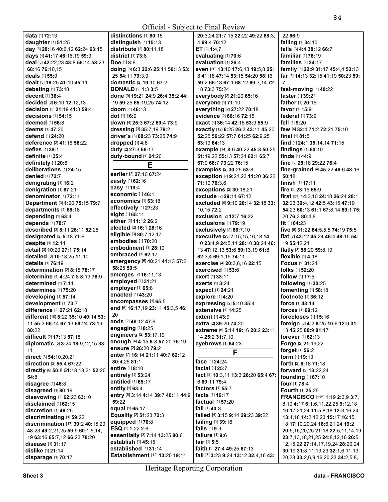**distinctions** [1] **80:**15 **distinguish** [1] **15:**13

**data** [1] **72:**13 **daughter** [1] **51:**25 **day** [5] **28:**16 **40:**6,12 **62:**24 **63:**15 **days** [4] **41:**17 **46:**16,19 **59:**3 **deal** [8] **42:**22,23 **43:**8 **56:**14 **58:**23 **68:**16 **76:**10,15 **deals** [1] **55:**9 **dealt** [3] **16:**25 **41:**10 **45:**11 **debating** [1] **73:**18 **decent** [1] **36:**4 **decided** [3] **6:**10 **12:**12,13 **decision** [3] **21:**19 **41:**8 **59:**4 **decisions** [1] **54:**15 **deemed** [1] **56:**8 **deems** [1] **47:**20 **defend** [1] **24:**20 **deference** [2] **41:**16 **56:**22 **defies** [1] **39:**1 **definite** [1] **35:**4 **definitely** [1] **20:**6 **deliberations** [1] **24:**15 **denied** [1] **72:**7 **denigrating** [1] **16:**2 **denigration** [1] **67:**21 **denominator** [1] **72:**11 **Department** [3] **1:**20 **75:**15 **79:**7 **departments** [1] **68:**18 **depending** [1] **63:**4 **depends** [1] **78:**7 **described** [3] **8:**11 **26:**11 **52:**25 **designated** [2] **5:**18 **71:**6 **despite** [1] **12:**14 **detail** [3] **10:**20 **27:**1 **75:**14 **detailed** [3] **10:**18,25 **11:**10 **details** [1] **76:**19 **determination** [2] **8:**15 **78:**17 **determine** [4] **4:**24 **7:**8 **8:**19 **78:**9 **determined** [1] **7:**14 **determines** [1] **75:**20 **developing** [1] **57:**14 **development** [1] **73:**7 **difference** [2] **27:**21 **62:**18 **different** [10] **8:**22 **35:**10 **40:**14 **53:**  11 **55:**3 **66:**14 **67:**13 **69:**24 **73:**19 **80:**22 **difficult** [2] **17:**13 **57:**18 **diplomatic** [5] **3:**24 **18:**9,12,15 **33:**  11 **direct** [3] **54:**10,20,21 **direction** [2] **55:**4 **67:**22 **directly** [6] **50:**8 **51:**18,18,21 **52:**20 **54:**8 **disagree** [1] **46:**8 **disagreed** [1] **80:**19 **disavowing** [2] **62:**23 **63:**10 **disclaimed** [1] **62:**15 **discretion** [1] **46:**25 **discriminating** [1] **59:**22 **discrimination** [17] **39:**2 **40:**15,20 **48:**23 **49:**2,21,25 **59:**9 **60:**1,5,14, 19 **63:**16 **65:**7,12 **66:**23 **78:**20 **disease** [1] **31:**17 **dislike** [1] **21:**14 **disparage** [1] **70:**17

**distribute** [2] **80:**11,18 **district** [1] **73:**8 **Doe** [1] **8:**8 **doing** [8] **6:**3 **22:**6 **25:**11 **50:**13 **53:**  25 **54:**11 **79:**3,9 **domestic** [2] **19:**10 **67:**2 **DONALD** [2] **1:**3 **3:**5 **done** [9] **19:**21 **24:**9 **26:**4 **35:**2 **44:**  19 **59:**25 **65:**19,25 **74:**12 **doom** [1] **46:**13 **dot** [1] **16:**9 **down** [4] **25:**3 **67:**2 **69:**4 **73:**9 **dressing** [3] **35:**7,19 **79:**2 **driver's** [3] **68:**23 **73:**25 **74:**9 **dropped** [1] **4:**6 **duty** [2] **27:**3 **56:**17 **duty-bound** [1] **24:**20 **E earlier** [2] **27:**10 **67:**24 **easily** [1] **62:**16 **easy** [1] **19:**4 **economic** [1] **46:**1 **economics** [1] **53:**18 **effectively** [1] **27:**23 **eight** [1] **65:**11 **either** [2] **11:**12 **26:**2 **elected** [2] **16:**1 **28:**16 **eligible** [3] **80:**7,12,17 **embodies** [1] **70:**20 **embodiment** [1] **28:**10 **embraced** [1] **62:**17 **emergency** [5] **40:**21 **41:**13 **57:**2 **58:**25 **59:**5 **emerges** [2] **16:**11,13 **employed** [1] **31:**21 **employer** [1] **65:**8 **enacted** [1] **43:**20 **encompasses** [1] **65:**5 **end** [6] **16:**17,19 **23:**11 **45:**3,5 **46:**  20 **ends** [2] **46:**12 **47:**6 **engaging** [1] **8:**25 **engineers** [2] **53:**17,19 **enough** [4] **4:**15 **6:**8 **57:**20 **76:**19 **ensure** [2] **26:**20 **79:**2 **enter** [7] **16:**14 **21:**11 **40:**7 **62:**12 **80:**4,25 **81:**1 **entire** [1] **8:**10 **entirely** [1] **53:**24 **entitled** [1] **65:**17 **entity** [1] **63:**4 **entry** [6] **3:**14 **4:**14 **39:**7 **40:**11 **44:**9 **59:**22 **equal** [1] **65:**17 **Equality** [2] **51:**23 **72:**3 **equipped** [1] **70:**8 **ESQ** [2] **1:**22 **2:**6 **essentially** [3] **7:**14 **13:**25 **80:**6 **establish** [1] **45:**15 **established** [1] **31:**14 **Establishment** [12] **13:**20 **19:**11

**All Contracts 20:**3,24 **21:**7,15 **22:**22 **49:**22 **68:**3, 4 **69:**4 **70:**12 **ET** [2] **1:**4,7 **evaluating** [1] **70:**6 **evaluation** [1] **26:**4 **even** [20] **13:**10 **17:**6,13 **19:**5,8 **25:**  8 **41:**18 **47:**14 **53:**15 **54:**20 **58:**16 **59:**2 **66:**13 **67:**1 **68:**12 **69:**7,14 **72:**  18 **73:**3 **75:**24 **everybody** [2] **21:**20 **65:**16 **everyone** [1] **71:**10 **everything** [2] **27:**22 **70:**18 **evidence** [2] **66:**16 **72:**15 **exact** [4] **36:**14 **42:**15 **53:**9 **55:**9 **exactly** [12] **6:**25 **26:**3 **43:**11 **45:**20 **52:**25 **56:**22 **57:**7 **61:**25 **62:**9,25 **63:**19 **64:**13 **example** [14] **8:**6 **40:**22 **45:**3 **50:**25 **51:**19,22 **55:**13 **57:**24 **62:**1 **65:**7 **67:**9 **68:**7 **73:**22 **76:**15 **examples** [2] **30:**25 **53:**8 **exception** [7] **9:**21,23 **11:**20 **36:**22 **71:**10 **76:**3,6 **exceptions** [2] **30:**18,21 **exclude** [2] **29:**11 **67:**12 **excluded** [6] **9:**10 **20:**14 **32:**18 **33:**  10,15 **72:**2 **exclusion** [2] **12:**7 **16:**22 **exclusions** [1] **79:**19 **exclusively** [2] **66:**7,10 **executive** [23] **7:**15,15,16,18 **14:**  10 **23:**4,9 **24:**5,11 **28:**10 **38:**24 **46:**  13 **47:**12,13 **53:**6 **59:**13,19 **61:**8 **62:**3,4 **69:**1,15 **74:**11 **exercise** [4] **20:**3,6,16 **22:**15 **exercised** [1] **53:**6 **exert** [1] **33:**11 **exerts** [1] **3:**24 **expect** [1] **24:**21 **explore** [1] **4:**20 **expressing** [2] **5:**10 **35:**4 **extensive** [1] **14:**25 **extent** [1] **43:**9 **extra** [2] **39:**20 **74:**20 **extreme** [8] **5:**14 **19:**16 **20:**2 **23:**11, 14 **25:**2 **31:**7,10 **eyebrows** [1] **64:**23 **F face** [1] **24:**24 **facial** [1] **25:**7 **fact** [8] **10:**3,11 **13:**3 **26:**20 **65:**4 **67:**  6 **69:**11 **79:**4 **factors** [1] **55:**7 **facts** [1] **16:**17 **factual** [1] **57:**20 **fail** [1] **40:**3 **failed** [4] **3:**15 **9:**14 **29:**23 **39:**22 **failing** [1] **39:**16 **fails** [1] **9:**9 **failure** [1] **9:**6 **fair** [1] **5:**5 **faith** [3] **27:**4 **49:**25 **67:**13 **fall** [7] **3:**23 **9:**24 **13:**12 **32:**4,16 **43:**  22 **66:**9 **falling** [1] **34:**10 **falls** [3] **4:**4 **38:**12 **66:**7 **familiar** [1] **76:**19 **families** [1] **34:**17 **family** [5] **22:**9 **31:**17 **45:**4,4 **53:**13 **far** [5] **14:**13 **32:**15 **41:**19 **50:**23 **59:**  7 **fast-moving** [1] **40:**22 **faster** [1] **39:**21 **father** [1] **20:**15 **favor** [1] **15:**9 **federal** [1] **73:**9 **fell** [1] **9:**20 **few** [4] **32:**4 **71:**2 **72:**21 **75:**10 **final** [1] **81:**5 **find** [4] **24:**1 **35:**14,14 **71:**15 **findings** [1] **60:**10 **finds** [1] **44:**9 **fine** [3] **25:**18 **29:**22 **76:**4 **fine-grained** [4] **45:**22 **46:**6 **48:**16 **50:**18 **finish** [1] **17:**11 **fire** [2] **23:**15 **65:**9 **first** [21] **14:**3,10 **24:**18 **26:**24 **28:**1 **32:**23 **39:**4,12 **42:**5 **43:**15 **47:**19 **54:**23 **60:**13 **61:**1 **67:**8,14 **69:**1 **75:**  20 **76:**3 **80:**4,8 **fit** [1] **64:**23 **five** [6] **31:**22 **64:**5,5,5 **74:**19 **75:**5 **flat** [7] **43:**12 **45:**24 **46:**4 **48:**15 **54:**  19 **55:**12,21 **flatly** [3] **58:**20 **59:**8,19 **flexible** [1] **4:**18 **Focus** [1] **31:**24 **folks** [1] **52:**20 **follow** [1] **17:**5 **following** [1] **30:**25 **fomenting** [1] **58:**18 **footnote** [1] **36:**12 **force** [1] **43:**14 **forces** [1] **69:**12 **forecloses** [1] **15:**16 **foreign** [8] **4:**2 **8:**25 **10:**6 **12:**9 **31:**  13 **45:**25 **80:**9 **81:**17 **forever** [1] **62:**13 **Forge** [2] **21:**19,22 **forget** [1] **56:**2 **form** [1] **19:**13 **forth** [2] **6:**18 **71:**18 **forward** [2] **13:**22,24 **founding** [1] **67:**10 **four** [1] **78:**4 **Fourth** [1] **25:**25 **FRANCISCO** [115] **1:**19 **2:**3,9 **3:**7, 8,10 **4:**17 **6:**1,6,11,22,25 **9:**12,18 **10:**17,21,24 **11:**5,8,18 **12:**3,16,24 **13:**4,18 **14:**2,12,23 **15:**17 **16:**15, 18 **17:**10,20,24 **18:**6,21,24 **19:**2 **20:**5,16,20,25 **21:**18 **22:**5,11,14,19 **23:**7,13,18,21,25 **24:**8,12,16 **26:**5, 12,15,22 **27:**14,17,19,24 **28:**20,24 **30:**19 **31:**8,11,19,23 **32:**1,6,11,13,

20,23 **33:**2,6,9,16,20,23 **34:**2,5,8,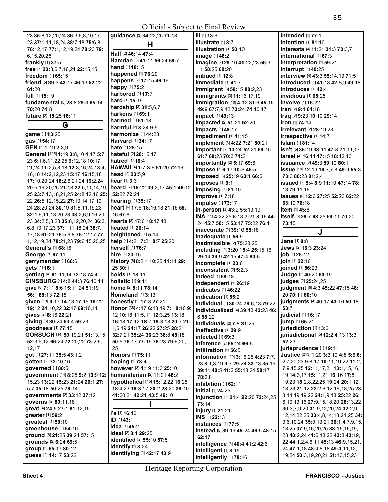| 23 35:8, 12, 20, 24 36:3, 6, 8, 10, 17,                               | guidance [3] 34:22,25 71:18                    |
|-----------------------------------------------------------------------|------------------------------------------------|
| 23 37:1,11,18,24 38:7,18 75:6,8                                       | н                                              |
| 76:12,17 77:1,12,19,24 78:23 79:                                      | Half [2] 46:14 47:4                            |
| 6,15,20,25                                                            | Hamdan [3] 41:11 56:24 59:7                    |
| frankly [1] 37:5                                                      | hand [1] 18:15                                 |
| free [7] 20:3,6,7,16,21 22:15,15<br>freedom [1] 65:15                 | happened [1] 76:20                             |
| friend [5] 39:3 43:17 46:13 52:22                                     | happens [2] 17:15 46:19                        |
| 61:20                                                                 | happy [1] 75:2                                 |
| full [1] 15:19                                                        | harbored [1] 17:7                              |
| fundamental [5] 28:8 29:3 65:14                                       | hard [1] 15:19                                 |
| 70:20 74:8                                                            | hardship [3] 31:5,6,7                          |
| future [2] 15:25 18:11                                                | <b>harkens</b> [1] 69:1                        |
| G                                                                     | harmed [1] 51:18<br>harmful [2] 8:24 9:5       |
| game [1] 13:25                                                        | harmonize [1] 44:23                            |
| gas [1] 54:17                                                         | Harvard [1] 34:17                              |
| GEN [3] 1:19 2:3,9                                                    | hate [1] 28:15                                 |
| General [125] 1:19 3:8,10 4:17 5:7,                                   | hateful [2] 28:15,17                           |
| 23 6:1,6,11,22,25 9:12,18 10:17,                                      | hatred [1] 16:4                                |
| 21,24 11:2,5,8,18 12:3,16,24 13:4,                                    | HAWAII [4] 1:7 3:6 51:20 72:16                 |
| 16, 18 14: 2, 12, 23 15: 17 16: 15, 18                                | head [2] 23:5,9                                |
| 17:10,20,24 18:2,6,21,24 19:2,24                                      | hear [1] 3:3                                   |
| 20:5, 16, 20, 25 21: 18 22: 5, 11, 14, 19,                            | heard [7] 15:22 39:3,17 45:1 46:               |
| 25 23:7, 13, 18, 21, 25 24: 8, 12, 16 25:                             | 52:22 72:21                                    |
| 22 26:5, 12, 15, 22 27: 10, 14, 17, 19,                               | hearing [1] 35:17                              |
| 24 28:20,24 30:19 31:8,11,19,23<br>32:1,6,11,13,20,23 33:2,6,9,16,20, | heart [6] 17:6 18:16,18 21:16 59<br>16 67:8    |
| 23 34:2,5,8,23 35:8,12,20,24 36:3,                                    | hearts [3] 17:6 18:17,18                       |
| 6,8,10,17,23 37:1,11,18,24 38:7,                                      | heated [1] 26:14                               |
| 17, 18 61: 21 75: 5, 6, 8 76: 12, 17 77:                              | heightened [1] 5:14                            |
| 1, 12, 19, 24 78: 21, 23 79: 6, 15, 20, 25                            | help [4] 4:21 7:21 8:7 25:20                   |
| General's [1] 68:16                                                   | herself [1] 76:7                               |
| George [1] 67:11                                                      | hire [1] 23:15                                 |
| gerrymander [1] 66:6                                                  | history [6] 8:2,4 10:25 11:11 29:              |
| gets [1] 16:1                                                         | 25 30:1                                        |
| getting [4] 61:11,14 72:18 74:4                                       | holds [1] 18:11                                |
| GINSBURG [4] 4:8 44:3 76:10,14                                        | <b>holistic</b> [1] 9:14                       |
| give [8] 7:11 8:6 15:11,24 51:19<br>56:1 68:13 72:15                  | home [2] 8:11 78:14<br>Homeland [1] 3:13       |
| given [10] 9:17 14:13 17:15 18:22                                     | honestly [2] 17:3 27:21                        |
| 19:12 24:10,22 32:17 69:10,11                                         | Honor [38] 4:17 6:13,19 7:1 8:10               |
| gives [2] 6:16 22:21                                                  | 12 10:18 11:5,11 12:3,25 13:18                 |
| giving [3] 30:24 53:4 59:23                                           | 16:18 17:12 18:7 19:3,18 20:7 2                |
| goodness [1] 77:15                                                    | 1,6,19 24:17 26:22 27:25 28:21                 |
| GORSUCH [14] 50:19,21 51:13,15                                        | 32:7,21 35:24 36:23 38:8 45:18                 |
| 52:3,9,12 66:24 72:20,22 73:2,6,                                      | 50:5 76:17 77:19 78:23 79:6,20                 |
| 12,17                                                                 | 25                                             |
| got [4] 27:11 35:5 43:1,2                                             | <b>Honors</b> [1] 75:11                        |
| gotten [2] 72:10,16<br>governed [1] 80:5                              | hoping [1] 78:4<br>however [3] 4:19 11:3 25:10 |
| government [14] 8:25 9:2 10:9 12:                                     | humanitarian [2] 11:21 46:2                    |
| 15,23 13:22 15:23 21:24 26:1 27:                                      | hypothetical [15] 15:12,22 16:2                |
| 5,7 35:18 50:25 78:14                                                 | 18:4,23 19:3,17 20:2 23:20 38:1                |
| governments [2] 33:12 37:12                                           | 41:20,21 42:21 43:5 49:10                      |
| governs [2] 80:11,18                                                  | ı                                              |
| great [4] 24:5 27:1 81:12,15                                          |                                                |
| greater [1] 59:2                                                      | i's [1] 16:10<br>ID [1] 43:1                   |
| greatest [1] 50:10                                                    | idea [1] 45:2                                  |
| greenhouse [1] 54:16                                                  | ideal [2] 8:1 29:25                            |
| ground [3] 21:25 39:24 57:15                                          | identified [2] 55:10 57:5                      |
| grounds [2] 6:24 69:5<br>group [2] 55:17 80:12                        | identify [1] 8:24                              |
| guess [2] 14:17 53:22                                                 | identifying [2] 42:17 48:9                     |
|                                                                       |                                                |

**heard** [7] **15:**22 **39:**3,17 **45:**1 **46:**12 **heart** [6] **17:**6 **18:**16,18 **21:**16 **59: history** [6] **8:**2,4 **10:**25 **11:**11 **29: Honor** [38] **4:**17 **6:**13,19 **7:**1 **8:**10 **9: 16:**18 **17:**12 **18:**7 **19:**3,18 **20:**7 **21: 32:**7,21 **35:**24 **36:**23 **38:**8 **45:**18 **50:**5 **76:**17 **77:**19 **78:**23 **79:**6,20, **hypothetical** [15] **15:**12,22 **16:**25 **18:**4,23 **19:**3,17 **20:**2 **23:**20 **38:**10 **III** [1] **13:**6 **illustrate** [1] **8:**7 **illustration** [1] **50:**10 **image** [1] **46:**2 **imagine** [7] **29:**10 **41:**22,23 **56:**3, 11 **58:**25 **60:**20 **imbued** [1] **12:**8 **immediate** [1] **41:**7 **immigrant** [3] **59:**15 **80:**2,23 **immigrants** [3] **11:**16,17,19 **immigration** [10] **4:**12 **31:**6 **45:**16 **49:**9 **67:**7,9,12 **73:**24 **74:**10,17 **impact** [1] **49:**13 **impacted** [2] **51:**21 **52:**20 **impacts** [1] **49:**17 **impediment** [1] **41:**15 **implement** [3] **4:**22 **7:**21 **80:**21 **important** [7] **13:**24 **52:**21 **59:**15 **61:**7 **68:**23 **70:**3 **71:**21 **importantly** [2] **5:**17 **69:**6 **impose** [3] **6:**17 **10:**3 **45:**5 **imposed** [3] **25:**19 **60:**1 **66:**6 **imposes** [1] **9:**1 **imposing** [1] **81:**10 **improve** [1] **7:**18 **impulse** [1] **73:**17 **in-person** [3] **43:**2 **55:**13,19 **INA** [11] **4:**22,25 **6:**18 **7:**21 **8:**16 **44:**  24 **45:**7 **50:**15 **53:**17 **75:**22 **76:**1 **inaccurate** [2] **39:**10 **55:**18 **inadequate** [1] **56:**9 **inadmissible** [2] **75:**23,25 **including** [9] **3:**20 **15:**4 **25:**15,16 **29:**14 **39:**9 **42:**15 **47:**4 **80:**5 **incomplete** [1] **23:**6 **inconsistent** [2] **5:**2,3 **indeed** [1] **58:**18 **independent** [1] **26:**19 **indicates** [1] **46:**22 **indication** [1] **55:**2 **individual** [4] **30:**24 **78:**6,13 **79:**22 **individualized** [4] **39:**13 **42:**23 **46:**  6 **58:**22 **individuals** [2] **7:**8 **31:**25 **ineffective** [1] **29:**9 **infected** [1] **69:**3 **inference** [2] **65:**24 **66:**5 **infiltration** [1] **56:**5 **information** [20] **3:**16,25 **4:**23 **7:**7, 23 **8:**1,3,19 **9:**7 **29:**24 **33:**13 **35:**15 **39:**11 **40:**5 **41:**2 **55:**18,24 **58:**17 **78:**3,8 **inhibition** [1] **62:**11 **initial** [1] **24:**25 **injunction** [5] **21:**4 **22:**20 **72:**24,25 **73:**14 **injury** [1] **21:**21 **INS** [1] **22:**13 **instances** [1] **77:**5 **Instead** [5] **39:**19 **45:**24 **46:**5 **48:**15 **62:**17 **intelligence** [3] **40:**4 **41:**2 **42:**6 **intelligent** [1] **8:**15 **intelligently** [1] **78:**16 **intended** [1] **77:**1 **intention** [1] **81:**10 **interests** [4] **11:**21 **31:**3 **70:**3,7 **73:**15 **53:**7 **52:**23 **30:**3,7,9,20 **31:**9,12,20,24 **32:**2,9, 12,14,22,25 **33:**4,8,14,18,21,25 **34:**  3,6,10,24 **35:**9,13,21 **36:**1,4,7,9,15, 18,25 **37:**9,16,20,25 **38:**15,16,19, 23 **40:**2,24 **41:**6,18,22 **42:**3 **43:**19, 22 **44:**1,2,4,6,11 **45:**13 **46:**9,15,21, 24 **47:**1,18 **48:**4,8,18 **49:**4,11,12, 19,24 **50:**3,19,20,21 **51:**13,15,23

**All Contracts** 

**international** [1] **67:**3 **interpretation** [1] **59:**21 **interrupt** [1] **40:**25 **interview** [4] **43:**3 **55:**14,19 **71:**5 **introduced** [4] **41:**18 **42:**8,9 **49:**18 **introduces** [1] **42:**4 **invidious** [1] **65:**25 **involve** [1] **16:**22 **Iran** [2] **9:**4 **64:**16 **Iraq** [3] **9:**23 **10:**10 **29:**14 **iron** [1] **74:**14 **irrelevant** [2] **28:**19,23 **irrespective** [1] **14:**7 **Islam** [1] **81:**14 **isn't** [5] **35:**19 **38:**11 **47:**8 **71:**11,17 **Israel** [4] **16:**14 **17:**15 **18:**12,13 **issuance** [3] **49:**3 **59:**10 **80:**1 **issue** [10] **12:**19 **16:**7,7,8 **49:**9 **55:**3 **73:**3 **80:**23 **81:**2,4 **issued** [7] **5:**4 **8:**9 **11:**10 **47:**14 **78:**  13 **79:**11,16 **issues** [6] **12:**6 **27:**25 **52:**23 **62:**22 **63:**10 **76:**18 **item** [1] **45:**8 **itself** [5] **29:**7 **68:**25 **69:**11 **70:**20 **J Jane** [1] **8:**8 **Jews** [2] **16:**3 **23:**24 **job** [1] **25:**12 **join** [1] **22:**10 **joined** [1] **56:**23 **Judge** [2] **40:**20 **60:**19 **judges** [2] **25:**24,25 **judgment** [6] **4:**3 **45:**22 **47:**15 **48:**  20 **70:**11 **80:**10 **judgments** [4] **40:**17 **43:**16 **50:**18 **judicial** [1] **16:**17 **jump** [1] **65:**21 **jurisdiction** [1] **13:**6 **jurisdictional** [5] **12:**2,4,13 **13:**3 **jurisprudence** [1] **19:**11 **Justice** [213] **1:**20 **3:**3,10 **4:**8 **5:**6 **6:**  2,7,20,23 **9:**8,17 **10:**11,19,22 **11:**2, 7,9,15,25 **12:**11,17,21 **13:**1,15,16, 19 **14:**3,17 **15:**11,21 **16:**16 **17:**8, 19,23 **18:**2,8,22,25 **19:**24 **20:**1,12, 18,23 **21:**12 **22:**2,6,12,16,18,25 **23:**  8,14,19,19,22 **24:**1,9,13 **25:**22 **26:**  6,10,13,16 **27:**9,15,18,20 **28:**13,22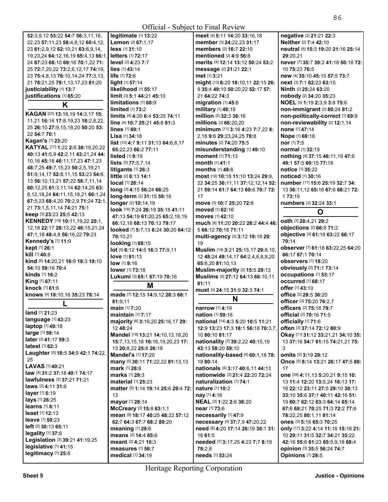| 52:3,9,12 53:22 54:7 56:3,11,16,                                                                                                                                                     | legitimate $[1]$ 13:22                     | meet [4] 5:11 14:20 33:16,18                                        | negative [2] 21:21 22:3                                               |
|--------------------------------------------------------------------------------------------------------------------------------------------------------------------------------------|--------------------------------------------|---------------------------------------------------------------------|-----------------------------------------------------------------------|
| 22,23 57:11,23 58:4,8,12 60:4,12,                                                                                                                                                    | Lemon [2] 67:1.17                          | member [3] 24:22,23 31:17                                           | Neither [2] 7:4 42:10                                                 |
| 23 61:2,9,12 62:10,21 63:6,9,14,                                                                                                                                                     | less [1] 31:10                             | members [2] 16:7 22:10                                              | neutral [6] 15:3 19:20 21:16 25:14                                    |
| 19,23,24 64:12,16,19 65:4,13 66:1                                                                                                                                                    | <b>letters</b> [1] 72:17                   | mentioned [2] 4:9 56:8                                              | 29:20,21                                                              |
| 24 67:23 68:10 69:16 70:1,22 71:                                                                                                                                                     | level [2] 4:23 7:7                         | merits [4] 12:14 13:12 50:24 53:2                                   | never [7] 35:7 39:2 41:18 50:18 72:                                   |
| 25 72:7, 20, 22 73: 2, 6, 12, 17 74: 19,                                                                                                                                             | $lies$ [1] 43:14                           | message [2] 21:21 22:1                                              | 10 75:23 76:5                                                         |
| 23 75:4,8,13 76:10,14,24 77:3,13,                                                                                                                                                    | life [1] 72:6                              | met [1] 3:21                                                        | new [4] 35:10 45:15 57:5 73:7                                         |
| 21 78:21,25 79:1,13,17,23 81:20                                                                                                                                                      | light [1] 57:14                            | might [13] 6:20 18:10,11 22:15 26:                                  | next [3] 7:1 62:23 63:15                                              |
| justiciability [1] 13:7                                                                                                                                                              | likelihood [1] 55:17                       | 9 35:4 49:10 50:20,22 52:17 57:                                     | Ninth [2] 25:24 63:20                                                 |
| justifications [1] 65:20                                                                                                                                                             | limit [3] 5:1 44:21 45:10                  | 21 64:22 74:3                                                       | nobody [2] 34:20 35:23                                                |
| K                                                                                                                                                                                    | limitations [1] 60:9                       | migration [1] 45:6                                                  | NOEL [5] 1:19 2:3,9 3:8 75:6                                          |
| KAGAN [23] 13:16,19 14:3,17 15:                                                                                                                                                      | limited [1] 73:2                           | military [1] 48:19                                                  | non-immigrant [2] 80:24 81:2                                          |
| 11,21 16:16 17:8,19,23 18:2,8,22,                                                                                                                                                    | limits [4] 4:20 6:4 53:25 74:11            | million [2] 32:3 36:16                                              | non-politically-correct [1] 69:9                                      |
| 25 26:10 27:9,15,18,20 50:20 53:                                                                                                                                                     | line [4] 10:7 25:21 45:8 81:3              | millions [2] 66:20,20                                               | non-reviewability [2] 12:1,14                                         |
| 22 54:7 70:1                                                                                                                                                                         | lines [1] 69:1                             | minimum [11] 3:16 4:23 7:7,22 8:                                    | none [1] 47:14                                                        |
| <b>Kagan's [1] 23:20</b>                                                                                                                                                             | Lisa [1] 34:18                             | 2,18 9:6 29:23,24,25 78:8                                           | Nope [1] 69:18                                                        |
| KATYAL [77] 1:22 2:6 38:19,20,22                                                                                                                                                     | list [10] 4:7 9:11 31:13 64:6,8,17         | minutes [2] 74:20 75:5                                              | nor [1] 7:5                                                           |
| 40:13 41:5,9 42:2,11 43:21,24 44:                                                                                                                                                    | 65:22,23 66:2 77:11                        | misunderstanding [1] 49:10                                          | normal [1] 32:19                                                      |
| 10, 16 45: 18 46: 11, 17, 23 47: 1, 23                                                                                                                                               | listed [1] 9:19                            | moment [1] 71:13                                                    | nothing [8] 37:15 46:11,19 47:6                                       |
| 48:7,25 49:7,15,23 50:2,5,19,21                                                                                                                                                      | lists [3] 77:5,7,14                        | <b>month</b> [1] 41:1                                               | 49:1 57:5 60:15 77:18                                                 |
| 51:9,14,17 52:8,11,15 53:23 54:6,                                                                                                                                                    | litigants $[1]$ 26:3                       | months [1] 48:6                                                     | notice [1] 35:22                                                      |
| 13 56:10,13,21 57:22 58:7,11,14                                                                                                                                                      | little [2] 6:13 14:1<br>local [1] 28:14    | most [18] 10:18 11:10 13:24 29:9,                                   | noticed [1] 30:16                                                     |
| 60:12,25 61:3,11,14 62:14,25 63:                                                                                                                                                     | long [3] 4:15 56:24 66:25                  | 22 34:25 36:11,11 37:12,12,14 52:                                   | number [11] 15:6 25:19 32:7 34:                                       |
| 8, 12, 18, 24 64: 11, 15, 18, 21 66: 1, 24                                                                                                                                           | long-term [2] 31:15 59:18                  | 21 59:14 61:7 64:13 69:6 70:7 72:<br>17                             | 13 36:11,12 65:16 67:6 68:21 72:<br>1 73:19                           |
| 67:5.23 68:4.20 70:2.9 71:24 72:1.                                                                                                                                                   | longer [2] 10:14,19                        | move [3] 10:7 25:20 72:6                                            | numbers [2] 32:24 33:1                                                |
| 21 73:1,5,11,14 74:21 75:1                                                                                                                                                           | look [16] 7:24 26:19 35:18 41:11           | moved [1] 62:16                                                     |                                                                       |
| keep [3] 23:23 25:5 42:13                                                                                                                                                            | 47:13 54:19 61:20,25 65:2,18,19            | moves [1] 42:10                                                     | O                                                                     |
| KENNEDY [19] 10:11,19,22 20:1,                                                                                                                                                       | 66:12,18 68:13 70:13 79:17                 | much [8] 11:20 20:22 28:2 44:4 46:                                  | oath [3] 28:4,21 29:2                                                 |
| 12, 18 22: 17 28: 13, 22 46: 15, 21, 24                                                                                                                                              | looked [7] 5:7,13 6:24 30:20 64:12         | 5 66:12 70:18 71:11                                                 | objections [2] 66:8 71:2                                              |
| 47:1,18 48:4,8 56:16,22 79:23                                                                                                                                                        | 79:10,21                                   | multi-agency [3] 3:12 19:18 29:                                     | objective [4] 61:18 63:22 66:17                                       |
| Kennedy's [1] 11:9                                                                                                                                                                   | looking [1] 68:15                          | 19                                                                  | 70:14                                                                 |
| kept [1] 26:1                                                                                                                                                                        | lot [5] 6:12 14:5 16:3 77:9,11             | Muslim [19] 3:21 25:15,17 29:8,10,                                  | observer [7] 61:18 63:22,25 64:20                                     |
| kill [1] 40:8                                                                                                                                                                        | love [1] 81:13                             | 12 48:24 49:14,17 64:2,4,6,8,9,20                                   | 66:17 67:1 70:14                                                      |
| kind [8] 14:20,21 16:9 18:3 19:10                                                                                                                                                    | low [1] 9:16                               | 65:6,20 81:10,13                                                    | observers [1] 18:20                                                   |
| 54:10 59:16 70:4                                                                                                                                                                     | lower [1] 73:18                            | Muslim-majority [2] 15:5 29:13                                      | obviously [2] 71:1 73:14                                              |
| kinds [1] 16:2                                                                                                                                                                       | Lukumi [3] 65:1 67:19 70:16                | Muslims [5] 27:12 64:13 66:10,11                                    | occupations [1] 53:17                                                 |
| King [1] 67:11                                                                                                                                                                       | M                                          | 81:11                                                               | occurred [1] 68:17                                                    |
| knock [1] 61:6                                                                                                                                                                       |                                            | must [4] 24:15 31:9 32:3 74:1                                       | offer [1] 43:10                                                       |
| knows [4] 18:10,16 35:23 78:14                                                                                                                                                       | made [7] 12:15 14:9,12 28:3 68:1           | N                                                                   | office [2] 28:5 36:20                                                 |
|                                                                                                                                                                                      | 81:9.11                                    |                                                                     | officer [3] 75:20 76:2,7                                              |
| land [1] 21:23                                                                                                                                                                       | main [1] 7:20                              |                                                                     |                                                                       |
|                                                                                                                                                                                      |                                            | narrow [1] 4:19                                                     | officers [2] 75:18 79:7                                               |
|                                                                                                                                                                                      | maintain [1] 7:17                          | nation [1] 59:16                                                    | official [2] 70:16 71:5                                               |
| language [1] 43:23                                                                                                                                                                   | majority [6] 3:19,20 25:16,17 29:          | national [14] 4:3 5:20 10:5 11:21                                   | officially [1] 71:6                                                   |
| <b>laptop</b> [1] <b>49:18</b>                                                                                                                                                       | 12 48:24                                   | 12:9 13:23 17:3 18:1 56:18 70:3,7,                                  | often [3] 37:14 72:12 80:9                                            |
|                                                                                                                                                                                      | Mandel [18] 13:21 14:10,13,18,20           | 10 80:10 81:17                                                      | Okay [11] 31:12 33:21,21 34:10 35:                                    |
| large [1] 59:14<br>later [2] 41:17 59:3                                                                                                                                              | 15:7, 13, 15, 18 16: 16, 19, 20, 23 17:    | nationality [7] 39:2,22 40:15,19                                    | 13 37:16 54:7 61:15 74:21,21 75:                                      |
|                                                                                                                                                                                      | 13 20:8,22 25:8 26:18                      | 43:13 58:20 59:10                                                   | 3                                                                     |
| 25                                                                                                                                                                                   | <b>Mandel's [1] 17:20</b>                  | nationality-based [4] 60:1,18 78:                                   | <b>omits</b> [2] 3:19 29:12                                           |
|                                                                                                                                                                                      | many [5] 30:11 71:22,22 81:13,13           | 19 80:14                                                            | Once [5] 8:14 13:21 26:17 47:5 80:                                    |
|                                                                                                                                                                                      | <b>mark</b> [1] 28:8                       | nationals [4] 3:17 40:6,11 44:13                                    | 17                                                                    |
|                                                                                                                                                                                      | marks [1] 29:3                             | nationwide [3] 21:4 22:20 72:24                                     | one [39] 4:11,13 5:20,21 9:15 10:                                     |
| <b>latest</b> $[1]$ 62:3<br>Laughter [5] 18:5 34:9 42:1 74:22,<br>LAVAS [1] 40:21<br>law [4] 31:2 37:18 40:1 74:17<br><b>lawfulness</b> [2] 37:21 71:21<br><b>laws</b> [2] 4:11 31:6 | material [1] 25:23                         | naturalization [1] 74:1                                             | 13 11:4 12:20 13:5,24 16:13 17:                                       |
|                                                                                                                                                                                      | matter [5] 1:14 19:14 25:6 29:4 72:        | <b>nature</b> [1] <b>10:2</b>                                       | 16 22:12 23:11 27:5 29:10 30:13                                       |
|                                                                                                                                                                                      | 13                                         | nay [1] 4:16                                                        | 33:10 35:6 37:1 40:11 42:16 51:                                       |
| learns [1] 8:11                                                                                                                                                                      | mayor [1] 28:14                            | NEAL [3] 1:22 2:6 38:20                                             | 19 60:7 62:12 63:3 64:14 65:14                                        |
|                                                                                                                                                                                      | McCreary [3] 15:8 63:1,1                   | near [1] 73:6                                                       | 67:6 68:21 70:25 71:3 72:2 77:6                                       |
| <b>leave</b> [1] <b>50:23</b>                                                                                                                                                        | mean [9] 18:17 40:25 48:22 57:12           | necessarily [1] 47:9                                                | 78:22,25 80:1,11 81:14                                                |
| layer [1] 5:19<br>lays [1] 26:25<br>least [1] 12:13<br>left [2] 30:13 65:11                                                                                                          | 62:7 64:3 67:7 68:2 80:20                  | necessary [4] 37:7,9 47:20,22<br>need [6] 4:20 17:14 26:19 30:1 31: | ones [3] 5:18 65:3 70:25                                              |
| legality $[1]$ 37:6                                                                                                                                                                  | meaning [1] 29:6                           | 18 61:5                                                             | Only [17] 3:22 4:14 11:16 15:18 21:<br>10 29:11 31:5 32:7 34:21 35:22 |
| Legislation [3] 39:21 41:19,25                                                                                                                                                       | means [2] 14:4 65:6<br>meant [2] 4:21 10:3 |                                                                     | 42:16 55:6 61:23 65:5,9,18 68:4                                       |
| legislative [1] 41:15                                                                                                                                                                | measures $[1]$ 56:7                        | needed [7] 3:17,25 4:23 7:7 8:19<br>78:2,8                          | opinion [3] 35:5 56:24 74:7                                           |
| legitimacy [1] 25:8                                                                                                                                                                  | medical [1] 34:19                          | needs [1] 53:24                                                     | Opinions [1] 28:5                                                     |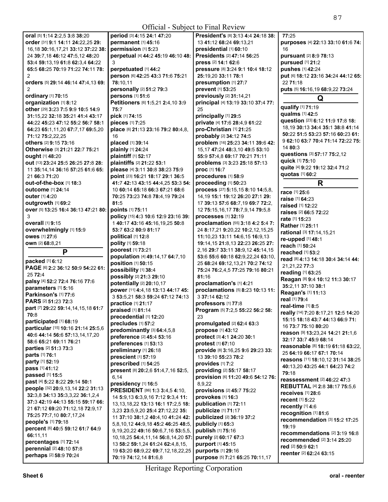| <b>Official - Subject to Final Review</b>             |                                                            |                                                       |                                                       |
|-------------------------------------------------------|------------------------------------------------------------|-------------------------------------------------------|-------------------------------------------------------|
| oral [5] 1:14 2:2.5 3:8 38:20                         | period [3] 4:15 24:1 47:20                                 | President's [8] 3:13 4:4 24:18 38:                    | 77:25                                                 |
| order [31] 9:1 14:11 24:22,25 29:                     | permanent [1] 45:16                                        | 13 41:12 68:24 69:13.21                               | purposes [4] 22:13 33:10 61:6 74:                     |
| 16,18 30:16,17,21 33:12 37:22 38:                     | permission [1] 5:23                                        | presidential [1] 60:10                                | 16                                                    |
| 24 39:7,18 46:12 47:5,12 48:20                        | perpetual [4] 44:2 45:19 46:10 48:                         | Presidents [2] 47:14 56:25                            | pursuant [2] 8:9 78:13                                |
| 53:4 59:13,19 61:8 62:3,4 64:22                       | 3                                                          | press [2] 14:1 62:6                                   | pursued [1] 21:2                                      |
| 65:5 68:25 70:19 71:22 74:11 78:                      | perpetuated [1] 44:2                                       | pressure [8] 3:24 9:1 10:4 18:12                      | pushes [1] 42:24                                      |
| 2                                                     | person [6] 42:25 43:3 71:6 75:21                           | 25:19,20 33:11 78:1                                   | put [6] 18:12 23:16 34:24 44:12 65:                   |
| orders [5] 29:14 46:14 47:4,13 69:                    | 78:10.11                                                   | presumption [1] 27:7                                  | 22 71:18                                              |
| 2                                                     | personally [2] 51:2 79:3                                   | prevent [1] 53:25                                     | puts [5] 16:16,19 68:9,22 73:24                       |
| ordinary [1] 70:15                                    | persons [1] 51:6                                           | previously [2] 31:14,21                               | Q                                                     |
| organization [1] 8:12                                 | Petitioners [6] 1:5,21 2:4,10 3:9                          | principal [4] 13:19 33:10 37:4 77:                    | qualify [1] 71:19                                     |
| other [29] 3:23 7:5 9:9 10:5 14:9                     | 75:7                                                       | 25                                                    | qualms [1] 42:5                                       |
| 31:15,22 32:18 35:21 41:4 43:17                       | pick [1] 74:15                                             | principally [1] 29:5                                  | question [23] 6:12 11:9 17:8 18:                      |
| 44:22 45:23 47:12 55:2 56:7 58:1                      | pieces [1] 7:25                                            | private [4] 17:6 28:4,9 61:22                         | 18,19 30:13 34:4 35:1 38:8 41:14                      |
| 64:23 65:1,11,20 67:7,17 69:5,20                      | place [6] 21:13 23:16 79:2 80:4,8,                         | pro-Christian [1] 21:25<br>probably [2] 34:12 74:5    | 50:22 51:5 53:23 57:16 60:23 61:                      |
| 71:12 75:2,22,25<br>others [2] 9:15 73:16             | 16<br>placed [1] 39:14                                     | problem [16] 25:23 34:11 39:6 42:                     | 9 62:10 63:7 70:4 71:14 72:22 75:                     |
| Otherwise [3] 21:21 22:7 75:21                        | plainly [1] 24:24                                          | 15,17 47:24 48:3,10 49:5 53:10                        | 14 80:3                                               |
| ought [1] 48:20                                       | plaintiff [1] 52:17                                        | 55:9 57:4.8 69:17 70:21 71:11                         | questions [3] 57:17 75:2,12                           |
| out [13] 23:24 25:5 26:25 27:8 28:                    | plaintiffs [2] 21:22 53:1                                  | problems [3] 3:23 25:18 57:13                         | quick [1] 75:10                                       |
| 11 35:14,14 36:16 57:25 61:6 65:                      | please [4] 3:11 30:8 38:23 75:9                            | proc [1] 16:7                                         | quite [4] 9:22 19:12 32:4 71:2                        |
| 21 66:3 71:20                                         | point [23] 16:21 18:17 29:1 36:5                           | procedures [1] 58:9                                   | quotas [1] 60:2                                       |
| <b>out-of-the-box</b> [1] 18:3                        | 41:7 42:13 43:15 44:4,25 53:3 54:                          | proceeding [1] 50:23                                  | R                                                     |
| <b>outcome</b> [1] 24:14                              | 10 60:14 65:18 66:3 67:21 68:6                             | process [27] 5:15,15 8:10 14:5,8,                     |                                                       |
| <b>outer</b> [1] 4:20                                 | 70:25 73:23 74:8 78:4.19 79:24                             | 14, 19 15:1 19:12 26:20 27:1 29:                      | race [1] 25:6                                         |
| outgrowth [1] 69:2                                    | 81:5                                                       | 17 39:13 57:6 68:7.19 69:7 72:2.                      | raise [1] 64:23                                       |
| over [5] 13:25 16:4 36:13 47:21 80:                   | points [1] 75:11                                           | 12 75:15,16,17 78:7,9,14 79:5,8                       | <b>raised</b> [1] <b>12:22</b>                        |
| 3                                                     | policy [15] 4:3 10:6 12:9 23:16 39:                        | processes [1] 32:19                                   | <b>raises</b> [2] <b>66:5 72:22</b><br>rate [1] 15:23 |
| <b>overall</b> [1] 9:15                               | 140:17 43:16 45:16,19,25 50:8                              | proclamation [55] 3:18 4:2 5:4 7:                     | Rather [1] 25:11                                      |
| overwhelmingly [1] 15:9                               | 53:7 63:2 80:9 81:17                                       | 24 8:17,21 9:20,22 10:2,12,15,25                      | rational [3] 17:14,15,21                              |
| <b>owes</b> [1] 27:6                                  | political [1] 12:8                                         | 11:10,23 13:11 14:6,15 16:9,13                        | re-upped [1] 48:1                                     |
| own [2] 68:8,21                                       | polity [1] 59:18                                           | 19:14, 15 21:8, 13 22:23 26:25 27:                    | reach [1] 50:24                                       |
| P                                                     | poorest [1] 73:21                                          | 2, 16 29:7 33:11 38:9, 12 45:14, 15                   | reached [1] 53:2                                      |
|                                                       | population [4] 49:14,17 64:7,10                            | 53:6 55:6 60:18 62:9,22,24 63:10,                     | read [8] 4:13 14:18 30:4 34:14 44:                    |
| packed [1] 6:12                                       | position [1] 50:15                                         | 25 68:24 69:12,13,21 70:2 74:12                       | 21,21,22 77:3                                         |
| PAGE [6] 2:2 36:12 50:9 54:22 61:                     | possibility [1] 38:4                                       | 75:24 76:2,4,5 77:25 79:16 80:21                      | reading [1] 63:25                                     |
| 25 72:4                                               | possibly [2] 21:3 29:10                                    | 81:16                                                 | Reagan [8] 9:4 10:12 11:3 30:17                       |
| palsy [4] 52:2 72:4 76:16 77:6<br>parameters [1] 5:16 | potentially [2] 20:10,17                                   | proclamation's [1] 4:21                               | 35:2,11 37:10 38:1                                    |
| Parkinson's [1] 77:6                                  | power [11] 4:4,18 13:13 44:17 45:                          | proclamations [5] 8:23 10:13 11:                      | Reagan's [1] 11:13                                    |
| PARS [2] 51:23 72:3                                   | 3 53:5.21 58:3 59:24 67:12 74:13                           | 3 37:14 62:12                                         | real [1] 79:4                                         |
| part [7] 29:22 59:14,14,15,18 61:7                    | practice [1] 21:17                                         | professors [1] 77:8                                   | real-time [1] 8:5                                     |
| 70:8                                                  | <b>praised</b> $[1]$ 81:14                                 | <b>Program</b> [5] 7:2,5 55:22 56:2 58:               | really [14] 7:20 8:17,21 12:5 14:20                   |
| participated [1] 68:19                                | precedential [1] 12:20                                     | 23                                                    | 15:15 18:18 43:7 44:13 66:9 71:                       |
| particular [15] 10:16 21:14 25:5,6                    | precludes [1] 57:2                                         | promulgated [2] 62:4 63:3                             | 16 73:7 75:10 80:20                                   |
| 40:6 44:14 56:6 57:13,14,17,20                        | predominantly [3] 64:4,5,8<br>preference [2] 45:4 53:16    | propose [1] 43:12<br>protect [3] 4:1 24:20 30:1       | reason [9] 13:23,24 14:21 21:1,6                      |
| 58:6 65:21 69:11 76:21                                | preferences [1] 53:13                                      | protest [1] 67:10                                     | 32:17 33:7 45:9 68:14                                 |
| parties [2] 51:3 73:3                                 | preliminary [1] 26:18                                      | provide [8] 3:16,25 9:6 29:23 33:                     | reasonable [8] 18:19 61:18 63:22.                     |
| parts [1] 76:1                                        | prescient [1] 57:19                                        | 13 39:10 55:23 78:2                                   | 25 64:19 66:17 67:1 70:14                             |
| party [1] 52:19                                       | prescribed [1] 54:25                                       | provides [1] 7:2                                      | reasons [11] 18:10,12 31:14 38:25                     |
| pass [1] 41:12                                        | present [8] 20:2,6 51:4,7,16 52:5,                         | providing [2] 55:17 58:17                             | 40:13,20 43:25 44:1 64:23 74:2                        |
| passed [1] 15:5                                       | 6,14                                                       | provision [6] 11:20 49:6 54:12 76:                    | 79:18                                                 |
| past [4] 5:22 8:22 29:14 50:1                         | presidency [1] 16:5                                        | 8,9,22                                                | <b>reassessment</b> [2] 46:22 47:3                    |
| people [32] 20:9,13,14 22:2 31:13                     | PRESIDENT [86] 1:3 3:4,5 4:10,                             | provisions [2] 45:7 75:22                             | <b>REBUTTAL [4] 2:8 38:17 75:5,6</b>                  |
| 32:3,8 34:13 35:3,3,22 36:1,2,4                       | 14 5:9,13 6:3,9,16 7:12 9:3,4 11:                          | provokes [1] 16:3                                     | receives [1] 28:6<br>recent [1] 5:22                  |
| 37:3 42:19 44:13 55:15 59:17 66:                      |                                                            |                                                       |                                                       |
|                                                       | 13, 13, 18, 22 13: 13 16: 1 17: 2, 5 18:                   | publication [1] 72:11                                 |                                                       |
| 21 67:12 69:20 71:12,18 72:9,17                       | 3,23 23:5,9,20 25:4 27:12,22 35:                           | publicize [1] 71:17                                   | recently [1] 4:6                                      |
| 75:25 77:7,10 80:7,17,24                              | 11 37:10 38:1,2 40:4,10 41:24 42:                          | publicized [2] 36:19 37:2                             | recognition [1] 81:6                                  |
| people's [1] 79:18                                    | 5,8,10,12 44:9,18 45:2 46:25 48:5,                         | publicly [1] 65:3                                     | recommendation [3] 15:2 17:25                         |
| percent [6] 40:5 59:12 61:7 64:9                      | 9, 19, 20, 22 49: 16 50: 6, 7, 16 53: 5, 5,                | publish [1] 75:16                                     | 19:19                                                 |
| 66:11,11                                              | 10, 18, 25 54: 4, 11, 14 56: 8, 14, 20 57:                 | purely [2] 60:17 67:3                                 | recommendations [2] 3:19 16:8                         |
| percentages [1] 72:14                                 | 13 58:2 59:1,24 61:24 62:4,8,15,                           | purport [1] 45:15                                     | recommended [2] 3:14 25:20                            |
| perennial [2] 48:10 57:8<br>perhaps [2] 58:9 70:24    | 19 63:20 68:9,22 69:7,12,18,22,25<br>70:19 74:12,14 81:6,8 | purports [1] 29:16<br>purpose [5] 7:21 65:25 70:11,17 | red [2] 50:9 62:1<br><b>reenter</b> [2] 62:24 63:15   |

I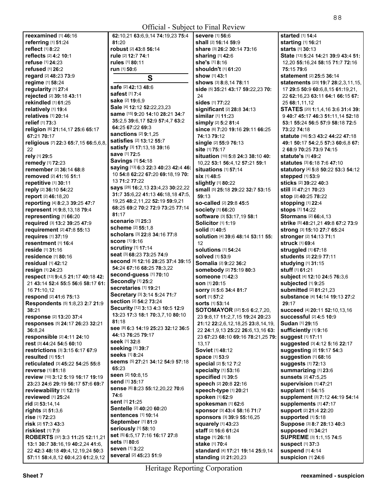| <b>Official</b> - Subject to Final Review           |                                                           |                                                   |                                                              |
|-----------------------------------------------------|-----------------------------------------------------------|---------------------------------------------------|--------------------------------------------------------------|
| reexamined [1] 46:16                                | 62:10,21 63:6,9,14 74:19,23 75:4                          | severe [1] 56:6                                   | <b>started</b> [1] 14:4                                      |
| referring [1] 51:24                                 | 81:20                                                     | shall [2] 16:14 59:9                              | starting [1] 16:21                                           |
| reflect [1] 8:22                                    | robust [2] 43:8 56:14                                     | <b>share</b> [3] <b>26:2 30:14 73:16</b>          | <b>starts</b> [1] <b>30:13</b>                               |
| reflects [2] 4:2 10:1                               | rule [2] 12:7 74:1                                        | <b>sharing</b> [1] 42:6                           | State [13] 5:24 14:21 39:9 43:4 51:                          |
| <b>refuse</b> [1] <b>24:23</b>                      | rules [1] 80:11                                           | she's [1] 8:16                                    | 12,20 55:16,24 58:15 71:7 72:16                              |
| refused $[1]$ 26:2                                  | run [1] 50:6                                              | shouldn't [1] 61:20                               | 75:15 79:6                                                   |
| regard [2] 48:23 73:9                               | S                                                         | <b>show</b> [1] <b>43:1</b>                       | statement [2] 25:5 36:14                                     |
| regime [1] 58:24                                    |                                                           | shows [3] 8:8,14 78:11                            | <b>statements</b> [23] <b>19:7 28:2,3,11,15,</b>             |
| regularity [1] 27:4                                 | safe [2] 42:13 48:6<br><b>safest</b> [1] 7:4              | side [5] 35:21 43:17 59:22,23 70:                 | 17 29:5 50:9 60:6,8,15 61:19,21,                             |
| rejected [2] 39:18 43:11                            | sake [2] 19:6,9                                           | 24                                                | 22 62:16,23 63:11 64:1 66:15 67:                             |
| rekindled [1] 61:25                                 | Sale [4] 12:12 52:22,23,23                                | sides [1] 77:22                                   | 25 68:1,11,12                                                |
| relatively [1] 19:4                                 | same [15] 9:20 14:10 28:21 34:7                           | significant [2] 28:8 34:13                        | <b>STATES</b> [20] <b>1:1,4,16 3:6 31:4 39:</b>              |
| relatives [1] 20:14                                 | 35:2,5 39:6,17 52:9 57:4,7 63:2                           | similar [1] 11:23                                 | 9 40:7 45:17 46:3 51:11,14 52:18                             |
| relief [1] 73:3                                     | 64:25 67:22 69:3                                          | <b>simply</b> [2] 5:2 81:4                        | 53:1 55:24 56:5 57:9 58:18 72:5                              |
| religion [6] 21:14,17 25:6 65:17                    | <b>sanctions</b> [2] 9:1,25                               | Since [6] 7:20 19:16 29:11 66:25                  | 73:22 74:18                                                  |
| 67:21 70:17<br>religious [7] 22:3 65:7,15 66:5,6,8, | <b>satisfies</b> [2] <b>13:12 55:7</b>                    | 74:13 79:12<br>single [2] 55:9 76:13              | statute [16] 5:3 43:2 44:22 47:18                            |
| 22                                                  | satisfy [3] 17:13,18 39:16                                | site [1] 75:17                                    | 49:1 50:17 54:2,5 57:3 60:6,8 67:<br>2 68:9 70:25 73:9 74:15 |
| rely [1] 29:5                                       | save [1] 72:5                                             | situation [10] 5:8 24:3 38:10 40:                 | <b>statute's [1] 49:2</b>                                    |
| remedy [1] 72:23                                    | <b>Savings [1] 54:18</b>                                  | 10,22 53:1 56:4,12 57:21 59:1                     | <b>statutes</b> [3] <b>6:18 7:6 47:10</b>                    |
| remember [2] 36:14 68:8                             | saying [13] 6:3 22:3 40:23 42:4 46:                       | <b>situations</b> [1] 57:14                       | statutory [4] 5:8 50:22 53:3 54:12                           |
| <b>removed</b> [2] 41:16 51:1                       | 10 54:8 62:22 67:20 69:18,19 70:                          | <b>six</b> [1] 48:5                               | stepped [1] 53:9                                             |
| repetitive [1] 30:11                                | 13 71:2 77:22                                             | <b>slightly</b> [1] 80:22                         | sticks [2] 39:22 40:3                                        |
| reply [2] 36:10 54:22                               | says [28] 16:2,13 23:4,23 30:22,22                        | small [5] 25:18 29:22 32:7 53:15                  | still [2] 47:21 70:23                                        |
| report [2] 46:18,20                                 | 31:7 35:6,22 41:13 46:18,18 47:5,                         | 59:13                                             | stop [2] 40:25 78:22                                         |
| reporting [4] 8:2,3 39:25 47:7                      | 19,25 48:2,11,22 52:19 59:9,21                            | so-called [2] 29:8 45:5                           | stopping [1] 22:4                                            |
| represent [4] 9:8,13,18 79:4                        | 68:25 69:2 70:2 72:9 73:25 77:14                          | society [1] 66:20                                 | stops [1] 14:22                                              |
| representing [1] 66:20                              | 81:17                                                     | software [3] 53:17,19 58:1                        | <b>Stormans</b> [2] 66:4,13                                  |
| required [3] 13:2 39:25 47:9                        | <b>scenario</b> [1] <b>25:</b> 3                          | Solicitor [1] 1:19                                | strike [5] 48:21,21 49:8 67:2 73:9                           |
| requirement [2] 47:8 55:13                          | <b>scheme</b> [2] 55:1,8                                  | solid [1] 40:5                                    | strong [3] 15:10 27:7 65:24                                  |
| requires [1] 37:19                                  | scholars [3] 22:8 34:16 77:8                              | Solution [4] 39:6 48:14 53:11 55:                 | <b>stronger</b> [2] <b>14:13 71:1</b>                        |
| resentment [1] 16:4                                 | <b>score</b> [1] 9:16                                     | 12                                                | <b>struck</b> [1] 69:4                                       |
| reside [1] 31:16                                    | <b>scrutiny</b> [1] 17:14<br>seat [3] 68:23 73:25 74:9    | <b>solutions</b> [1] <b>54:</b> 24                | struggled [1] 67:18                                          |
| <b>residence</b> [1] 80:16                          | Second [9] 12:16 28:25 37:4 39:15                         | solved [1] 53:9                                   | students [2] 22:9 77:11                                      |
| residual $[1]$ 42:12                                | 54:24 67:16 68:25 78:3,22                                 | Somalia [2] 9:22 36:2                             | studying $[1]$ 31:15                                         |
| resign [1] 24:23                                    | second-guess [1] 70:10                                    | <b>somebody</b> [2] 75:19 80:3                    | stuff [1] 61:21                                              |
| respect [13] 9:4,5 21:17 40:18 42:                  | Secondly [1] 25:2                                         | <b>someone</b> [1] 42:3                           | subject [4] 12:10 24:5 76:3,6                                |
| 21 43:14 52:4 55:5 56:6 58:17 61:<br>16 71:10,12    | secretaries [1] 19:21                                     | <b>son</b> [1] <b>20:15</b>                       | subjected [1] 9:25<br>submitted [2] 81:21,23                 |
| respond [2] 41:6 75:13                              | Secretary [3] 3:14 5:24 71:7                              | SOrry [3] 5:6 34:4 81:7<br><b>sort</b> [1] 57:2   | <b>substance</b> [4] <b>14:14 19:13 27:2</b>                 |
| Respondents [5] 1:8,23 2:7 21:9                     | <b>section [2] 54:2 73:24</b>                             | <b>sorts</b> [1] <b>53</b> :14                    | 29:17                                                        |
| 38:21                                               | Security [12] 3:13 4:3 10:5 12:9                          | <b>SOTOMAYOR</b> [37] <b>5:6 6:2,7,20,</b>        | <b>succeed</b> [4] <b>20:11 52:1</b> 0,13,16                 |
| response [2] 13:20 37:4                             | 13:23 17:3 18:1 70:3,7,10 80:10                           | 23 9:8,17 11:2,7,15 19:24 20:23                   | <b>successful [2] 4:5 10:9</b>                               |
| responses [5] 24:17 26:23 32:21                     | 81:18                                                     | 21:12 22:2,6,12,18,25 23:8,14,19,                 | Sudan [1] 29:15                                              |
| 36:8,24                                             | See [8] 6:3 14:19 25:23 32:12 36:5                        | 22 24:1.9.13 25:22 26:6.13.16 63:                 | sufficiently [1] 9:16                                        |
| responsible [2] 4:11 24:10                          | 44:13 76:25 79:17                                         | 23 67:23 68:10 69:16 78:21,25 79:                 | suggest [1] 17:11                                            |
| rest [3] 44:24 54:5 60:10                           | Seek [1] 32:8                                             | 13,17                                             | suggested [3] 4:12 5:16 22:17                                |
| restrictions [3] 3:15 6:17 67:9                     | seeking [1] 39:7                                          | Soviet [1] 48:12                                  | suggesting [2] 19:17 54:3                                    |
| resulted $[1]$ 15:1                                 | <b>seeks</b> [1] 8:24<br>seems [5] 27:21 34:12 54:9 57:18 | <b>space</b> [1] 53:9                             | suggestion [1] 68:16                                         |
| reticulated [3] 45:22 54:25 55:8                    | 65:23                                                     | special [2] 5:12 7:2                              | suggests [1] 72:13                                           |
| reverse [1] 81:18                                   | seen [2] 10:8,15                                          | specialty [1] 53:16                               | summarizing [1] 23:6                                         |
| review [10] 3:12 5:19 16:17 19:19                   | send [1] 35:17                                            | specified [1] 39:5                                | <b>sunsets [2] 47:5,25</b>                                   |
| 23:23 24:6 29:19 56:17 57:6 69:7                    | Sense [6] 8:23 55:12,20,22 70:6                           | speech [2] 20:8 22:16                             | supervision [1] 47:21                                        |
| reviewability [1] 12:19                             | 74:6                                                      | speech-type [1] 20:21                             | supplant [1] 54:15                                           |
| reviewed [1] 25:24                                  | sent [1] 21:25                                            | spoken [1] 62:9                                   | Supplement [3] 7:12 44:19 54:14                              |
| rid [2] 53:14,14<br><b>rights</b> [2] 51:3,6        | Sentelle [2] 40:20 60:20                                  | spokesman [1] 62:6<br>Sponsor [3] 43:4 58:16 71:7 | supplements [1] 47:17<br><b>support [2] 21:4 22:20</b>       |
| rise [1] 72:23                                      | <b>sentences</b> [1] 10:14                                | sponsors [3] 39:9 55:16,25                        | supported [1] 5:18                                           |
| risk [2] 17:3 43:3                                  | September [1] 81:9                                        | squarely [1] 43:23                                | Suppose [3] 8:7 28:13 40:3                                   |
| riskiest [1] 7:9                                    | seriously [1] 58:10                                       | staff [2] 16:6 61:24                              | supposed [1] 34:21                                           |
| ROBERTS [37] 3:3 11:25 12:11,21                     | set [5] 6:5,17 7:16 16:17 27:8                            | stage [1] 26:18                                   | SUPREME [3] 1:1,15 74:5                                      |
| 13:1 30:7 38:16,19 40:2,24 41:6,                    | sets [1] 80:6                                             | stake [1] 70:4                                    | <b>suspect [1] 37:3</b>                                      |
| 22 42:3 48:18 49:4,12,19,24 50:3                    | seven [1] 3:22                                            | standard [4] 17:21 19:14 25:9,14                  | suspend [1] 4:14                                             |
| 57:11 58:4,8,12 60:4,23 61:2,9,12                   | several [2] 45:23 51:9                                    | standing [2] 21:20,23                             | Suspicion [1] 24:6                                           |
|                                                     |                                                           |                                                   |                                                              |